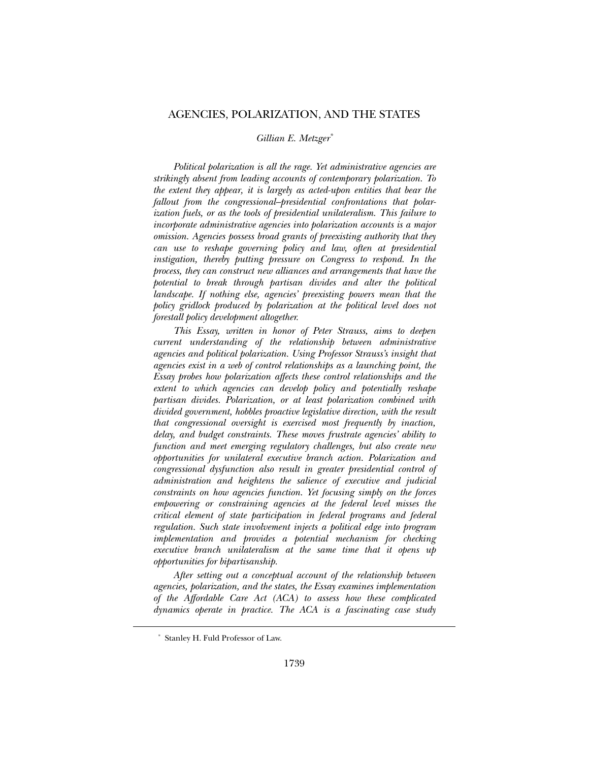# AGENCIES, POLARIZATION, AND THE STATES

*Gillian E. Metzger\**

*Political polarization is all the rage. Yet administrative agencies are strikingly absent from leading accounts of contemporary polarization. To the extent they appear, it is largely as acted-upon entities that bear the fallout from the congressional–presidential confrontations that polarization fuels, or as the tools of presidential unilateralism. This failure to incorporate administrative agencies into polarization accounts is a major omission. Agencies possess broad grants of preexisting authority that they can use to reshape governing policy and law, often at presidential instigation, thereby putting pressure on Congress to respond. In the process, they can construct new alliances and arrangements that have the potential to break through partisan divides and alter the political landscape. If nothing else, agencies' preexisting powers mean that the policy gridlock produced by polarization at the political level does not forestall policy development altogether.* 

*This Essay, written in honor of Peter Strauss, aims to deepen current understanding of the relationship between administrative agencies and political polarization. Using Professor Strauss's insight that agencies exist in a web of control relationships as a launching point, the Essay probes how polarization affects these control relationships and the extent to which agencies can develop policy and potentially reshape partisan divides. Polarization, or at least polarization combined with divided government, hobbles proactive legislative direction, with the result that congressional oversight is exercised most frequently by inaction, delay, and budget constraints. These moves frustrate agencies' ability to function and meet emerging regulatory challenges, but also create new opportunities for unilateral executive branch action. Polarization and congressional dysfunction also result in greater presidential control of administration and heightens the salience of executive and judicial constraints on how agencies function. Yet focusing simply on the forces empowering or constraining agencies at the federal level misses the critical element of state participation in federal programs and federal regulation. Such state involvement injects a political edge into program implementation and provides a potential mechanism for checking executive branch unilateralism at the same time that it opens up opportunities for bipartisanship.* 

*After setting out a conceptual account of the relationship between agencies, polarization, and the states, the Essay examines implementation of the Affordable Care Act (ACA) to assess how these complicated dynamics operate in practice. The ACA is a fascinating case study* 

 <sup>\*</sup> Stanley H. Fuld Professor of Law.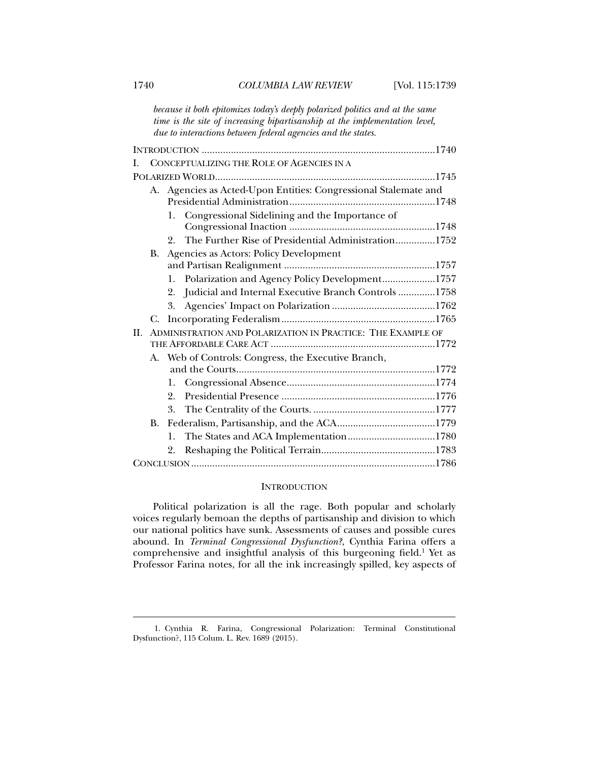*because it both epitomizes today's deeply polarized politics and at the same time is the site of increasing bipartisanship at the implementation level, due to interactions between federal agencies and the states.* 

| Ι.  |                                              | CONCEPTUALIZING THE ROLE OF AGENCIES IN A                   |                                                                 |  |  |
|-----|----------------------------------------------|-------------------------------------------------------------|-----------------------------------------------------------------|--|--|
|     |                                              |                                                             |                                                                 |  |  |
|     |                                              |                                                             | A. Agencies as Acted-Upon Entities: Congressional Stalemate and |  |  |
|     |                                              |                                                             |                                                                 |  |  |
|     |                                              | 1.                                                          | Congressional Sidelining and the Importance of                  |  |  |
|     |                                              |                                                             |                                                                 |  |  |
|     |                                              | $2_{-}$                                                     | The Further Rise of Presidential Administration1752             |  |  |
|     | Agencies as Actors: Policy Development<br>В. |                                                             |                                                                 |  |  |
|     |                                              |                                                             |                                                                 |  |  |
|     |                                              |                                                             | 1. Polarization and Agency Policy Development1757               |  |  |
|     |                                              | 2.                                                          | Judicial and Internal Executive Branch Controls 1758            |  |  |
|     |                                              |                                                             |                                                                 |  |  |
|     | C.                                           |                                                             |                                                                 |  |  |
| II. |                                              | ADMINISTRATION AND POLARIZATION IN PRACTICE: THE EXAMPLE OF |                                                                 |  |  |
|     |                                              |                                                             |                                                                 |  |  |
|     |                                              | A. Web of Controls: Congress, the Executive Branch,         |                                                                 |  |  |
|     |                                              |                                                             |                                                                 |  |  |
|     |                                              | 1.                                                          |                                                                 |  |  |
|     |                                              | 2.                                                          |                                                                 |  |  |
|     |                                              | 3.                                                          |                                                                 |  |  |
|     | <b>B.</b>                                    |                                                             |                                                                 |  |  |
|     |                                              | 1.                                                          |                                                                 |  |  |
|     |                                              | 2.                                                          |                                                                 |  |  |
|     |                                              |                                                             |                                                                 |  |  |

# INTRODUCTION

Political polarization is all the rage. Both popular and scholarly voices regularly bemoan the depths of partisanship and division to which our national politics have sunk. Assessments of causes and possible cures abound. In *Terminal Congressional Dysfunction?*, Cynthia Farina offers a comprehensive and insightful analysis of this burgeoning field.<sup>1</sup> Yet as Professor Farina notes, for all the ink increasingly spilled, key aspects of

 <sup>1.</sup> Cynthia R. Farina, Congressional Polarization: Terminal Constitutional Dysfunction?, 115 Colum. L. Rev. 1689 (2015).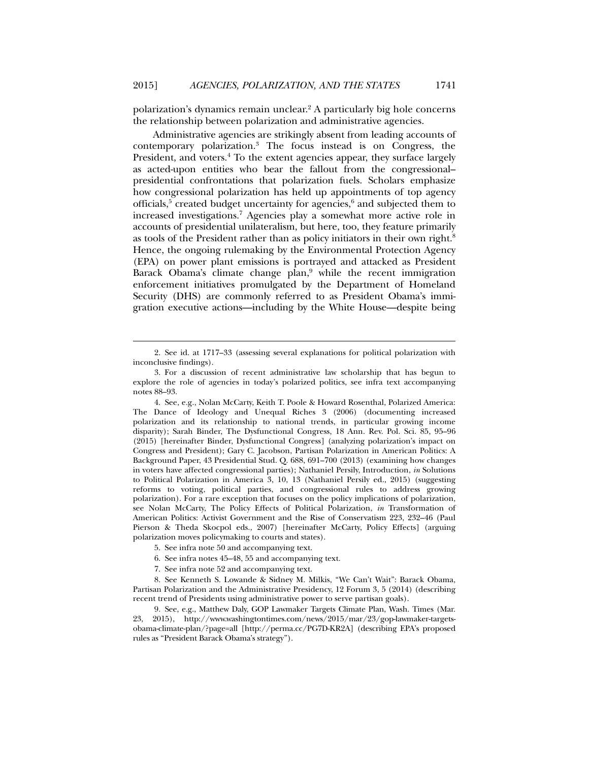polarization's dynamics remain unclear.2 A particularly big hole concerns the relationship between polarization and administrative agencies.

Administrative agencies are strikingly absent from leading accounts of contemporary polarization.3 The focus instead is on Congress, the President, and voters.<sup>4</sup> To the extent agencies appear, they surface largely as acted-upon entities who bear the fallout from the congressional– presidential confrontations that polarization fuels. Scholars emphasize how congressional polarization has held up appointments of top agency officials,<sup>5</sup> created budget uncertainty for agencies,<sup>6</sup> and subjected them to increased investigations.7 Agencies play a somewhat more active role in accounts of presidential unilateralism, but here, too, they feature primarily as tools of the President rather than as policy initiators in their own right.<sup>8</sup> Hence, the ongoing rulemaking by the Environmental Protection Agency (EPA) on power plant emissions is portrayed and attacked as President Barack Obama's climate change plan,<sup>9</sup> while the recent immigration enforcement initiatives promulgated by the Department of Homeland Security (DHS) are commonly referred to as President Obama's immigration executive actions—including by the White House—despite being

5. See infra note 50 and accompanying text.

l

- 6. See infra notes 45–48, 55 and accompanying text.
- 7. See infra note 52 and accompanying text.

 8. See Kenneth S. Lowande & Sidney M. Milkis, "We Can't Wait": Barack Obama, Partisan Polarization and the Administrative Presidency, 12 Forum 3, 5 (2014) (describing recent trend of Presidents using administrative power to serve partisan goals).

 9. See, e.g., Matthew Daly, GOP Lawmaker Targets Climate Plan, Wash. Times (Mar. 2015), http://www.washingtontimes.com/news/2015/mar/23/gop-lawmaker-targetsobama-climate-plan/?page=all [http://perma.cc/PG7D-KR2A] (describing EPA's proposed rules as "President Barack Obama's strategy").

 <sup>2.</sup> See id. at 1717–33 (assessing several explanations for political polarization with inconclusive findings).

 <sup>3.</sup> For a discussion of recent administrative law scholarship that has begun to explore the role of agencies in today's polarized politics, see infra text accompanying notes 88–93.

 <sup>4.</sup> See, e.g., Nolan McCarty, Keith T. Poole & Howard Rosenthal, Polarized America: The Dance of Ideology and Unequal Riches 3 (2006) (documenting increased polarization and its relationship to national trends, in particular growing income disparity); Sarah Binder, The Dysfunctional Congress, 18 Ann. Rev. Pol. Sci. 85, 95–96 (2015) [hereinafter Binder, Dysfunctional Congress] (analyzing polarization's impact on Congress and President); Gary C. Jacobson, Partisan Polarization in American Politics: A Background Paper, 43 Presidential Stud. Q. 688, 691–700 (2013) (examining how changes in voters have affected congressional parties); Nathaniel Persily, Introduction, *in* Solutions to Political Polarization in America 3, 10, 13 (Nathaniel Persily ed., 2015) (suggesting reforms to voting, political parties, and congressional rules to address growing polarization). For a rare exception that focuses on the policy implications of polarization, see Nolan McCarty, The Policy Effects of Political Polarization, *in* Transformation of American Politics: Activist Government and the Rise of Conservatism 223, 232–46 (Paul Pierson & Theda Skocpol eds., 2007) [hereinafter McCarty, Policy Effects] (arguing polarization moves policymaking to courts and states).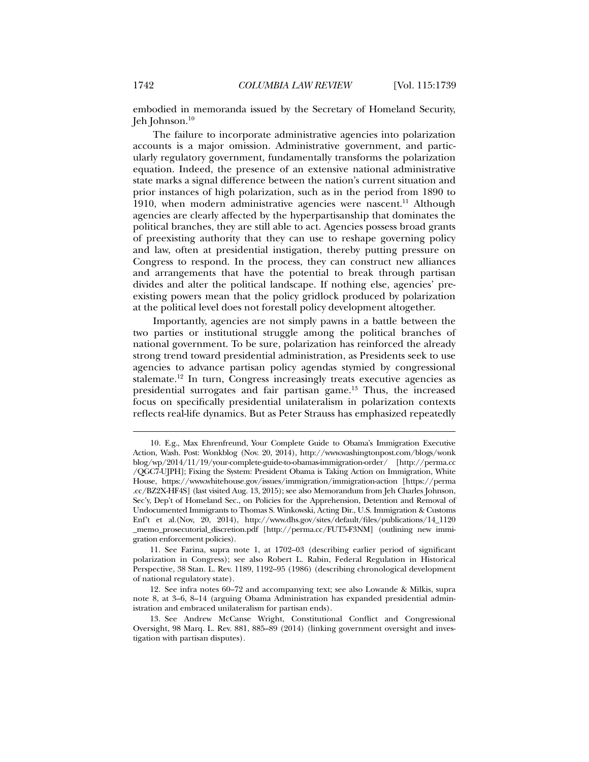embodied in memoranda issued by the Secretary of Homeland Security, Jeh Johnson.10

The failure to incorporate administrative agencies into polarization accounts is a major omission. Administrative government, and particularly regulatory government, fundamentally transforms the polarization equation. Indeed, the presence of an extensive national administrative state marks a signal difference between the nation's current situation and prior instances of high polarization, such as in the period from 1890 to 1910, when modern administrative agencies were nascent.<sup>11</sup> Although agencies are clearly affected by the hyperpartisanship that dominates the political branches, they are still able to act. Agencies possess broad grants of preexisting authority that they can use to reshape governing policy and law, often at presidential instigation, thereby putting pressure on Congress to respond. In the process, they can construct new alliances and arrangements that have the potential to break through partisan divides and alter the political landscape. If nothing else, agencies' preexisting powers mean that the policy gridlock produced by polarization at the political level does not forestall policy development altogether.

Importantly, agencies are not simply pawns in a battle between the two parties or institutional struggle among the political branches of national government. To be sure, polarization has reinforced the already strong trend toward presidential administration, as Presidents seek to use agencies to advance partisan policy agendas stymied by congressional stalemate.12 In turn, Congress increasingly treats executive agencies as presidential surrogates and fair partisan game.13 Thus, the increased focus on specifically presidential unilateralism in polarization contexts reflects real-life dynamics. But as Peter Strauss has emphasized repeatedly

 <sup>10.</sup> E.g., Max Ehrenfreund, Your Complete Guide to Obama's Immigration Executive Action, Wash. Post: Wonkblog (Nov. 20, 2014), http://www.washingtonpost.com/blogs/wonk blog/wp/2014/11/19/your-complete-guide-to-obamas-immigration-order/ [http://perma.cc /QGC7-UJPH]; Fixing the System: President Obama is Taking Action on Immigration, White House, https://www.whitehouse.gov/issues/immigration/immigration-action [https://perma .cc/BZ2X-HF4S] (last visited Aug. 13, 2015); see also Memorandum from Jeh Charles Johnson, Sec'y, Dep't of Homeland Sec., on Policies for the Apprehension, Detention and Removal of Undocumented Immigrants to Thomas S. Winkowski, Acting Dir., U.S. Immigration & Customs Enf't et al.(Nov, 20, 2014), http://www.dhs.gov/sites/default/files/publications/14\_1120 \_memo\_prosecutorial\_discretion.pdf [http://perma.cc/FUT5-F3NM] (outlining new immigration enforcement policies).

 <sup>11.</sup> See Farina, supra note 1, at 1702–03 (describing earlier period of significant polarization in Congress); see also Robert L. Rabin, Federal Regulation in Historical Perspective, 38 Stan. L. Rev. 1189, 1192–95 (1986) (describing chronological development of national regulatory state).

 <sup>12.</sup> See infra notes 60–72 and accompanying text; see also Lowande & Milkis, supra note 8, at 3–6, 8–14 (arguing Obama Administration has expanded presidential administration and embraced unilateralism for partisan ends).

 <sup>13.</sup> See Andrew McCanse Wright, Constitutional Conflict and Congressional Oversight, 98 Marq. L. Rev. 881, 885–89 (2014) (linking government oversight and investigation with partisan disputes).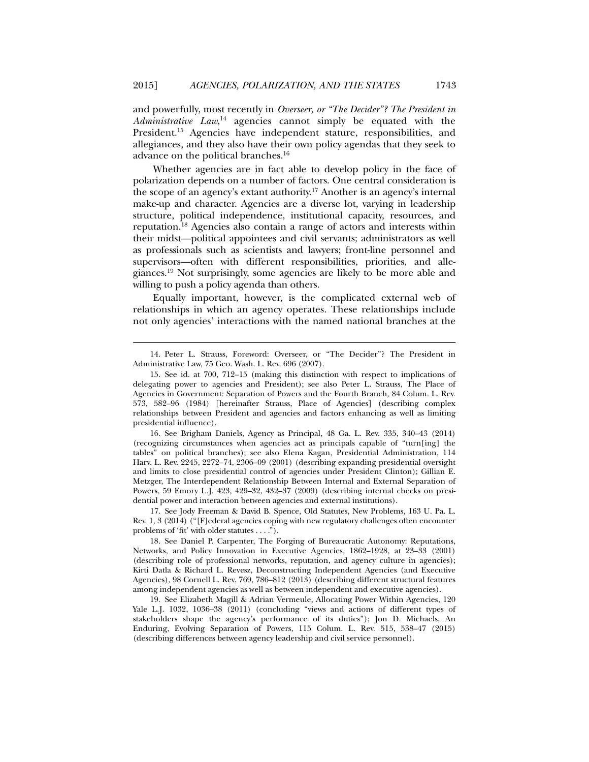and powerfully, most recently in *Overseer, or "The Decider"? The President in Administrative Law*, 14 agencies cannot simply be equated with the President.15 Agencies have independent stature, responsibilities, and allegiances, and they also have their own policy agendas that they seek to advance on the political branches.16

Whether agencies are in fact able to develop policy in the face of polarization depends on a number of factors. One central consideration is the scope of an agency's extant authority.<sup>17</sup> Another is an agency's internal make-up and character. Agencies are a diverse lot, varying in leadership structure, political independence, institutional capacity, resources, and reputation.18 Agencies also contain a range of actors and interests within their midst—political appointees and civil servants; administrators as well as professionals such as scientists and lawyers; front-line personnel and supervisors—often with different responsibilities, priorities, and allegiances.19 Not surprisingly, some agencies are likely to be more able and willing to push a policy agenda than others.

Equally important, however, is the complicated external web of relationships in which an agency operates. These relationships include not only agencies' interactions with the named national branches at the

l

 16. See Brigham Daniels, Agency as Principal, 48 Ga. L. Rev. 335, 340–43 (2014) (recognizing circumstances when agencies act as principals capable of "turn[ing] the tables" on political branches); see also Elena Kagan, Presidential Administration, 114 Harv. L. Rev. 2245, 2272–74, 2306–09 (2001) (describing expanding presidential oversight and limits to close presidential control of agencies under President Clinton); Gillian E. Metzger, The Interdependent Relationship Between Internal and External Separation of Powers, 59 Emory L.J. 423, 429–32, 432–37 (2009) (describing internal checks on presidential power and interaction between agencies and external institutions).

 17. See Jody Freeman & David B. Spence, Old Statutes, New Problems, 163 U. Pa. L. Rev. 1, 3 (2014) ("[F]ederal agencies coping with new regulatory challenges often encounter problems of 'fit' with older statutes . . . .").

 18. See Daniel P. Carpenter, The Forging of Bureaucratic Autonomy: Reputations, Networks, and Policy Innovation in Executive Agencies, 1862–1928, at 23–33 (2001) (describing role of professional networks, reputation, and agency culture in agencies); Kirti Datla & Richard L. Revesz, Deconstructing Independent Agencies (and Executive Agencies), 98 Cornell L. Rev. 769, 786–812 (2013) (describing different structural features among independent agencies as well as between independent and executive agencies).

 19. See Elizabeth Magill & Adrian Vermeule, Allocating Power Within Agencies, 120 Yale L.J. 1032, 1036–38 (2011) (concluding "views and actions of different types of stakeholders shape the agency's performance of its duties"); Jon D. Michaels, An Enduring, Evolving Separation of Powers, 115 Colum. L. Rev. 515, 538–47 (2015) (describing differences between agency leadership and civil service personnel).

 <sup>14.</sup> Peter L. Strauss, Foreword: Overseer, or "The Decider"? The President in Administrative Law, 75 Geo. Wash. L. Rev. 696 (2007).

 <sup>15.</sup> See id. at 700, 712–15 (making this distinction with respect to implications of delegating power to agencies and President); see also Peter L. Strauss, The Place of Agencies in Government: Separation of Powers and the Fourth Branch, 84 Colum. L. Rev. 573, 582–96 (1984) [hereinafter Strauss, Place of Agencies] (describing complex relationships between President and agencies and factors enhancing as well as limiting presidential influence).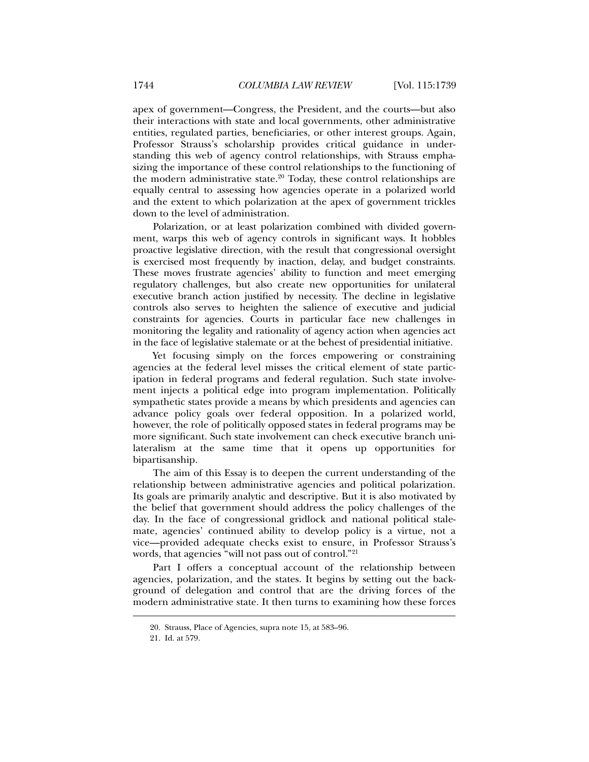apex of government—Congress, the President, and the courts—but also their interactions with state and local governments, other administrative entities, regulated parties, beneficiaries, or other interest groups. Again, Professor Strauss's scholarship provides critical guidance in understanding this web of agency control relationships, with Strauss emphasizing the importance of these control relationships to the functioning of the modern administrative state.<sup>20</sup> Today, these control relationships are equally central to assessing how agencies operate in a polarized world and the extent to which polarization at the apex of government trickles down to the level of administration.

Polarization, or at least polarization combined with divided government, warps this web of agency controls in significant ways. It hobbles proactive legislative direction, with the result that congressional oversight is exercised most frequently by inaction, delay, and budget constraints. These moves frustrate agencies' ability to function and meet emerging regulatory challenges, but also create new opportunities for unilateral executive branch action justified by necessity. The decline in legislative controls also serves to heighten the salience of executive and judicial constraints for agencies. Courts in particular face new challenges in monitoring the legality and rationality of agency action when agencies act in the face of legislative stalemate or at the behest of presidential initiative.

Yet focusing simply on the forces empowering or constraining agencies at the federal level misses the critical element of state participation in federal programs and federal regulation. Such state involvement injects a political edge into program implementation. Politically sympathetic states provide a means by which presidents and agencies can advance policy goals over federal opposition. In a polarized world, however, the role of politically opposed states in federal programs may be more significant. Such state involvement can check executive branch unilateralism at the same time that it opens up opportunities for bipartisanship.

The aim of this Essay is to deepen the current understanding of the relationship between administrative agencies and political polarization. Its goals are primarily analytic and descriptive. But it is also motivated by the belief that government should address the policy challenges of the day. In the face of congressional gridlock and national political stalemate, agencies' continued ability to develop policy is a virtue, not a vice—provided adequate checks exist to ensure, in Professor Strauss's words, that agencies "will not pass out of control."21

Part I offers a conceptual account of the relationship between agencies, polarization, and the states. It begins by setting out the background of delegation and control that are the driving forces of the modern administrative state. It then turns to examining how these forces

 <sup>20.</sup> Strauss, Place of Agencies, supra note 15, at 583–96.

 <sup>21.</sup> Id. at 579.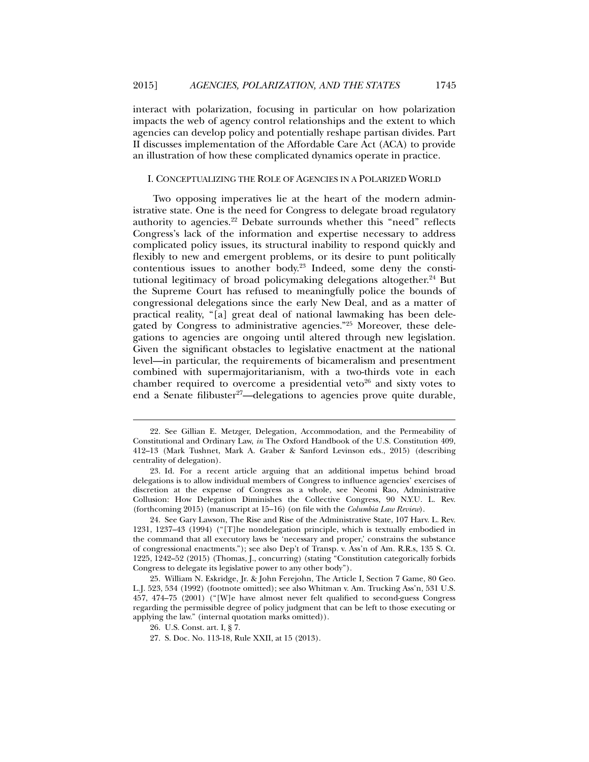interact with polarization, focusing in particular on how polarization impacts the web of agency control relationships and the extent to which agencies can develop policy and potentially reshape partisan divides. Part II discusses implementation of the Affordable Care Act (ACA) to provide an illustration of how these complicated dynamics operate in practice.

## I. CONCEPTUALIZING THE ROLE OF AGENCIES IN A POLARIZED WORLD

Two opposing imperatives lie at the heart of the modern administrative state. One is the need for Congress to delegate broad regulatory authority to agencies.<sup>22</sup> Debate surrounds whether this "need" reflects Congress's lack of the information and expertise necessary to address complicated policy issues, its structural inability to respond quickly and flexibly to new and emergent problems, or its desire to punt politically contentious issues to another body.23 Indeed, some deny the constitutional legitimacy of broad policymaking delegations altogether.<sup>24</sup> But the Supreme Court has refused to meaningfully police the bounds of congressional delegations since the early New Deal, and as a matter of practical reality, "[a] great deal of national lawmaking has been delegated by Congress to administrative agencies."25 Moreover, these delegations to agencies are ongoing until altered through new legislation. Given the significant obstacles to legislative enactment at the national level—in particular, the requirements of bicameralism and presentment combined with supermajoritarianism, with a two-thirds vote in each chamber required to overcome a presidential veto<sup>26</sup> and sixty votes to end a Senate filibuster<sup>27</sup>—delegations to agencies prove quite durable,

 <sup>22.</sup> See Gillian E. Metzger, Delegation, Accommodation, and the Permeability of Constitutional and Ordinary Law, *in* The Oxford Handbook of the U.S. Constitution 409, 412–13 (Mark Tushnet, Mark A. Graber & Sanford Levinson eds., 2015) (describing centrality of delegation).

 <sup>23.</sup> Id. For a recent article arguing that an additional impetus behind broad delegations is to allow individual members of Congress to influence agencies' exercises of discretion at the expense of Congress as a whole, see Neomi Rao, Administrative Collusion: How Delegation Diminishes the Collective Congress, 90 N.Y.U. L. Rev. (forthcoming 2015) (manuscript at 15–16) (on file with the *Columbia Law Review*).

 <sup>24.</sup> See Gary Lawson, The Rise and Rise of the Administrative State, 107 Harv. L. Rev. 1231, 1237–43 (1994) ("[T]he nondelegation principle, which is textually embodied in the command that all executory laws be 'necessary and proper,' constrains the substance of congressional enactments."); see also Dep't of Transp. v. Ass'n of Am. R.R.s, 135 S. Ct. 1225, 1242–52 (2015) (Thomas, J., concurring) (stating "Constitution categorically forbids Congress to delegate its legislative power to any other body").

 <sup>25.</sup> William N. Eskridge, Jr. & John Ferejohn, The Article I, Section 7 Game, 80 Geo. L.J. 523, 534 (1992) (footnote omitted); see also Whitman v. Am. Trucking Ass'n, 531 U.S. 457, 474–75 (2001) ("[W]e have almost never felt qualified to second-guess Congress regarding the permissible degree of policy judgment that can be left to those executing or applying the law." (internal quotation marks omitted)).

 <sup>26.</sup> U.S. Const. art. I, § 7.

 <sup>27.</sup> S. Doc. No. 113-18, Rule XXII, at 15 (2013).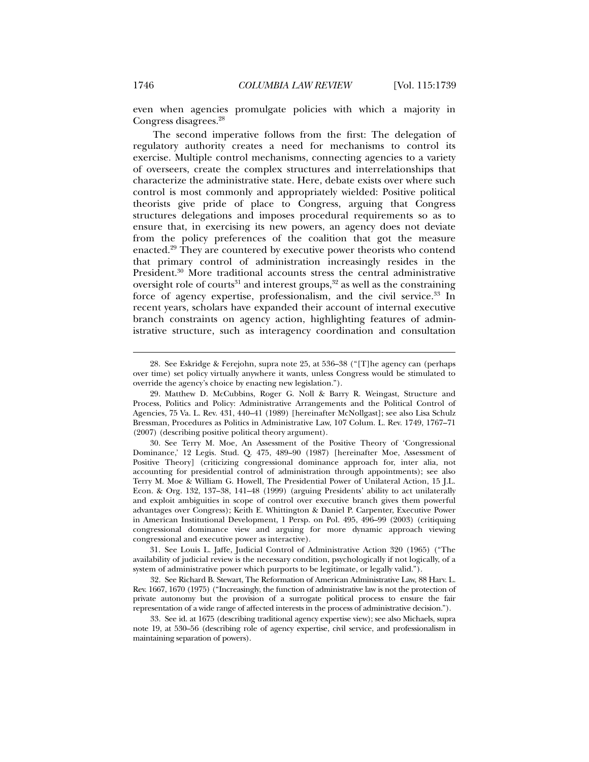even when agencies promulgate policies with which a majority in Congress disagrees.28

The second imperative follows from the first: The delegation of regulatory authority creates a need for mechanisms to control its exercise. Multiple control mechanisms, connecting agencies to a variety of overseers, create the complex structures and interrelationships that characterize the administrative state. Here, debate exists over where such control is most commonly and appropriately wielded: Positive political theorists give pride of place to Congress, arguing that Congress structures delegations and imposes procedural requirements so as to ensure that, in exercising its new powers, an agency does not deviate from the policy preferences of the coalition that got the measure enacted.29 They are countered by executive power theorists who contend that primary control of administration increasingly resides in the President.<sup>30</sup> More traditional accounts stress the central administrative oversight role of courts<sup>31</sup> and interest groups,<sup>32</sup> as well as the constraining force of agency expertise, professionalism, and the civil service.<sup>33</sup> In recent years, scholars have expanded their account of internal executive branch constraints on agency action, highlighting features of administrative structure, such as interagency coordination and consultation

 <sup>28.</sup> See Eskridge & Ferejohn, supra note 25, at 536–38 ("[T]he agency can (perhaps over time) set policy virtually anywhere it wants, unless Congress would be stimulated to override the agency's choice by enacting new legislation.").

 <sup>29.</sup> Matthew D. McCubbins, Roger G. Noll & Barry R. Weingast, Structure and Process, Politics and Policy: Administrative Arrangements and the Political Control of Agencies, 75 Va. L. Rev. 431, 440–41 (1989) [hereinafter McNollgast]; see also Lisa Schulz Bressman, Procedures as Politics in Administrative Law, 107 Colum. L. Rev. 1749, 1767–71 (2007) (describing positive political theory argument).

 <sup>30.</sup> See Terry M. Moe, An Assessment of the Positive Theory of 'Congressional Dominance,' 12 Legis. Stud. Q. 475, 489–90 (1987) [hereinafter Moe, Assessment of Positive Theory] (criticizing congressional dominance approach for, inter alia, not accounting for presidential control of administration through appointments); see also Terry M. Moe & William G. Howell, The Presidential Power of Unilateral Action, 15 J.L. Econ. & Org. 132, 137–38, 141–48 (1999) (arguing Presidents' ability to act unilaterally and exploit ambiguities in scope of control over executive branch gives them powerful advantages over Congress); Keith E. Whittington & Daniel P. Carpenter, Executive Power in American Institutional Development, 1 Persp. on Pol. 495, 496–99 (2003) (critiquing congressional dominance view and arguing for more dynamic approach viewing congressional and executive power as interactive).

 <sup>31.</sup> See Louis L. Jaffe, Judicial Control of Administrative Action 320 (1965) ("The availability of judicial review is the necessary condition, psychologically if not logically, of a system of administrative power which purports to be legitimate, or legally valid.").

 <sup>32.</sup> See Richard B. Stewart, The Reformation of American Administrative Law, 88 Harv. L. Rev. 1667, 1670 (1975) ("Increasingly, the function of administrative law is not the protection of private autonomy but the provision of a surrogate political process to ensure the fair representation of a wide range of affected interests in the process of administrative decision.").

 <sup>33.</sup> See id. at 1675 (describing traditional agency expertise view); see also Michaels, supra note 19, at 530–56 (describing role of agency expertise, civil service, and professionalism in maintaining separation of powers).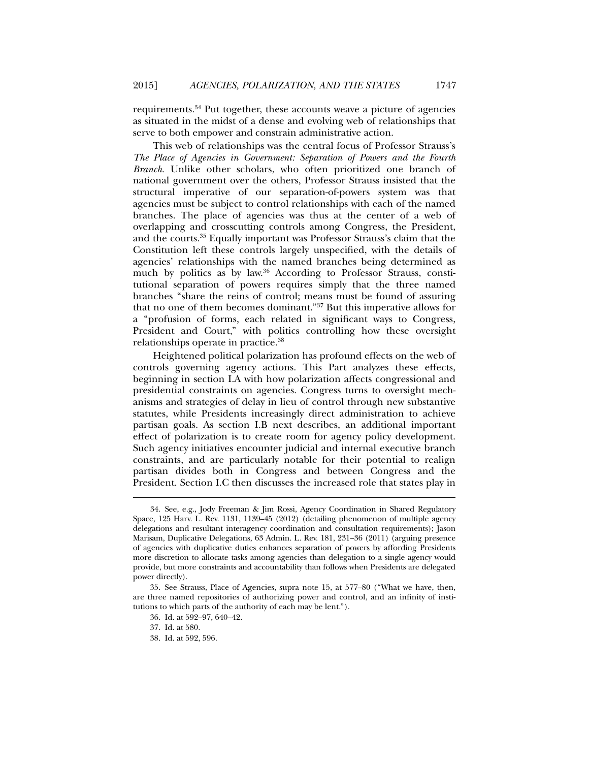requirements.34 Put together, these accounts weave a picture of agencies as situated in the midst of a dense and evolving web of relationships that serve to both empower and constrain administrative action.

This web of relationships was the central focus of Professor Strauss's *The Place of Agencies in Government: Separation of Powers and the Fourth Branch*. Unlike other scholars, who often prioritized one branch of national government over the others, Professor Strauss insisted that the structural imperative of our separation-of-powers system was that agencies must be subject to control relationships with each of the named branches. The place of agencies was thus at the center of a web of overlapping and crosscutting controls among Congress, the President, and the courts.35 Equally important was Professor Strauss's claim that the Constitution left these controls largely unspecified, with the details of agencies' relationships with the named branches being determined as much by politics as by law.36 According to Professor Strauss, constitutional separation of powers requires simply that the three named branches "share the reins of control; means must be found of assuring that no one of them becomes dominant."37 But this imperative allows for a "profusion of forms, each related in significant ways to Congress, President and Court," with politics controlling how these oversight relationships operate in practice.38

Heightened political polarization has profound effects on the web of controls governing agency actions. This Part analyzes these effects, beginning in section I.A with how polarization affects congressional and presidential constraints on agencies. Congress turns to oversight mechanisms and strategies of delay in lieu of control through new substantive statutes, while Presidents increasingly direct administration to achieve partisan goals. As section I.B next describes, an additional important effect of polarization is to create room for agency policy development. Such agency initiatives encounter judicial and internal executive branch constraints, and are particularly notable for their potential to realign partisan divides both in Congress and between Congress and the President. Section I.C then discusses the increased role that states play in

 <sup>34.</sup> See, e.g., Jody Freeman & Jim Rossi, Agency Coordination in Shared Regulatory Space, 125 Harv. L. Rev. 1131, 1139–45 (2012) (detailing phenomenon of multiple agency delegations and resultant interagency coordination and consultation requirements); Jason Marisam, Duplicative Delegations, 63 Admin. L. Rev. 181, 231–36 (2011) (arguing presence of agencies with duplicative duties enhances separation of powers by affording Presidents more discretion to allocate tasks among agencies than delegation to a single agency would provide, but more constraints and accountability than follows when Presidents are delegated power directly).

 <sup>35.</sup> See Strauss, Place of Agencies, supra note 15, at 577–80 ("What we have, then, are three named repositories of authorizing power and control, and an infinity of institutions to which parts of the authority of each may be lent.").

 <sup>36.</sup> Id. at 592–97, 640–42.

 <sup>37.</sup> Id. at 580.

 <sup>38.</sup> Id. at 592, 596.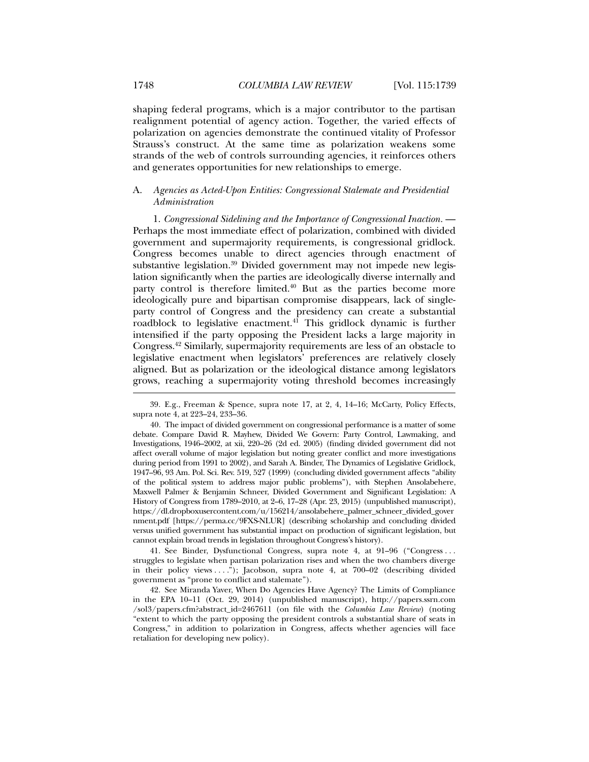shaping federal programs, which is a major contributor to the partisan realignment potential of agency action. Together, the varied effects of polarization on agencies demonstrate the continued vitality of Professor Strauss's construct. At the same time as polarization weakens some strands of the web of controls surrounding agencies, it reinforces others and generates opportunities for new relationships to emerge.

## A. *Agencies as Acted-Upon Entities: Congressional Stalemate and Presidential Administration*

1. *Congressional Sidelining and the Importance of Congressional Inaction.* — Perhaps the most immediate effect of polarization, combined with divided government and supermajority requirements, is congressional gridlock. Congress becomes unable to direct agencies through enactment of substantive legislation.<sup>39</sup> Divided government may not impede new legislation significantly when the parties are ideologically diverse internally and party control is therefore limited.<sup>40</sup> But as the parties become more ideologically pure and bipartisan compromise disappears, lack of singleparty control of Congress and the presidency can create a substantial roadblock to legislative enactment.<sup>41</sup> This gridlock dynamic is further intensified if the party opposing the President lacks a large majority in Congress.42 Similarly, supermajority requirements are less of an obstacle to legislative enactment when legislators' preferences are relatively closely aligned. But as polarization or the ideological distance among legislators grows, reaching a supermajority voting threshold becomes increasingly

 41. See Binder, Dysfunctional Congress, supra note 4, at 91–96 ("Congress . . . struggles to legislate when partisan polarization rises and when the two chambers diverge in their policy views . . . ."); Jacobson, supra note 4, at 700–02 (describing divided government as "prone to conflict and stalemate").

 42. See Miranda Yaver, When Do Agencies Have Agency? The Limits of Compliance in the EPA 10–11 (Oct. 29, 2014) (unpublished manuscript), http://papers.ssrn.com /sol3/papers.cfm?abstract\_id=2467611 (on file with the *Columbia Law Review*) (noting "extent to which the party opposing the president controls a substantial share of seats in Congress," in addition to polarization in Congress, affects whether agencies will face retaliation for developing new policy).

 <sup>39.</sup> E.g., Freeman & Spence, supra note 17, at 2, 4, 14–16; McCarty, Policy Effects, supra note 4, at 223–24, 233–36.

 <sup>40.</sup> The impact of divided government on congressional performance is a matter of some debate. Compare David R. Mayhew, Divided We Govern: Party Control, Lawmaking, and Investigations, 1946–2002, at xii, 220–26 (2d ed. 2005) (finding divided government did not affect overall volume of major legislation but noting greater conflict and more investigations during period from 1991 to 2002), and Sarah A. Binder, The Dynamics of Legislative Gridlock, 1947–96, 93 Am. Pol. Sci. Rev. 519, 527 (1999) (concluding divided government affects "ability of the political system to address major public problems"), with Stephen Ansolabehere, Maxwell Palmer & Benjamin Schneer, Divided Government and Significant Legislation: A History of Congress from 1789–2010, at 2–6, 17–28 (Apr. 23, 2015) (unpublished manuscript), https://dl.dropboxusercontent.com/u/156214/ansolabehere\_palmer\_schneer\_divided\_gover nment.pdf [https://perma.cc/9FXS-NLUR] (describing scholarship and concluding divided versus unified government has substantial impact on production of significant legislation, but cannot explain broad trends in legislation throughout Congress's history).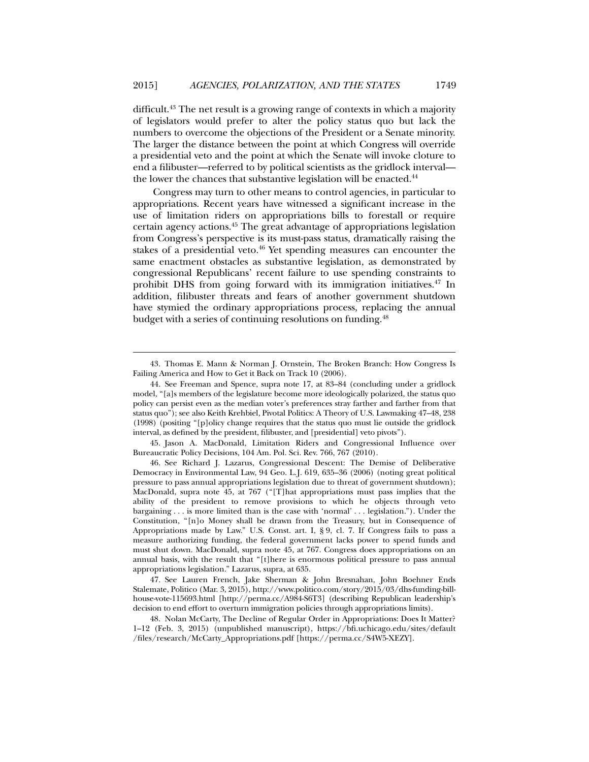difficult.43 The net result is a growing range of contexts in which a majority of legislators would prefer to alter the policy status quo but lack the numbers to overcome the objections of the President or a Senate minority. The larger the distance between the point at which Congress will override a presidential veto and the point at which the Senate will invoke cloture to end a filibuster—referred to by political scientists as the gridlock interval the lower the chances that substantive legislation will be enacted.<sup>44</sup>

Congress may turn to other means to control agencies, in particular to appropriations. Recent years have witnessed a significant increase in the use of limitation riders on appropriations bills to forestall or require certain agency actions.45 The great advantage of appropriations legislation from Congress's perspective is its must-pass status, dramatically raising the stakes of a presidential veto.<sup>46</sup> Yet spending measures can encounter the same enactment obstacles as substantive legislation, as demonstrated by congressional Republicans' recent failure to use spending constraints to prohibit DHS from going forward with its immigration initiatives.<sup>47</sup> In addition, filibuster threats and fears of another government shutdown have stymied the ordinary appropriations process, replacing the annual budget with a series of continuing resolutions on funding.<sup>48</sup>

l

 45. Jason A. MacDonald, Limitation Riders and Congressional Influence over Bureaucratic Policy Decisions, 104 Am. Pol. Sci. Rev. 766, 767 (2010).

 46. See Richard J. Lazarus, Congressional Descent: The Demise of Deliberative Democracy in Environmental Law, 94 Geo. L.J. 619, 635–36 (2006) (noting great political pressure to pass annual appropriations legislation due to threat of government shutdown); MacDonald, supra note 45, at 767 ("[T]hat appropriations must pass implies that the ability of the president to remove provisions to which he objects through veto bargaining . . . is more limited than is the case with 'normal' . . . legislation."). Under the Constitution, "[n]o Money shall be drawn from the Treasury, but in Consequence of Appropriations made by Law." U.S. Const. art. I, § 9, cl. 7. If Congress fails to pass a measure authorizing funding, the federal government lacks power to spend funds and must shut down. MacDonald, supra note 45, at 767. Congress does appropriations on an annual basis, with the result that "[t]here is enormous political pressure to pass annual appropriations legislation." Lazarus, supra, at 635.

 47. See Lauren French, Jake Sherman & John Bresnahan, John Boehner Ends Stalemate, Politico (Mar. 3, 2015), http://www.politico.com/story/2015/03/dhs-funding-billhouse-vote-115693.html [http://perma.cc/A984-S6T3] (describing Republican leadership's decision to end effort to overturn immigration policies through appropriations limits).

 48. Nolan McCarty, The Decline of Regular Order in Appropriations: Does It Matter? 1–12 (Feb. 3, 2015) (unpublished manuscript), https://bfi.uchicago.edu/sites/default /files/research/McCarty\_Appropriations.pdf [https://perma.cc/S4W5-XEZY].

 <sup>43.</sup> Thomas E. Mann & Norman J. Ornstein, The Broken Branch: How Congress Is Failing America and How to Get it Back on Track 10 (2006).

 <sup>44.</sup> See Freeman and Spence, supra note 17, at 83–84 (concluding under a gridlock model, "[a]s members of the legislature become more ideologically polarized, the status quo policy can persist even as the median voter's preferences stray farther and farther from that status quo"); see also Keith Krehbiel, Pivotal Politics: A Theory of U.S. Lawmaking 47–48, 238 (1998) (positing "[p]olicy change requires that the status quo must lie outside the gridlock interval, as defined by the president, filibuster, and [presidential] veto pivots").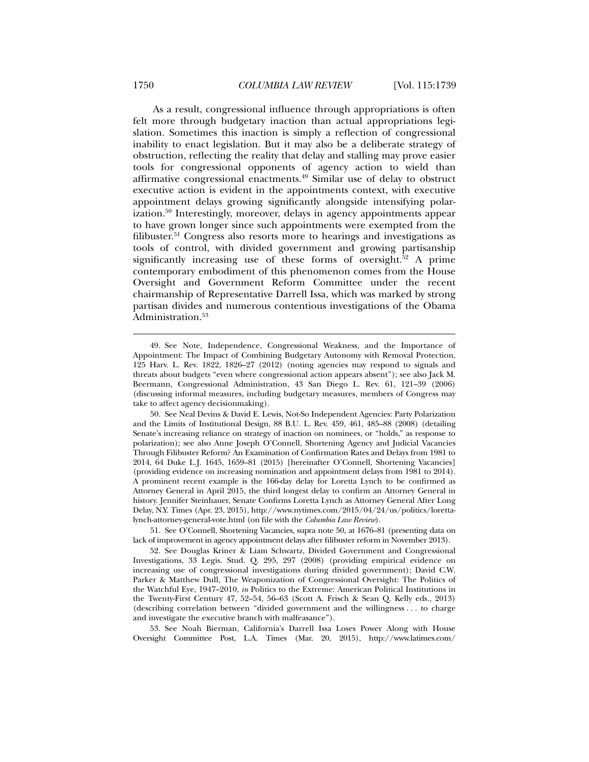As a result, congressional influence through appropriations is often felt more through budgetary inaction than actual appropriations legislation. Sometimes this inaction is simply a reflection of congressional inability to enact legislation. But it may also be a deliberate strategy of obstruction, reflecting the reality that delay and stalling may prove easier tools for congressional opponents of agency action to wield than affirmative congressional enactments.49 Similar use of delay to obstruct executive action is evident in the appointments context, with executive appointment delays growing significantly alongside intensifying polarization.50 Interestingly, moreover, delays in agency appointments appear to have grown longer since such appointments were exempted from the filibuster.<sup>51</sup> Congress also resorts more to hearings and investigations as tools of control, with divided government and growing partisanship significantly increasing use of these forms of oversight.<sup>52</sup> A prime contemporary embodiment of this phenomenon comes from the House Oversight and Government Reform Committee under the recent chairmanship of Representative Darrell Issa, which was marked by strong partisan divides and numerous contentious investigations of the Obama Administration.<sup>53</sup>

 51. See O'Connell, Shortening Vacancies, supra note 50, at 1676–81 (presenting data on lack of improvement in agency appointment delays after filibuster reform in November 2013).

 53. See Noah Bierman, California's Darrell Issa Loses Power Along with House Oversight Committee Post, L.A. Times (Mar. 20, 2015), http://www.latimes.com/

 <sup>49.</sup> See Note, Independence, Congressional Weakness, and the Importance of Appointment: The Impact of Combining Budgetary Autonomy with Removal Protection, 125 Harv. L. Rev. 1822, 1826–27 (2012) (noting agencies may respond to signals and threats about budgets "even where congressional action appears absent"); see also Jack M. Beermann, Congressional Administration, 43 San Diego L. Rev. 61, 121–39 (2006) (discussing informal measures, including budgetary measures, members of Congress may take to affect agency decisionmaking).

 <sup>50.</sup> See Neal Devins & David E. Lewis, Not-So Independent Agencies: Party Polarization and the Limits of Institutional Design, 88 B.U. L. Rev. 459, 461, 485–88 (2008) (detailing Senate's increasing reliance on strategy of inaction on nominees, or "holds," as response to polarization); see also Anne Joseph O'Connell, Shortening Agency and Judicial Vacancies Through Filibuster Reform? An Examination of Confirmation Rates and Delays from 1981 to 2014, 64 Duke L.J. 1645, 1659–81 (2015) [hereinafter O'Connell, Shortening Vacancies] (providing evidence on increasing nomination and appointment delays from 1981 to 2014). A prominent recent example is the 166-day delay for Loretta Lynch to be confirmed as Attorney General in April 2015, the third longest delay to confirm an Attorney General in history. Jennifer Steinhauer, Senate Confirms Loretta Lynch as Attorney General After Long Delay, N.Y. Times (Apr. 23, 2015), http://www.nytimes.com/2015/04/24/us/politics/lorettalynch-attorney-general-vote.html (on file with the *Columbia Law Review*).

 <sup>52.</sup> See Douglas Kriner & Liam Schwartz, Divided Government and Congressional Investigations, 33 Legis. Stud. Q. 295, 297 (2008) (providing empirical evidence on increasing use of congressional investigations during divided government); David C.W. Parker & Matthew Dull, The Weaponization of Congressional Oversight: The Politics of the Watchful Eye, 1947–2010, *in* Politics to the Extreme: American Political Institutions in the Twenty-First Century 47, 52–54, 56–63 (Scott A. Frisch & Sean Q. Kelly eds., 2013) (describing correlation between "divided government and the willingness . . . to charge and investigate the executive branch with malfeasance").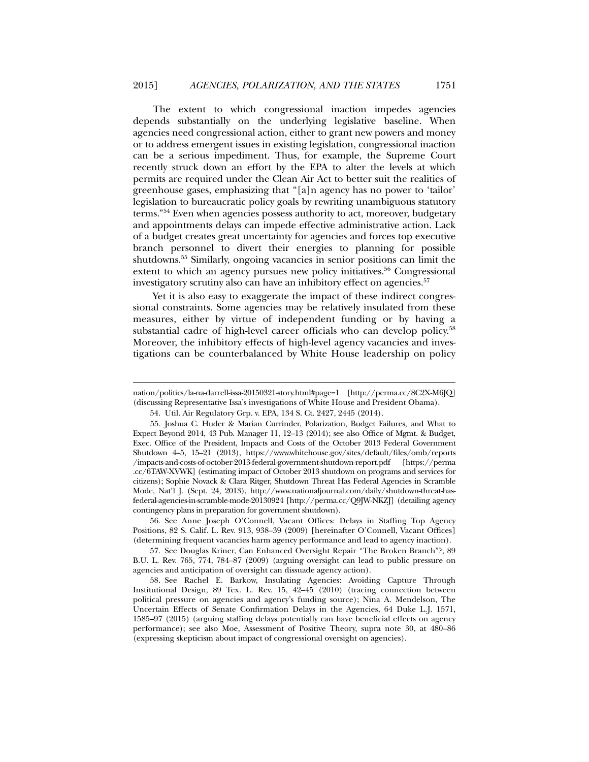The extent to which congressional inaction impedes agencies depends substantially on the underlying legislative baseline. When agencies need congressional action, either to grant new powers and money or to address emergent issues in existing legislation, congressional inaction can be a serious impediment. Thus, for example, the Supreme Court recently struck down an effort by the EPA to alter the levels at which permits are required under the Clean Air Act to better suit the realities of greenhouse gases, emphasizing that "[a]n agency has no power to 'tailor' legislation to bureaucratic policy goals by rewriting unambiguous statutory terms."54 Even when agencies possess authority to act, moreover, budgetary and appointments delays can impede effective administrative action. Lack of a budget creates great uncertainty for agencies and forces top executive branch personnel to divert their energies to planning for possible shutdowns.55 Similarly, ongoing vacancies in senior positions can limit the extent to which an agency pursues new policy initiatives.<sup>56</sup> Congressional investigatory scrutiny also can have an inhibitory effect on agencies.<sup>57</sup>

Yet it is also easy to exaggerate the impact of these indirect congressional constraints. Some agencies may be relatively insulated from these measures, either by virtue of independent funding or by having a substantial cadre of high-level career officials who can develop policy.<sup>58</sup> Moreover, the inhibitory effects of high-level agency vacancies and investigations can be counterbalanced by White House leadership on policy

l

 56. See Anne Joseph O'Connell, Vacant Offices: Delays in Staffing Top Agency Positions, 82 S. Calif. L. Rev. 913, 938–39 (2009) [hereinafter O'Connell, Vacant Offices] (determining frequent vacancies harm agency performance and lead to agency inaction).

 57. See Douglas Kriner, Can Enhanced Oversight Repair "The Broken Branch"?, 89 B.U. L. Rev. 765, 774, 784–87 (2009) (arguing oversight can lead to public pressure on agencies and anticipation of oversight can dissuade agency action).

nation/politics/la-na-darrell-issa-20150321-story.html#page=1 [http://perma.cc/8C2X-M6JQ] (discussing Representative Issa's investigations of White House and President Obama).

 <sup>54.</sup> Util. Air Regulatory Grp. v. EPA, 134 S. Ct. 2427, 2445 (2014).

 <sup>55.</sup> Joshua C. Huder & Marian Currinder, Polarization, Budget Failures, and What to Expect Beyond 2014, 43 Pub. Manager 11, 12–13 (2014); see also Office of Mgmt. & Budget, Exec. Office of the President, Impacts and Costs of the October 2013 Federal Government Shutdown 4–5, 15–21 (2013), https://www.whitehouse.gov/sites/default/files/omb/reports /impacts-and-costs-of-october-2013-federal-government-shutdown-report.pdf [https://perma .cc/6TAW-XVWK] (estimating impact of October 2013 shutdown on programs and services for citizens); Sophie Novack & Clara Ritger, Shutdown Threat Has Federal Agencies in Scramble Mode, Nat'l J. (Sept. 24, 2013), http://www.nationaljournal.com/daily/shutdown-threat-hasfederal-agencies-in-scramble-mode-20130924 [http://perma.cc/Q9JW-NKZJ] (detailing agency contingency plans in preparation for government shutdown).

 <sup>58.</sup> See Rachel E. Barkow, Insulating Agencies: Avoiding Capture Through Institutional Design, 89 Tex. L. Rev. 15, 42–45 (2010) (tracing connection between political pressure on agencies and agency's funding source); Nina A. Mendelson, The Uncertain Effects of Senate Confirmation Delays in the Agencies, 64 Duke L.J. 1571, 1585–97 (2015) (arguing staffing delays potentially can have beneficial effects on agency performance); see also Moe, Assessment of Positive Theory, supra note 30, at 480–86 (expressing skepticism about impact of congressional oversight on agencies).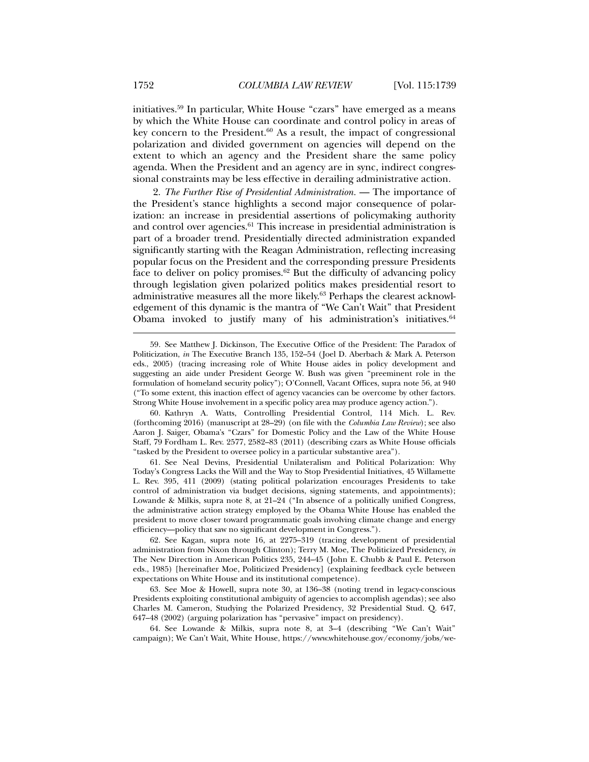initiatives.59 In particular, White House "czars" have emerged as a means by which the White House can coordinate and control policy in areas of key concern to the President. $60$  As a result, the impact of congressional polarization and divided government on agencies will depend on the extent to which an agency and the President share the same policy agenda. When the President and an agency are in sync, indirect congressional constraints may be less effective in derailing administrative action.

2. *The Further Rise of Presidential Administration.* — The importance of the President's stance highlights a second major consequence of polarization: an increase in presidential assertions of policymaking authority and control over agencies.<sup>61</sup> This increase in presidential administration is part of a broader trend. Presidentially directed administration expanded significantly starting with the Reagan Administration, reflecting increasing popular focus on the President and the corresponding pressure Presidents face to deliver on policy promises.<sup>62</sup> But the difficulty of advancing policy through legislation given polarized politics makes presidential resort to administrative measures all the more likely.63 Perhaps the clearest acknowledgement of this dynamic is the mantra of "We Can't Wait" that President Obama invoked to justify many of his administration's initiatives. $64$ 

 60. Kathryn A. Watts, Controlling Presidential Control, 114 Mich. L. Rev. (forthcoming 2016) (manuscript at 28–29) (on file with the *Columbia Law Review*); see also Aaron J. Saiger, Obama's "Czars" for Domestic Policy and the Law of the White House Staff, 79 Fordham L. Rev. 2577, 2582–83 (2011) (describing czars as White House officials "tasked by the President to oversee policy in a particular substantive area").

 61. See Neal Devins, Presidential Unilateralism and Political Polarization: Why Today's Congress Lacks the Will and the Way to Stop Presidential Initiatives, 45 Willamette L. Rev. 395, 411 (2009) (stating political polarization encourages Presidents to take control of administration via budget decisions, signing statements, and appointments); Lowande & Milkis, supra note 8, at 21–24 ("In absence of a politically unified Congress, the administrative action strategy employed by the Obama White House has enabled the president to move closer toward programmatic goals involving climate change and energy efficiency—policy that saw no significant development in Congress.").

 62. See Kagan, supra note 16, at 2275–319 (tracing development of presidential administration from Nixon through Clinton); Terry M. Moe, The Politicized Presidency, *in* The New Direction in American Politics 235, 244–45 (John E. Chubb & Paul E. Peterson eds., 1985) [hereinafter Moe, Politicized Presidency] (explaining feedback cycle between expectations on White House and its institutional competence).

 63. See Moe & Howell, supra note 30, at 136–38 (noting trend in legacy-conscious Presidents exploiting constitutional ambiguity of agencies to accomplish agendas); see also Charles M. Cameron, Studying the Polarized Presidency, 32 Presidential Stud. Q. 647, 647–48 (2002) (arguing polarization has "pervasive" impact on presidency).

 64. See Lowande & Milkis, supra note 8, at 3–4 (describing "We Can't Wait" campaign); We Can't Wait, White House, https://www.whitehouse.gov/economy/jobs/we-

 <sup>59.</sup> See Matthew J. Dickinson, The Executive Office of the President: The Paradox of Politicization, *in* The Executive Branch 135, 152–54 (Joel D. Aberbach & Mark A. Peterson eds., 2005) (tracing increasing role of White House aides in policy development and suggesting an aide under President George W. Bush was given "preeminent role in the formulation of homeland security policy"); O'Connell, Vacant Offices, supra note 56, at 940 ("To some extent, this inaction effect of agency vacancies can be overcome by other factors. Strong White House involvement in a specific policy area may produce agency action.").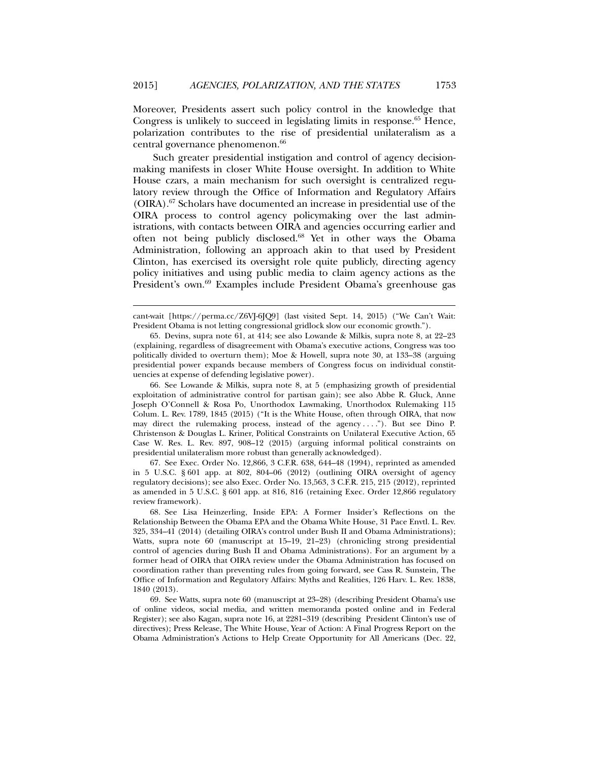Moreover, Presidents assert such policy control in the knowledge that Congress is unlikely to succeed in legislating limits in response.<sup>65</sup> Hence, polarization contributes to the rise of presidential unilateralism as a central governance phenomenon.<sup>66</sup>

Such greater presidential instigation and control of agency decisionmaking manifests in closer White House oversight. In addition to White House czars, a main mechanism for such oversight is centralized regulatory review through the Office of Information and Regulatory Affairs (OIRA).67 Scholars have documented an increase in presidential use of the OIRA process to control agency policymaking over the last administrations, with contacts between OIRA and agencies occurring earlier and often not being publicly disclosed.68 Yet in other ways the Obama Administration, following an approach akin to that used by President Clinton, has exercised its oversight role quite publicly, directing agency policy initiatives and using public media to claim agency actions as the President's own.<sup>69</sup> Examples include President Obama's greenhouse gas

l

 66. See Lowande & Milkis, supra note 8, at 5 (emphasizing growth of presidential exploitation of administrative control for partisan gain); see also Abbe R. Gluck, Anne Joseph O'Connell & Rosa Po, Unorthodox Lawmaking, Unorthodox Rulemaking 115 Colum. L. Rev. 1789, 1845 (2015) ("It is the White House, often through OIRA, that now may direct the rulemaking process, instead of the agency . . . ."). But see Dino P. Christenson & Douglas L. Kriner, Political Constraints on Unilateral Executive Action, 65 Case W. Res. L. Rev. 897, 908–12 (2015) (arguing informal political constraints on presidential unilateralism more robust than generally acknowledged).

 67. See Exec. Order No. 12,866, 3 C.F.R. 638, 644–48 (1994), reprinted as amended in 5 U.S.C. § 601 app. at 802, 804–06 (2012) (outlining OIRA oversight of agency regulatory decisions); see also Exec. Order No. 13,563, 3 C.F.R. 215, 215 (2012), reprinted as amended in 5 U.S.C. § 601 app. at 816, 816 (retaining Exec. Order 12,866 regulatory review framework).

 68. See Lisa Heinzerling, Inside EPA: A Former Insider's Reflections on the Relationship Between the Obama EPA and the Obama White House, 31 Pace Envtl. L. Rev. 325, 334–41 (2014) (detailing OIRA's control under Bush II and Obama Administrations); Watts, supra note 60 (manuscript at 15–19, 21–23) (chronicling strong presidential control of agencies during Bush II and Obama Administrations). For an argument by a former head of OIRA that OIRA review under the Obama Administration has focused on coordination rather than preventing rules from going forward, see Cass R. Sunstein, The Office of Information and Regulatory Affairs: Myths and Realities, 126 Harv. L. Rev. 1838, 1840 (2013).

 69. See Watts, supra note 60 (manuscript at 23–28) (describing President Obama's use of online videos, social media, and written memoranda posted online and in Federal Register); see also Kagan, supra note 16, at 2281–319 (describing President Clinton's use of directives); Press Release, The White House, Year of Action: A Final Progress Report on the Obama Administration's Actions to Help Create Opportunity for All Americans (Dec. 22,

cant-wait [https://perma.cc/Z6VJ-6JQ9] (last visited Sept. 14, 2015) ("We Can't Wait: President Obama is not letting congressional gridlock slow our economic growth.").

 <sup>65.</sup> Devins, supra note 61, at 414; see also Lowande & Milkis, supra note 8, at 22–23 (explaining, regardless of disagreement with Obama's executive actions, Congress was too politically divided to overturn them); Moe & Howell, supra note 30, at 133–38 (arguing presidential power expands because members of Congress focus on individual constituencies at expense of defending legislative power).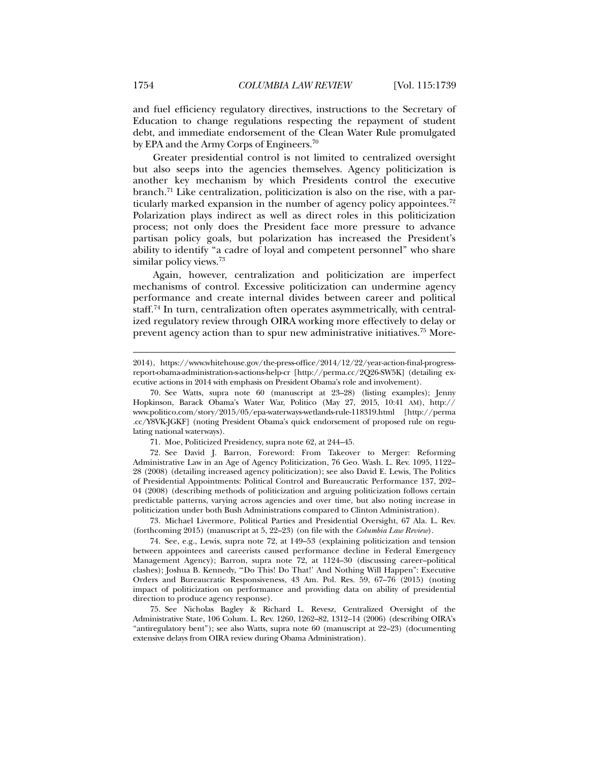and fuel efficiency regulatory directives, instructions to the Secretary of Education to change regulations respecting the repayment of student debt, and immediate endorsement of the Clean Water Rule promulgated by EPA and the Army Corps of Engineers.70

Greater presidential control is not limited to centralized oversight but also seeps into the agencies themselves. Agency politicization is another key mechanism by which Presidents control the executive branch.71 Like centralization, politicization is also on the rise, with a particularly marked expansion in the number of agency policy appointees.<sup>72</sup> Polarization plays indirect as well as direct roles in this politicization process; not only does the President face more pressure to advance partisan policy goals, but polarization has increased the President's ability to identify "a cadre of loyal and competent personnel" who share similar policy views.<sup>73</sup>

Again, however, centralization and politicization are imperfect mechanisms of control. Excessive politicization can undermine agency performance and create internal divides between career and political staff.74 In turn, centralization often operates asymmetrically, with centralized regulatory review through OIRA working more effectively to delay or prevent agency action than to spur new administrative initiatives.<sup>75</sup> More-

71. Moe, Politicized Presidency, supra note 62, at 244–45.

 72. See David J. Barron, Foreword: From Takeover to Merger: Reforming Administrative Law in an Age of Agency Politicization, 76 Geo. Wash. L. Rev. 1095, 1122– 28 (2008) (detailing increased agency politicization); see also David E. Lewis, The Politics of Presidential Appointments: Political Control and Bureaucratic Performance 137, 202– 04 (2008) (describing methods of politicization and arguing politicization follows certain predictable patterns, varying across agencies and over time, but also noting increase in politicization under both Bush Administrations compared to Clinton Administration).

 73. Michael Livermore, Political Parties and Presidential Oversight, 67 Ala. L. Rev. (forthcoming 2015) (manuscript at 5, 22–23) (on file with the *Columbia Law Review*).

 74. See, e.g., Lewis, supra note 72, at 149–53 (explaining politicization and tension between appointees and careerists caused performance decline in Federal Emergency Management Agency); Barron, supra note 72, at 1124–30 (discussing career–political clashes); Joshua B. Kennedy, "'Do This! Do That!' And Nothing Will Happen": Executive Orders and Bureaucratic Responsiveness, 43 Am. Pol. Res. 59, 67–76 (2015) (noting impact of politicization on performance and providing data on ability of presidential direction to produce agency response).

 75. See Nicholas Bagley & Richard L. Revesz, Centralized Oversight of the Administrative State, 106 Colum. L. Rev. 1260, 1262–82, 1312–14 (2006) (describing OIRA's "antiregulatory bent"); see also Watts, supra note 60 (manuscript at 22–23) (documenting extensive delays from OIRA review during Obama Administration).

<sup>2014),</sup> https://www.whitehouse.gov/the-press-office/2014/12/22/year-action-final-progressreport-obama-administration-s-actions-help-cr [http://perma.cc/2Q26-SW5K] (detailing executive actions in 2014 with emphasis on President Obama's role and involvement).

 <sup>70.</sup> See Watts, supra note 60 (manuscript at 23–28) (listing examples); Jenny Hopkinson, Barack Obama's Water War, Politico (May 27, 2015, 10:41 AM), http:// www.politico.com/story/2015/05/epa-waterways-wetlands-rule-118319.html [http://perma .cc/Y8VK-JGKF] (noting President Obama's quick endorsement of proposed rule on regulating national waterways).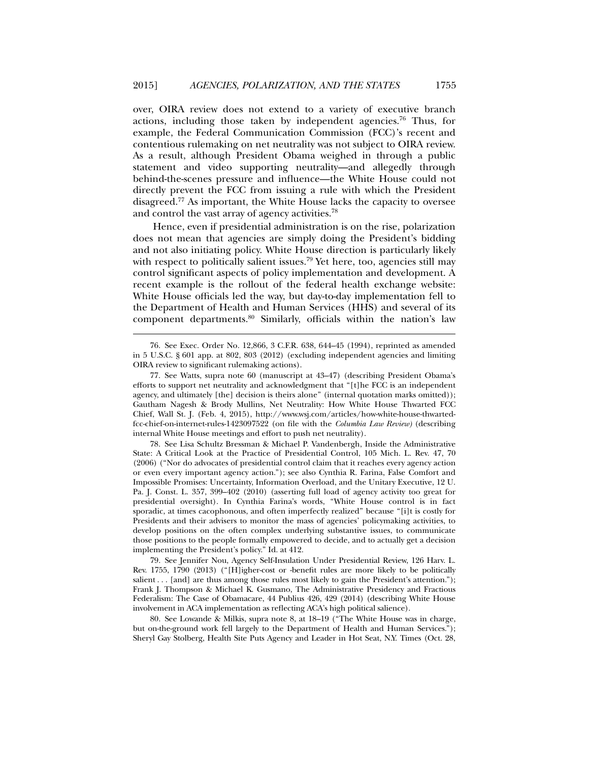over, OIRA review does not extend to a variety of executive branch actions, including those taken by independent agencies.76 Thus, for example, the Federal Communication Commission (FCC)'s recent and contentious rulemaking on net neutrality was not subject to OIRA review. As a result, although President Obama weighed in through a public statement and video supporting neutrality—and allegedly through behind-the-scenes pressure and influence—the White House could not directly prevent the FCC from issuing a rule with which the President disagreed.77 As important, the White House lacks the capacity to oversee and control the vast array of agency activities.78

Hence, even if presidential administration is on the rise, polarization does not mean that agencies are simply doing the President's bidding and not also initiating policy. White House direction is particularly likely with respect to politically salient issues.<sup>79</sup> Yet here, too, agencies still may control significant aspects of policy implementation and development. A recent example is the rollout of the federal health exchange website: White House officials led the way, but day-to-day implementation fell to the Department of Health and Human Services (HHS) and several of its component departments.<sup>80</sup> Similarly, officials within the nation's law

l

 78. See Lisa Schultz Bressman & Michael P. Vandenbergh, Inside the Administrative State: A Critical Look at the Practice of Presidential Control, 105 Mich. L. Rev. 47, 70 (2006) ("Nor do advocates of presidential control claim that it reaches every agency action or even every important agency action."); see also Cynthia R. Farina, False Comfort and Impossible Promises: Uncertainty, Information Overload, and the Unitary Executive, 12 U. Pa. J. Const. L. 357, 399–402 (2010) (asserting full load of agency activity too great for presidential oversight). In Cynthia Farina's words, "White House control is in fact sporadic, at times cacophonous, and often imperfectly realized" because "[i]t is costly for Presidents and their advisers to monitor the mass of agencies' policymaking activities, to develop positions on the often complex underlying substantive issues, to communicate those positions to the people formally empowered to decide, and to actually get a decision implementing the President's policy." Id. at 412.

 79. See Jennifer Nou, Agency Self-Insulation Under Presidential Review, 126 Harv. L. Rev. 1755, 1790 (2013) ("[H]igher-cost or -benefit rules are more likely to be politically salient . . . [and] are thus among those rules most likely to gain the President's attention."); Frank J. Thompson & Michael K. Gusmano, The Administrative Presidency and Fractious Federalism: The Case of Obamacare, 44 Publius 426, 429 (2014) (describing White House involvement in ACA implementation as reflecting ACA's high political salience).

 80. See Lowande & Milkis, supra note 8, at 18–19 ("The White House was in charge, but on-the-ground work fell largely to the Department of Health and Human Services."); Sheryl Gay Stolberg, Health Site Puts Agency and Leader in Hot Seat, N.Y. Times (Oct. 28,

 <sup>76.</sup> See Exec. Order No. 12,866, 3 C.F.R. 638, 644–45 (1994), reprinted as amended in 5 U.S.C. § 601 app. at 802, 803 (2012) (excluding independent agencies and limiting OIRA review to significant rulemaking actions).

 <sup>77.</sup> See Watts, supra note 60 (manuscript at 43–47) (describing President Obama's efforts to support net neutrality and acknowledgment that "[t]he FCC is an independent agency, and ultimately [the] decision is theirs alone" (internal quotation marks omitted)); Gautham Nagesh & Brody Mullins, Net Neutrality: How White House Thwarted FCC Chief, Wall St. J. (Feb. 4, 2015), http://www.wsj.com/articles/how-white-house-thwartedfcc-chief-on-internet-rules-1423097522 (on file with the *Columbia Law Review)* (describing internal White House meetings and effort to push net neutrality).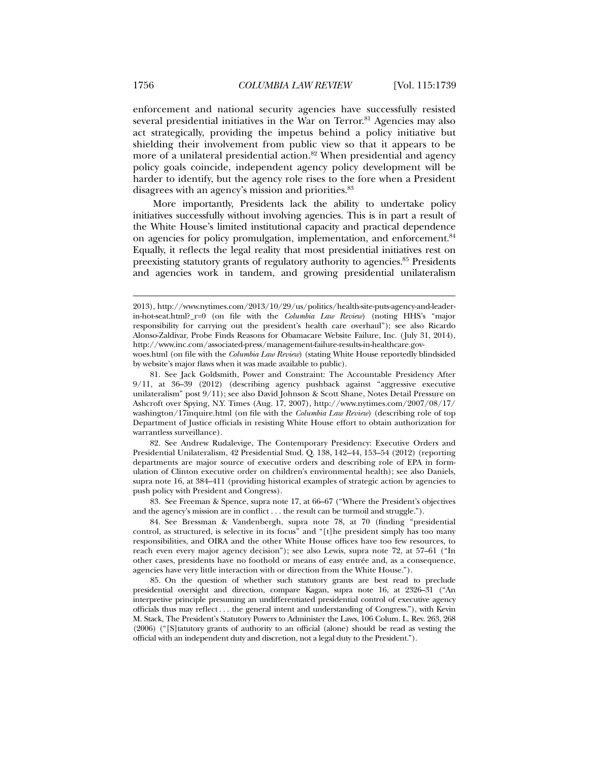enforcement and national security agencies have successfully resisted several presidential initiatives in the War on Terror.<sup>81</sup> Agencies may also act strategically, providing the impetus behind a policy initiative but shielding their involvement from public view so that it appears to be more of a unilateral presidential action.<sup>82</sup> When presidential and agency policy goals coincide, independent agency policy development will be harder to identify, but the agency role rises to the fore when a President disagrees with an agency's mission and priorities.83

More importantly, Presidents lack the ability to undertake policy initiatives successfully without involving agencies. This is in part a result of the White House's limited institutional capacity and practical dependence on agencies for policy promulgation, implementation, and enforcement.<sup>84</sup> Equally, it reflects the legal reality that most presidential initiatives rest on preexisting statutory grants of regulatory authority to agencies.85 Presidents and agencies work in tandem, and growing presidential unilateralism

 82. See Andrew Rudalevige, The Contemporary Presidency: Executive Orders and Presidential Unilateralism, 42 Presidential Stud. Q. 138, 142–44, 153–54 (2012) (reporting departments are major source of executive orders and describing role of EPA in formulation of Clinton executive order on children's environmental health); see also Daniels, supra note 16, at 384–411 (providing historical examples of strategic action by agencies to push policy with President and Congress).

 83. See Freeman & Spence, supra note 17, at 66–67 ("Where the President's objectives and the agency's mission are in conflict . . . the result can be turmoil and struggle.").

 84. See Bressman & Vandenbergh, supra note 78, at 70 (finding "presidential control, as structured, is selective in its focus" and "[t]he president simply has too many responsibilities, and OIRA and the other White House offices have too few resources, to reach even every major agency decision"); see also Lewis, supra note 72, at 57–61 ("In other cases, presidents have no foothold or means of easy entrée and, as a consequence, agencies have very little interaction with or direction from the White House.").

 85. On the question of whether such statutory grants are best read to preclude presidential oversight and direction, compare Kagan, supra note 16, at 2326–31 ("An interpretive principle presuming an undifferentiated presidential control of executive agency officials thus may reflect . . . the general intent and understanding of Congress."), with Kevin M. Stack, The President's Statutory Powers to Administer the Laws, 106 Colum. L. Rev. 263, 268 (2006) ("[S]tatutory grants of authority to an official (alone) should be read as vesting the official with an independent duty and discretion, not a legal duty to the President.").

<sup>2013),</sup> http://www.nytimes.com/2013/10/29/us/politics/health-site-puts-agency-and-leaderin-hot-seat.html?\_r=0 (on file with the *Columbia Law Review*) (noting HHS's "major responsibility for carrying out the president's health care overhaul"); see also Ricardo Alonso-Zaldivar, Probe Finds Reasons for Obamacare Website Failure, Inc. (July 31, 2014), http://www.inc.com/associated-press/management-failure-results-in-healthcare.gov-

woes.html (on file with the *Columbia Law Review*) (stating White House reportedly blindsided by website's major flaws when it was made available to public).

 <sup>81.</sup> See Jack Goldsmith, Power and Constraint: The Accountable Presidency After 9/11, at 36–39 (2012) (describing agency pushback against "aggressive executive unilateralism" post 9/11); see also David Johnson & Scott Shane, Notes Detail Pressure on Ashcroft over Spying, N.Y. Times (Aug. 17, 2007), http://www.nytimes.com/2007/08/17/ washington/17inquire.html (on file with the *Columbia Law Review*) (describing role of top Department of Justice officials in resisting White House effort to obtain authorization for warrantless surveillance).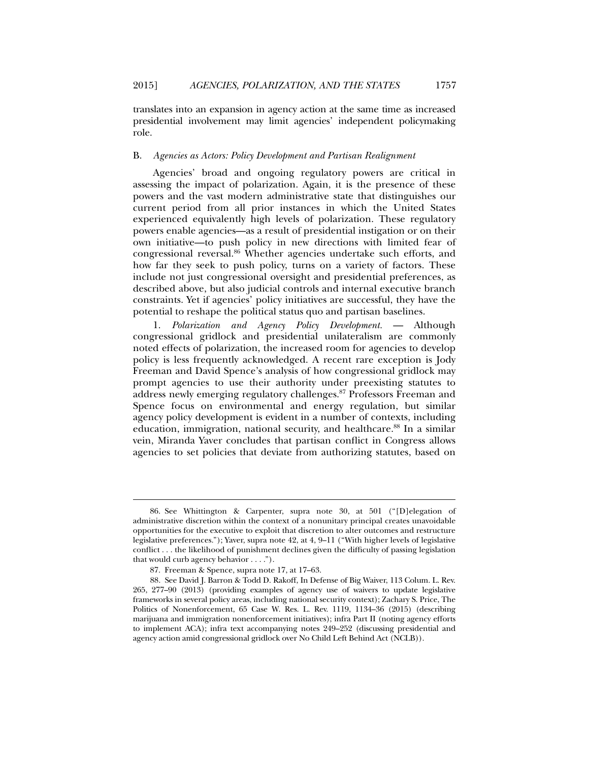translates into an expansion in agency action at the same time as increased presidential involvement may limit agencies' independent policymaking role.

## B. *Agencies as Actors: Policy Development and Partisan Realignment*

Agencies' broad and ongoing regulatory powers are critical in assessing the impact of polarization. Again, it is the presence of these powers and the vast modern administrative state that distinguishes our current period from all prior instances in which the United States experienced equivalently high levels of polarization. These regulatory powers enable agencies—as a result of presidential instigation or on their own initiative—to push policy in new directions with limited fear of congressional reversal.86 Whether agencies undertake such efforts, and how far they seek to push policy, turns on a variety of factors. These include not just congressional oversight and presidential preferences, as described above, but also judicial controls and internal executive branch constraints. Yet if agencies' policy initiatives are successful, they have the potential to reshape the political status quo and partisan baselines.

1. *Polarization and Agency Policy Development.* — Although congressional gridlock and presidential unilateralism are commonly noted effects of polarization, the increased room for agencies to develop policy is less frequently acknowledged. A recent rare exception is Jody Freeman and David Spence's analysis of how congressional gridlock may prompt agencies to use their authority under preexisting statutes to address newly emerging regulatory challenges.87 Professors Freeman and Spence focus on environmental and energy regulation, but similar agency policy development is evident in a number of contexts, including education, immigration, national security, and healthcare.<sup>88</sup> In a similar vein, Miranda Yaver concludes that partisan conflict in Congress allows agencies to set policies that deviate from authorizing statutes, based on

 <sup>86.</sup> See Whittington & Carpenter, supra note 30, at 501 ("[D]elegation of administrative discretion within the context of a nonunitary principal creates unavoidable opportunities for the executive to exploit that discretion to alter outcomes and restructure legislative preferences."); Yaver, supra note 42, at 4, 9–11 ("With higher levels of legislative conflict . . . the likelihood of punishment declines given the difficulty of passing legislation that would curb agency behavior . . . .").

 <sup>87.</sup> Freeman & Spence, supra note 17, at 17–63.

 <sup>88.</sup> See David J. Barron & Todd D. Rakoff, In Defense of Big Waiver, 113 Colum. L. Rev. 265, 277–90 (2013) (providing examples of agency use of waivers to update legislative frameworks in several policy areas, including national security context); Zachary S. Price, The Politics of Nonenforcement, 65 Case W. Res. L. Rev. 1119, 1134–36 (2015) (describing marijuana and immigration nonenforcement initiatives); infra Part II (noting agency efforts to implement ACA); infra text accompanying notes 249–252 (discussing presidential and agency action amid congressional gridlock over No Child Left Behind Act (NCLB)).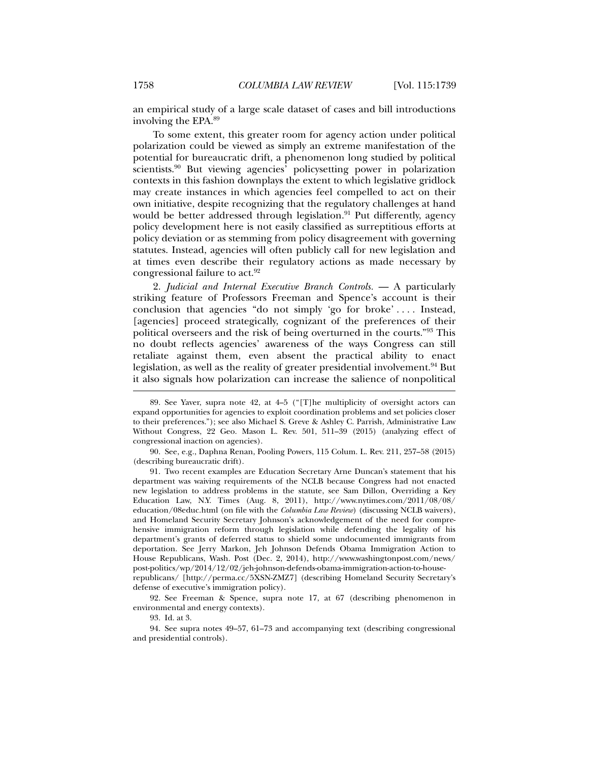an empirical study of a large scale dataset of cases and bill introductions involving the EPA.89

To some extent, this greater room for agency action under political polarization could be viewed as simply an extreme manifestation of the potential for bureaucratic drift, a phenomenon long studied by political scientists.<sup>90</sup> But viewing agencies' policysetting power in polarization contexts in this fashion downplays the extent to which legislative gridlock may create instances in which agencies feel compelled to act on their own initiative, despite recognizing that the regulatory challenges at hand would be better addressed through legislation.<sup>91</sup> Put differently, agency policy development here is not easily classified as surreptitious efforts at policy deviation or as stemming from policy disagreement with governing statutes. Instead, agencies will often publicly call for new legislation and at times even describe their regulatory actions as made necessary by congressional failure to act.<sup>92</sup>

2. *Judicial and Internal Executive Branch Controls.* — A particularly striking feature of Professors Freeman and Spence's account is their conclusion that agencies "do not simply 'go for broke' . . . . Instead, [agencies] proceed strategically, cognizant of the preferences of their political overseers and the risk of being overturned in the courts."93 This no doubt reflects agencies' awareness of the ways Congress can still retaliate against them, even absent the practical ability to enact legislation, as well as the reality of greater presidential involvement.<sup>94</sup> But it also signals how polarization can increase the salience of nonpolitical

 90. See, e.g., Daphna Renan, Pooling Powers, 115 Colum. L. Rev. 211, 257–58 (2015) (describing bureaucratic drift).

 91. Two recent examples are Education Secretary Arne Duncan's statement that his department was waiving requirements of the NCLB because Congress had not enacted new legislation to address problems in the statute, see Sam Dillon, Overriding a Key Education Law, N.Y. Times (Aug. 8, 2011), http://www.nytimes.com/2011/08/08/ education/08educ.html (on file with the *Columbia Law Review*) (discussing NCLB waivers), and Homeland Security Secretary Johnson's acknowledgement of the need for comprehensive immigration reform through legislation while defending the legality of his department's grants of deferred status to shield some undocumented immigrants from deportation. See Jerry Markon, Jeh Johnson Defends Obama Immigration Action to House Republicans, Wash. Post (Dec. 2, 2014), http://www.washingtonpost.com/news/ post-politics/wp/2014/12/02/jeh-johnson-defends-obama-immigration-action-to-houserepublicans/ [http://perma.cc/5XSN-ZMZ7] (describing Homeland Security Secretary's defense of executive's immigration policy).

 92. See Freeman & Spence, supra note 17, at 67 (describing phenomenon in environmental and energy contexts).

93. Id. at 3.

 94. See supra notes 49–57, 61–73 and accompanying text (describing congressional and presidential controls).

 <sup>89.</sup> See Yaver, supra note 42, at 4–5 ("[T]he multiplicity of oversight actors can expand opportunities for agencies to exploit coordination problems and set policies closer to their preferences."); see also Michael S. Greve & Ashley C. Parrish, Administrative Law Without Congress, 22 Geo. Mason L. Rev. 501, 511–39 (2015) (analyzing effect of congressional inaction on agencies).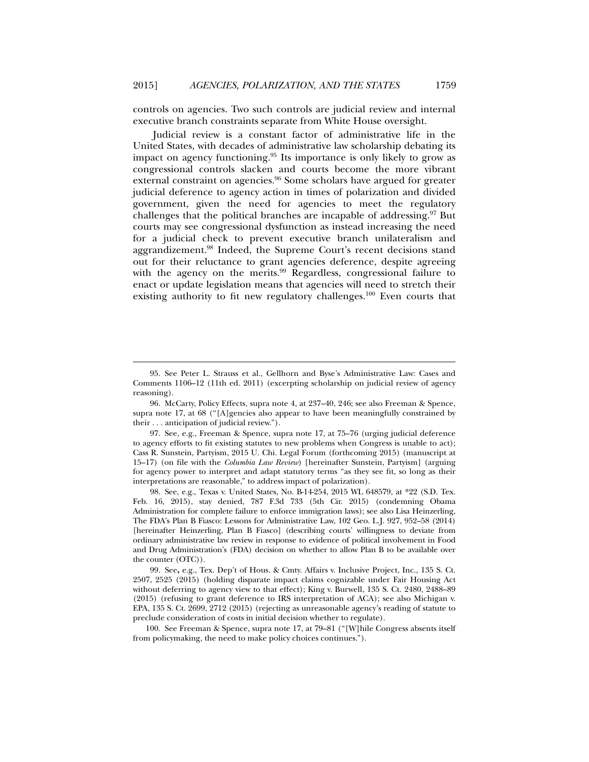controls on agencies. Two such controls are judicial review and internal executive branch constraints separate from White House oversight.

Judicial review is a constant factor of administrative life in the United States, with decades of administrative law scholarship debating its impact on agency functioning.95 Its importance is only likely to grow as congressional controls slacken and courts become the more vibrant external constraint on agencies.<sup>96</sup> Some scholars have argued for greater judicial deference to agency action in times of polarization and divided government, given the need for agencies to meet the regulatory challenges that the political branches are incapable of addressing.<sup>97</sup> But courts may see congressional dysfunction as instead increasing the need for a judicial check to prevent executive branch unilateralism and aggrandizement.98 Indeed, the Supreme Court's recent decisions stand out for their reluctance to grant agencies deference, despite agreeing with the agency on the merits. $99$  Regardless, congressional failure to enact or update legislation means that agencies will need to stretch their existing authority to fit new regulatory challenges.<sup>100</sup> Even courts that

 <sup>95.</sup> See Peter L. Strauss et al., Gellhorn and Byse's Administrative Law: Cases and Comments 1106–12 (11th ed. 2011) (excerpting scholarship on judicial review of agency reasoning).

 <sup>96.</sup> McCarty, Policy Effects, supra note 4, at 237–40, 246; see also Freeman & Spence, supra note 17, at 68 ("[A]gencies also appear to have been meaningfully constrained by their . . . anticipation of judicial review.").

 <sup>97.</sup> See, e.g., Freeman & Spence, supra note 17, at 75–76 (urging judicial deference to agency efforts to fit existing statutes to new problems when Congress is unable to act); Cass R. Sunstein, Partyism, 2015 U. Chi. Legal Forum (forthcoming 2015) (manuscript at 15–17) (on file with the *Columbia Law Review*) [hereinafter Sunstein, Partyism] (arguing for agency power to interpret and adapt statutory terms "as they see fit, so long as their interpretations are reasonable," to address impact of polarization).

 <sup>98.</sup> See, e.g., Texas v. United States, No. B-14-254, 2015 WL 648579, at \*22 (S.D. Tex. Feb. 16, 2015), stay denied, 787 F.3d 733 (5th Cir. 2015) (condemning Obama Administration for complete failure to enforce immigration laws); see also Lisa Heinzerling, The FDA's Plan B Fiasco: Lessons for Administrative Law, 102 Geo. L.J. 927, 952–58 (2014) [hereinafter Heinzerling, Plan B Fiasco] (describing courts' willingness to deviate from ordinary administrative law review in response to evidence of political involvement in Food and Drug Administration's (FDA) decision on whether to allow Plan B to be available over the counter (OTC)).

 <sup>99.</sup> See**,** e.g., Tex. Dep't of Hous. & Cmty. Affairs v. Inclusive Project, Inc., 135 S. Ct. 2507, 2525 (2015) (holding disparate impact claims cognizable under Fair Housing Act without deferring to agency view to that effect); King v. Burwell, 135 S. Ct. 2480, 2488–89 (2015) (refusing to grant deference to IRS interpretation of ACA); see also Michigan v. EPA, 135 S. Ct. 2699, 2712 (2015) (rejecting as unreasonable agency's reading of statute to preclude consideration of costs in initial decision whether to regulate).

 <sup>100.</sup> See Freeman & Spence, supra note 17, at 79–81 ("[W]hile Congress absents itself from policymaking, the need to make policy choices continues.").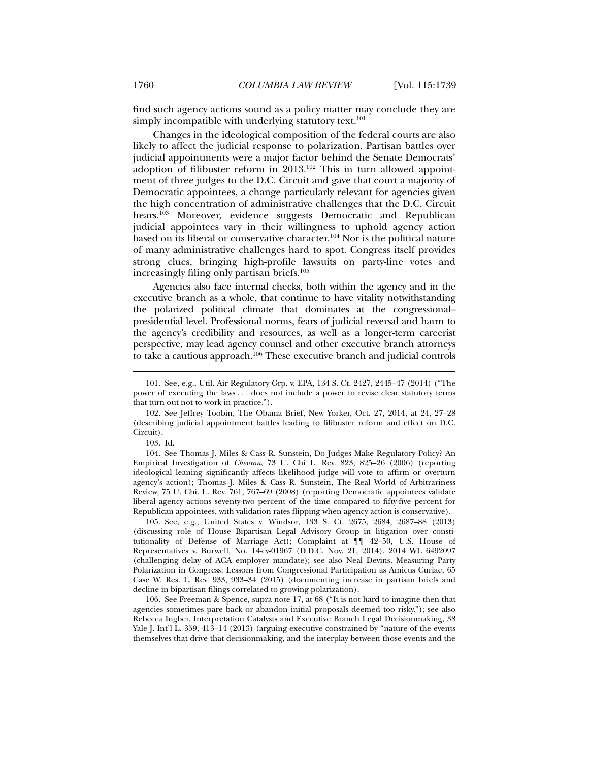find such agency actions sound as a policy matter may conclude they are simply incompatible with underlying statutory text.<sup>101</sup>

Changes in the ideological composition of the federal courts are also likely to affect the judicial response to polarization. Partisan battles over judicial appointments were a major factor behind the Senate Democrats' adoption of filibuster reform in  $2013$ <sup>102</sup> This in turn allowed appointment of three judges to the D.C. Circuit and gave that court a majority of Democratic appointees, a change particularly relevant for agencies given the high concentration of administrative challenges that the D.C. Circuit hears.<sup>103</sup> Moreover, evidence suggests Democratic and Republican judicial appointees vary in their willingness to uphold agency action based on its liberal or conservative character.104 Nor is the political nature of many administrative challenges hard to spot. Congress itself provides strong clues, bringing high-profile lawsuits on party-line votes and increasingly filing only partisan briefs.<sup>105</sup>

Agencies also face internal checks, both within the agency and in the executive branch as a whole, that continue to have vitality notwithstanding the polarized political climate that dominates at the congressional– presidential level. Professional norms, fears of judicial reversal and harm to the agency's credibility and resources, as well as a longer-term careerist perspective, may lead agency counsel and other executive branch attorneys to take a cautious approach.106 These executive branch and judicial controls

l

 105. See, e.g., United States v. Windsor, 133 S. Ct. 2675, 2684, 2687–88 (2013) (discussing role of House Bipartisan Legal Advisory Group in litigation over constitutionality of Defense of Marriage Act); Complaint at ¶¶ 42–50, U.S. House of Representatives v. Burwell, No. 14-cv-01967 (D.D.C. Nov. 21, 2014), 2014 WL 6492097 (challenging delay of ACA employer mandate); see also Neal Devins, Measuring Party Polarization in Congress: Lessons from Congressional Participation as Amicus Curiae, 65 Case W. Res. L. Rev. 933, 933–34 (2015) (documenting increase in partisan briefs and decline in bipartisan filings correlated to growing polarization).

 106. See Freeman & Spence, supra note 17, at 68 ("It is not hard to imagine then that agencies sometimes pare back or abandon initial proposals deemed too risky."); see also Rebecca Ingber, Interpretation Catalysts and Executive Branch Legal Decisionmaking, 38 Yale J. Int'l L. 359, 413–14 (2013) (arguing executive constrained by "nature of the events themselves that drive that decisionmaking, and the interplay between those events and the

 <sup>101.</sup> See, e.g., Util. Air Regulatory Grp. v. EPA, 134 S. Ct. 2427, 2445–47 (2014) ("The power of executing the laws . . . does not include a power to revise clear statutory terms that turn out not to work in practice.").

 <sup>102.</sup> See Jeffrey Toobin, The Obama Brief, New Yorker, Oct. 27, 2014, at 24, 27–28 (describing judicial appointment battles leading to filibuster reform and effect on D.C. Circuit).

 <sup>103.</sup> Id.

 <sup>104.</sup> See Thomas J. Miles & Cass R. Sunstein, Do Judges Make Regulatory Policy? An Empirical Investigation of *Chevron*, 73 U. Chi L. Rev. 823, 825–26 (2006) (reporting ideological leaning significantly affects likelihood judge will vote to affirm or overturn agency's action); Thomas J. Miles & Cass R. Sunstein, The Real World of Arbitrariness Review, 75 U. Chi. L. Rev. 761, 767–69 (2008) (reporting Democratic appointees validate liberal agency actions seventy-two percent of the time compared to fifty-five percent for Republican appointees, with validation rates flipping when agency action is conservative).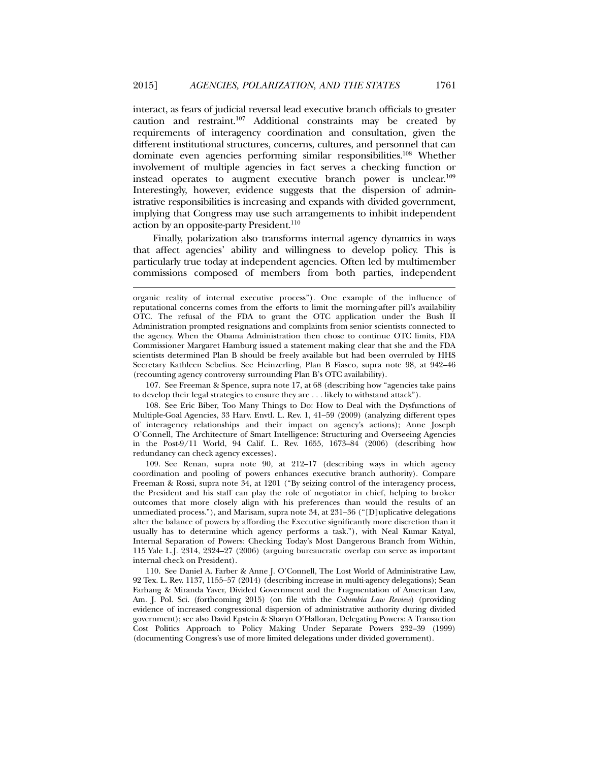interact, as fears of judicial reversal lead executive branch officials to greater caution and restraint.107 Additional constraints may be created by requirements of interagency coordination and consultation, given the different institutional structures, concerns, cultures, and personnel that can dominate even agencies performing similar responsibilities.108 Whether involvement of multiple agencies in fact serves a checking function or instead operates to augment executive branch power is unclear.109 Interestingly, however, evidence suggests that the dispersion of administrative responsibilities is increasing and expands with divided government, implying that Congress may use such arrangements to inhibit independent action by an opposite-party President.<sup>110</sup>

Finally, polarization also transforms internal agency dynamics in ways that affect agencies' ability and willingness to develop policy. This is particularly true today at independent agencies. Often led by multimember commissions composed of members from both parties, independent

l

 107. See Freeman & Spence, supra note 17, at 68 (describing how "agencies take pains to develop their legal strategies to ensure they are . . . likely to withstand attack").

 108. See Eric Biber, Too Many Things to Do: How to Deal with the Dysfunctions of Multiple-Goal Agencies, 33 Harv. Envtl. L. Rev. 1, 41–59 (2009) (analyzing different types of interagency relationships and their impact on agency's actions); Anne Joseph O'Connell, The Architecture of Smart Intelligence: Structuring and Overseeing Agencies in the Post-9/11 World, 94 Calif. L. Rev. 1655, 1673–84 (2006) (describing how redundancy can check agency excesses).

 109. See Renan, supra note 90, at 212–17 (describing ways in which agency coordination and pooling of powers enhances executive branch authority). Compare Freeman & Rossi, supra note 34, at 1201 ("By seizing control of the interagency process, the President and his staff can play the role of negotiator in chief, helping to broker outcomes that more closely align with his preferences than would the results of an unmediated process."), and Marisam, supra note 34, at 231–36 ("[D]uplicative delegations alter the balance of powers by affording the Executive significantly more discretion than it usually has to determine which agency performs a task."), with Neal Kumar Katyal, Internal Separation of Powers: Checking Today's Most Dangerous Branch from Within, 115 Yale L.J. 2314, 2324–27 (2006) (arguing bureaucratic overlap can serve as important internal check on President).

 110. See Daniel A. Farber & Anne J. O'Connell, The Lost World of Administrative Law, 92 Tex. L. Rev. 1137, 1155–57 (2014) (describing increase in multi-agency delegations); Sean Farhang & Miranda Yaver, Divided Government and the Fragmentation of American Law, Am. J. Pol. Sci. (forthcoming 2015) (on file with the *Columbia Law Review*) (providing evidence of increased congressional dispersion of administrative authority during divided government); see also David Epstein & Sharyn O'Halloran, Delegating Powers: A Transaction Cost Politics Approach to Policy Making Under Separate Powers 232–39 (1999) (documenting Congress's use of more limited delegations under divided government).

organic reality of internal executive process"). One example of the influence of reputational concerns comes from the efforts to limit the morning-after pill's availability OTC. The refusal of the FDA to grant the OTC application under the Bush II Administration prompted resignations and complaints from senior scientists connected to the agency. When the Obama Administration then chose to continue OTC limits, FDA Commissioner Margaret Hamburg issued a statement making clear that she and the FDA scientists determined Plan B should be freely available but had been overruled by HHS Secretary Kathleen Sebelius. See Heinzerling, Plan B Fiasco, supra note 98, at 942–46 (recounting agency controversy surrounding Plan B's OTC availability).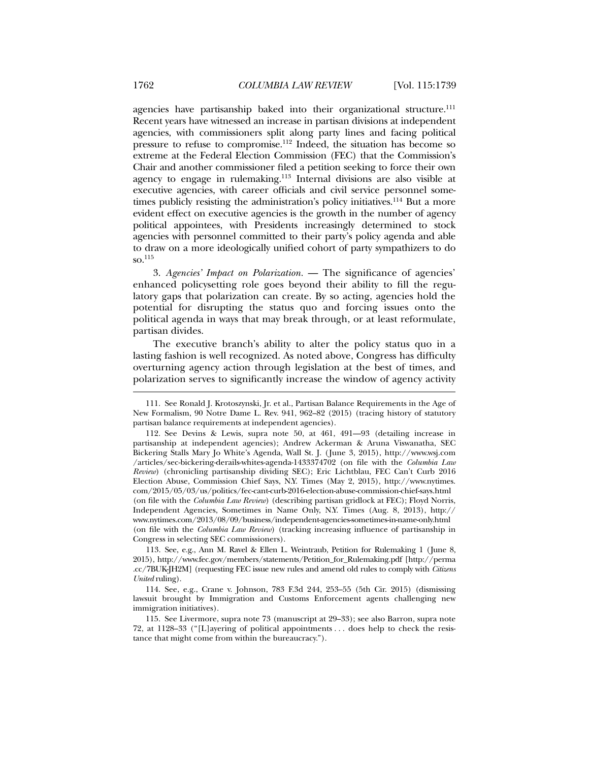agencies have partisanship baked into their organizational structure.<sup>111</sup> Recent years have witnessed an increase in partisan divisions at independent agencies, with commissioners split along party lines and facing political pressure to refuse to compromise.112 Indeed, the situation has become so extreme at the Federal Election Commission (FEC) that the Commission's Chair and another commissioner filed a petition seeking to force their own agency to engage in rulemaking.113 Internal divisions are also visible at executive agencies, with career officials and civil service personnel sometimes publicly resisting the administration's policy initiatives.<sup>114</sup> But a more evident effect on executive agencies is the growth in the number of agency political appointees, with Presidents increasingly determined to stock agencies with personnel committed to their party's policy agenda and able to draw on a more ideologically unified cohort of party sympathizers to do so.115

3. *Agencies' Impact on Polarization.* — The significance of agencies' enhanced policysetting role goes beyond their ability to fill the regulatory gaps that polarization can create. By so acting, agencies hold the potential for disrupting the status quo and forcing issues onto the political agenda in ways that may break through, or at least reformulate, partisan divides.

The executive branch's ability to alter the policy status quo in a lasting fashion is well recognized. As noted above, Congress has difficulty overturning agency action through legislation at the best of times, and polarization serves to significantly increase the window of agency activity

 <sup>111.</sup> See Ronald J. Krotoszynski, Jr. et al., Partisan Balance Requirements in the Age of New Formalism, 90 Notre Dame L. Rev. 941, 962–82 (2015) (tracing history of statutory partisan balance requirements at independent agencies).

 <sup>112.</sup> See Devins & Lewis, supra note 50, at 461, 491—93 (detailing increase in partisanship at independent agencies); Andrew Ackerman & Aruna Viswanatha, SEC Bickering Stalls Mary Jo White's Agenda, Wall St. J. (June 3, 2015), http://www.wsj.com /articles/sec-bickering-derails-whites-agenda-1433374702 (on file with the *Columbia Law Review*) (chronicling partisanship dividing SEC); Eric Lichtblau, FEC Can't Curb 2016 Election Abuse, Commission Chief Says, N.Y. Times (May 2, 2015), http://www.nytimes. com/2015/05/03/us/politics/fec-cant-curb-2016-election-abuse-commission-chief-says.html (on file with the *Columbia Law Review*) (describing partisan gridlock at FEC); Floyd Norris, Independent Agencies, Sometimes in Name Only, N.Y. Times (Aug. 8, 2013), http:// www.nytimes.com/2013/08/09/business/independent-agencies-sometimes-in-name-only.html (on file with the *Columbia Law Review*) (tracking increasing influence of partisanship in Congress in selecting SEC commissioners).

 <sup>113.</sup> See, e.g., Ann M. Ravel & Ellen L. Weintraub, Petition for Rulemaking 1 (June 8, 2015), http://www.fec.gov/members/statements/Petition\_for\_Rulemaking.pdf [http://perma .cc/7BUK-JH2M] (requesting FEC issue new rules and amend old rules to comply with *Citizens United* ruling).

 <sup>114.</sup> See, e.g., Crane v. Johnson, 783 F.3d 244, 253–55 (5th Cir. 2015) (dismissing lawsuit brought by Immigration and Customs Enforcement agents challenging new immigration initiatives).

 <sup>115.</sup> See Livermore, supra note 73 (manuscript at 29–33); see also Barron, supra note 72, at 1128–33 ("[L]ayering of political appointments . . . does help to check the resistance that might come from within the bureaucracy.").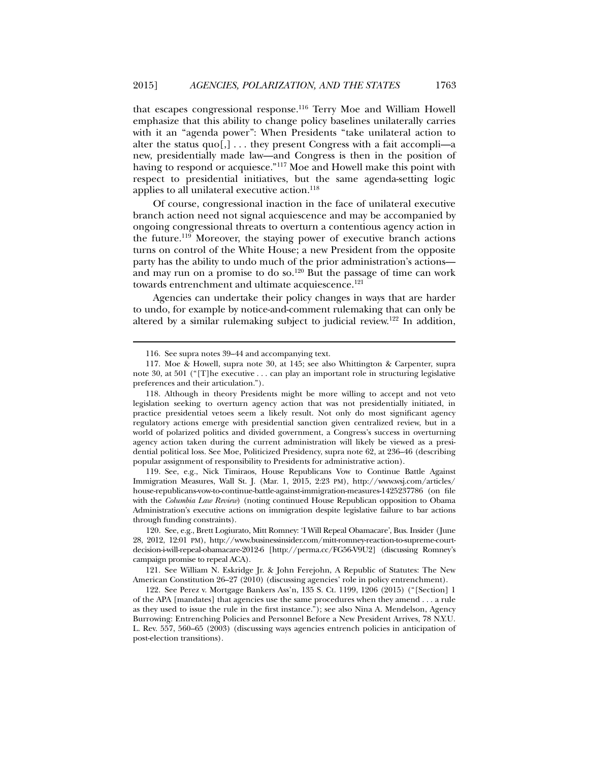that escapes congressional response.116 Terry Moe and William Howell emphasize that this ability to change policy baselines unilaterally carries with it an "agenda power": When Presidents "take unilateral action to alter the status  $quo[$ ,  $] \ldots$  they present Congress with a fait accompli—a new, presidentially made law—and Congress is then in the position of having to respond or acquiesce."117 Moe and Howell make this point with respect to presidential initiatives, but the same agenda-setting logic applies to all unilateral executive action.<sup>118</sup>

Of course, congressional inaction in the face of unilateral executive branch action need not signal acquiescence and may be accompanied by ongoing congressional threats to overturn a contentious agency action in the future.<sup>119</sup> Moreover, the staying power of executive branch actions turns on control of the White House; a new President from the opposite party has the ability to undo much of the prior administration's actions and may run on a promise to do so.<sup>120</sup> But the passage of time can work towards entrenchment and ultimate acquiescence.<sup>121</sup>

Agencies can undertake their policy changes in ways that are harder to undo, for example by notice-and-comment rulemaking that can only be altered by a similar rulemaking subject to judicial review.122 In addition,

l

 119. See, e.g., Nick Timiraos, House Republicans Vow to Continue Battle Against Immigration Measures, Wall St. J. (Mar. 1, 2015, 2:23 PM), http://www.wsj.com/articles/ house-republicans-vow-to-continue-battle-against-immigration-measures-1425237786 (on file with the *Columbia Law Review*) (noting continued House Republican opposition to Obama Administration's executive actions on immigration despite legislative failure to bar actions through funding constraints).

 120. See, e.g., Brett Logiurato, Mitt Romney: 'I Will Repeal Obamacare', Bus. Insider (June 28, 2012, 12:01 PM), http://www.businessinsider.com/mitt-romney-reaction-to-supreme-courtdecision-i-will-repeal-obamacare-2012-6 [http://perma.cc/FG56-V9U2] (discussing Romney's campaign promise to repeal ACA).

 121. See William N. Eskridge Jr. & John Ferejohn, A Republic of Statutes: The New American Constitution 26–27 (2010) (discussing agencies' role in policy entrenchment).

 122. See Perez v. Mortgage Bankers Ass'n, 135 S. Ct. 1199, 1206 (2015) ("[Section] 1 of the APA [mandates] that agencies use the same procedures when they amend . . . a rule as they used to issue the rule in the first instance."); see also Nina A. Mendelson, Agency Burrowing: Entrenching Policies and Personnel Before a New President Arrives, 78 N.Y.U. L. Rev. 557, 560–65 (2003) (discussing ways agencies entrench policies in anticipation of post-election transitions).

 <sup>116.</sup> See supra notes 39–44 and accompanying text.

 <sup>117.</sup> Moe & Howell, supra note 30, at 145; see also Whittington & Carpenter, supra note 30, at 501 ("[T]he executive . . . can play an important role in structuring legislative preferences and their articulation.").

 <sup>118.</sup> Although in theory Presidents might be more willing to accept and not veto legislation seeking to overturn agency action that was not presidentially initiated, in practice presidential vetoes seem a likely result. Not only do most significant agency regulatory actions emerge with presidential sanction given centralized review, but in a world of polarized politics and divided government, a Congress's success in overturning agency action taken during the current administration will likely be viewed as a presidential political loss. See Moe, Politicized Presidency, supra note 62, at 236–46 (describing popular assignment of responsibility to Presidents for administrative action).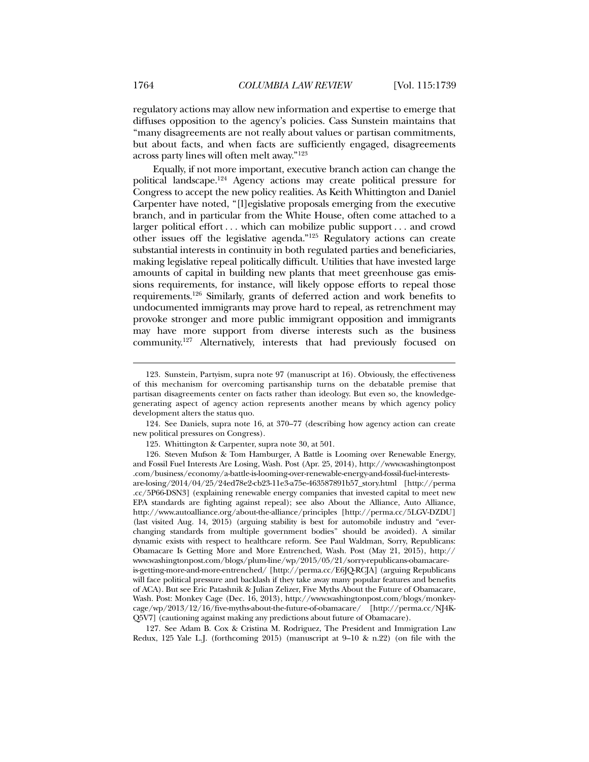regulatory actions may allow new information and expertise to emerge that diffuses opposition to the agency's policies. Cass Sunstein maintains that "many disagreements are not really about values or partisan commitments, but about facts, and when facts are sufficiently engaged, disagreements across party lines will often melt away."123

Equally, if not more important, executive branch action can change the political landscape.124 Agency actions may create political pressure for Congress to accept the new policy realities. As Keith Whittington and Daniel Carpenter have noted, "[l]egislative proposals emerging from the executive branch, and in particular from the White House, often come attached to a larger political effort . . . which can mobilize public support . . . and crowd other issues off the legislative agenda."125 Regulatory actions can create substantial interests in continuity in both regulated parties and beneficiaries, making legislative repeal politically difficult. Utilities that have invested large amounts of capital in building new plants that meet greenhouse gas emissions requirements, for instance, will likely oppose efforts to repeal those requirements.126 Similarly, grants of deferred action and work benefits to undocumented immigrants may prove hard to repeal, as retrenchment may provoke stronger and more public immigrant opposition and immigrants may have more support from diverse interests such as the business community.127 Alternatively, interests that had previously focused on

 124. See Daniels, supra note 16, at 370–77 (describing how agency action can create new political pressures on Congress).

 126. Steven Mufson & Tom Hamburger, A Battle is Looming over Renewable Energy, and Fossil Fuel Interests Are Losing, Wash. Post (Apr. 25, 2014), http://www.washingtonpost .com/business/economy/a-battle-is-looming-over-renewable-energy-and-fossil-fuel-interestsare-losing/2014/04/25/24ed78e2-cb23-11e3-a75e-463587891b57\_story.html [http://perma .cc/5P66-DSN3] (explaining renewable energy companies that invested capital to meet new EPA standards are fighting against repeal); see also About the Alliance, Auto Alliance, http://www.autoalliance.org/about-the-alliance/principles [http://perma.cc/5LGV-DZDU] (last visited Aug. 14, 2015) (arguing stability is best for automobile industry and "everchanging standards from multiple government bodies" should be avoided). A similar dynamic exists with respect to healthcare reform. See Paul Waldman, Sorry, Republicans: Obamacare Is Getting More and More Entrenched, Wash. Post (May 21, 2015), http:// www.washingtonpost.com/blogs/plum-line/wp/2015/05/21/sorry-republicans-obamacareis-getting-more-and-more-entrenched/ [http://perma.cc/E6JQ-RCJA] (arguing Republicans will face political pressure and backlash if they take away many popular features and benefits of ACA). But see Eric Patashnik & Julian Zelizer, Five Myths About the Future of Obamacare, Wash. Post: Monkey Cage (Dec. 16, 2013), http://www.washingtonpost.com/blogs/monkeycage/wp/2013/12/16/five-myths-about-the-future-of-obamacare/ [http://perma.cc/NJ4K-Q5V7] (cautioning against making any predictions about future of Obamacare).

 127. See Adam B. Cox & Cristina M. Rodriguez, The President and Immigration Law Redux, 125 Yale L.J. (forthcoming 2015) (manuscript at 9–10 & n.22) (on file with the

 <sup>123.</sup> Sunstein, Partyism, supra note 97 (manuscript at 16). Obviously, the effectiveness of this mechanism for overcoming partisanship turns on the debatable premise that partisan disagreements center on facts rather than ideology. But even so, the knowledgegenerating aspect of agency action represents another means by which agency policy development alters the status quo.

 <sup>125.</sup> Whittington & Carpenter, supra note 30, at 501.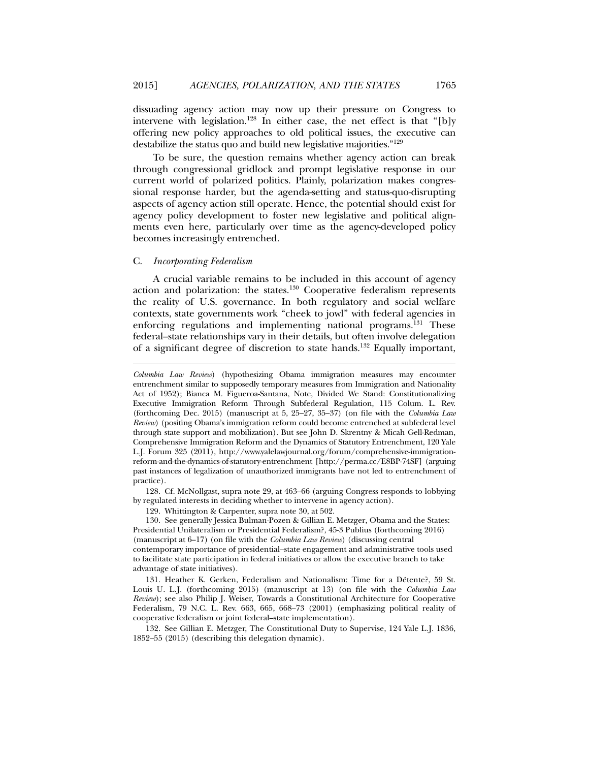dissuading agency action may now up their pressure on Congress to intervene with legislation.<sup>128</sup> In either case, the net effect is that "[b]y offering new policy approaches to old political issues, the executive can destabilize the status quo and build new legislative majorities."129

To be sure, the question remains whether agency action can break through congressional gridlock and prompt legislative response in our current world of polarized politics. Plainly, polarization makes congressional response harder, but the agenda-setting and status-quo-disrupting aspects of agency action still operate. Hence, the potential should exist for agency policy development to foster new legislative and political alignments even here, particularly over time as the agency-developed policy becomes increasingly entrenched.

## C. *Incorporating Federalism*

l

A crucial variable remains to be included in this account of agency action and polarization: the states. $130$  Cooperative federalism represents the reality of U.S. governance. In both regulatory and social welfare contexts, state governments work "cheek to jowl" with federal agencies in enforcing regulations and implementing national programs.<sup>131</sup> These federal–state relationships vary in their details, but often involve delegation of a significant degree of discretion to state hands.132 Equally important,

 128. Cf. McNollgast, supra note 29, at 463–66 (arguing Congress responds to lobbying by regulated interests in deciding whether to intervene in agency action).

129. Whittington & Carpenter, supra note 30, at 502.

 130. See generally Jessica Bulman-Pozen & Gillian E. Metzger, Obama and the States: Presidential Unilateralism or Presidential Federalism?, 45-3 Publius (forthcoming 2016) (manuscript at 6–17) (on file with the *Columbia Law Review*) (discussing central contemporary importance of presidential–state engagement and administrative tools used to facilitate state participation in federal initiatives or allow the executive branch to take advantage of state initiatives).

 131. Heather K. Gerken, Federalism and Nationalism: Time for a Détente?, 59 St. Louis U. L.J. (forthcoming 2015) (manuscript at 13) (on file with the *Columbia Law Review*); see also Philip J. Weiser, Towards a Constitutional Architecture for Cooperative Federalism, 79 N.C. L. Rev. 663, 665, 668–73 (2001) (emphasizing political reality of cooperative federalism or joint federal–state implementation).

 132. See Gillian E. Metzger, The Constitutional Duty to Supervise, 124 Yale L.J. 1836, 1852–55 (2015) (describing this delegation dynamic).

*Columbia Law Review*) (hypothesizing Obama immigration measures may encounter entrenchment similar to supposedly temporary measures from Immigration and Nationality Act of 1952); Bianca M. Figueroa-Santana, Note, Divided We Stand: Constitutionalizing Executive Immigration Reform Through Subfederal Regulation, 115 Colum. L. Rev. (forthcoming Dec. 2015) (manuscript at 5, 25–27, 35–37) (on file with the *Columbia Law Review*) (positing Obama's immigration reform could become entrenched at subfederal level through state support and mobilization). But see John D. Skrentny & Micah Gell-Redman, Comprehensive Immigration Reform and the Dynamics of Statutory Entrenchment, 120 Yale L.J. Forum 325 (2011), http://www.yalelawjournal.org/forum/comprehensive-immigrationreform-and-the-dynamics-of-statutory-entrenchment [http://perma.cc/E8BP-74SF] (arguing past instances of legalization of unauthorized immigrants have not led to entrenchment of practice).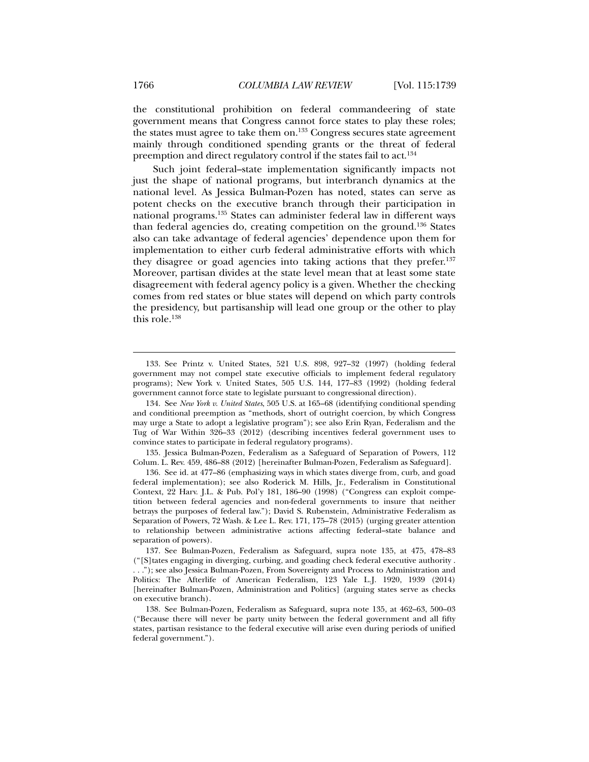the constitutional prohibition on federal commandeering of state government means that Congress cannot force states to play these roles; the states must agree to take them on.<sup>133</sup> Congress secures state agreement mainly through conditioned spending grants or the threat of federal preemption and direct regulatory control if the states fail to act.<sup>134</sup>

Such joint federal–state implementation significantly impacts not just the shape of national programs, but interbranch dynamics at the national level. As Jessica Bulman-Pozen has noted, states can serve as potent checks on the executive branch through their participation in national programs.135 States can administer federal law in different ways than federal agencies do, creating competition on the ground.136 States also can take advantage of federal agencies' dependence upon them for implementation to either curb federal administrative efforts with which they disagree or goad agencies into taking actions that they prefer.<sup>137</sup> Moreover, partisan divides at the state level mean that at least some state disagreement with federal agency policy is a given. Whether the checking comes from red states or blue states will depend on which party controls the presidency, but partisanship will lead one group or the other to play this role.138

 135. Jessica Bulman-Pozen, Federalism as a Safeguard of Separation of Powers, 112 Colum. L. Rev. 459, 486–88 (2012) [hereinafter Bulman-Pozen, Federalism as Safeguard].

 136. See id. at 477–86 (emphasizing ways in which states diverge from, curb, and goad federal implementation); see also Roderick M. Hills, Jr., Federalism in Constitutional Context, 22 Harv. J.L. & Pub. Pol'y 181, 186–90 (1998) ("Congress can exploit competition between federal agencies and non-federal governments to insure that neither betrays the purposes of federal law."); David S. Rubenstein, Administrative Federalism as Separation of Powers, 72 Wash. & Lee L. Rev. 171, 175–78 (2015) (urging greater attention to relationship between administrative actions affecting federal–state balance and separation of powers).

 137. See Bulman-Pozen, Federalism as Safeguard, supra note 135, at 475, 478–83 ("[S]tates engaging in diverging, curbing, and goading check federal executive authority . . . ."); see also Jessica Bulman-Pozen, From Sovereignty and Process to Administration and Politics: The Afterlife of American Federalism, 123 Yale L.J. 1920, 1939 (2014) [hereinafter Bulman-Pozen, Administration and Politics] (arguing states serve as checks on executive branch).

 <sup>133.</sup> See Printz v. United States, 521 U.S. 898, 927–32 (1997) (holding federal government may not compel state executive officials to implement federal regulatory programs); New York v. United States, 505 U.S. 144, 177–83 (1992) (holding federal government cannot force state to legislate pursuant to congressional direction).

 <sup>134.</sup> See *New York v. United States*, 505 U.S. at 165–68 (identifying conditional spending and conditional preemption as "methods, short of outright coercion, by which Congress may urge a State to adopt a legislative program"); see also Erin Ryan, Federalism and the Tug of War Within 326–33 (2012) (describing incentives federal government uses to convince states to participate in federal regulatory programs).

 <sup>138.</sup> See Bulman-Pozen, Federalism as Safeguard, supra note 135, at 462–63, 500–03 ("Because there will never be party unity between the federal government and all fifty states, partisan resistance to the federal executive will arise even during periods of unified federal government.").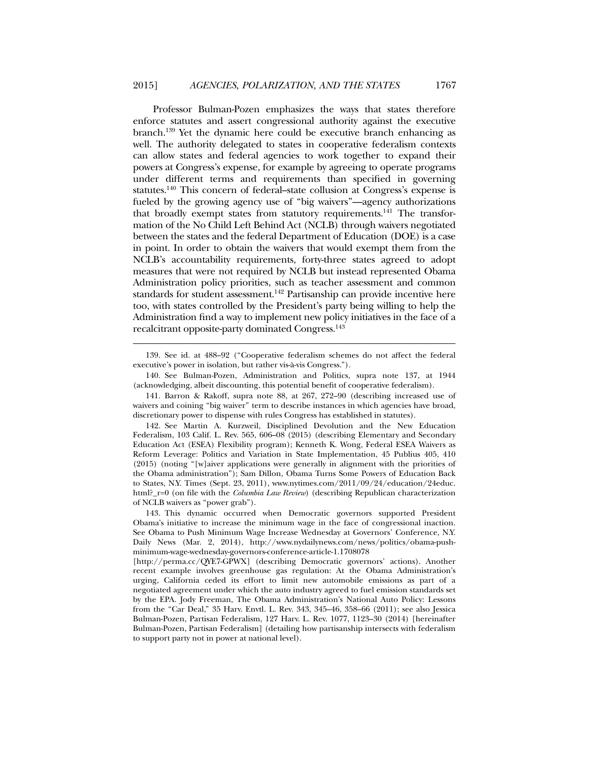Professor Bulman-Pozen emphasizes the ways that states therefore enforce statutes and assert congressional authority against the executive branch.139 Yet the dynamic here could be executive branch enhancing as well. The authority delegated to states in cooperative federalism contexts can allow states and federal agencies to work together to expand their powers at Congress's expense, for example by agreeing to operate programs under different terms and requirements than specified in governing statutes.140 This concern of federal–state collusion at Congress's expense is fueled by the growing agency use of "big waivers"—agency authorizations that broadly exempt states from statutory requirements.<sup>141</sup> The transformation of the No Child Left Behind Act (NCLB) through waivers negotiated between the states and the federal Department of Education (DOE) is a case in point. In order to obtain the waivers that would exempt them from the NCLB's accountability requirements, forty-three states agreed to adopt measures that were not required by NCLB but instead represented Obama Administration policy priorities, such as teacher assessment and common standards for student assessment.<sup>142</sup> Partisanship can provide incentive here too, with states controlled by the President's party being willing to help the Administration find a way to implement new policy initiatives in the face of a recalcitrant opposite-party dominated Congress.143

 <sup>139.</sup> See id. at 488–92 ("Cooperative federalism schemes do not affect the federal executive's power in isolation, but rather vis-à-vis Congress.").

 <sup>140.</sup> See Bulman-Pozen, Administration and Politics, supra note 137, at 1944 (acknowledging, albeit discounting, this potential benefit of cooperative federalism).

 <sup>141.</sup> Barron & Rakoff, supra note 88, at 267, 272–90 (describing increased use of waivers and coining "big waiver" term to describe instances in which agencies have broad, discretionary power to dispense with rules Congress has established in statutes).

 <sup>142.</sup> See Martin A. Kurzweil, Disciplined Devolution and the New Education Federalism, 103 Calif. L. Rev. 565, 606–08 (2015) (describing Elementary and Secondary Education Act (ESEA) Flexibility program); Kenneth K. Wong, Federal ESEA Waivers as Reform Leverage: Politics and Variation in State Implementation, 45 Publius 405, 410 (2015) (noting "[w]aiver applications were generally in alignment with the priorities of the Obama administration"); Sam Dillon, Obama Turns Some Powers of Education Back to States, N.Y. Times (Sept. 23, 2011), www.nytimes.com/2011/09/24/education/24educ. html?\_r=0 (on file with the *Columbia Law Review*) (describing Republican characterization of NCLB waivers as "power grab").

 <sup>143.</sup> This dynamic occurred when Democratic governors supported President Obama's initiative to increase the minimum wage in the face of congressional inaction. See Obama to Push Minimum Wage Increase Wednesday at Governors' Conference, N.Y. Daily News (Mar. 2, 2014), http://www.nydailynews.com/news/politics/obama-pushminimum-wage-wednesday-governors-conference-article-1.1708078

<sup>[</sup>http://perma.cc/QYE7-GPWX] (describing Democratic governors' actions). Another recent example involves greenhouse gas regulation: At the Obama Administration's urging, California ceded its effort to limit new automobile emissions as part of a negotiated agreement under which the auto industry agreed to fuel emission standards set by the EPA. Jody Freeman, The Obama Administration's National Auto Policy: Lessons from the "Car Deal," 35 Harv. Envtl. L. Rev. 343, 345–46, 358–66 (2011); see also Jessica Bulman-Pozen, Partisan Federalism, 127 Harv. L. Rev. 1077, 1123–30 (2014) [hereinafter Bulman-Pozen, Partisan Federalism] (detailing how partisanship intersects with federalism to support party not in power at national level).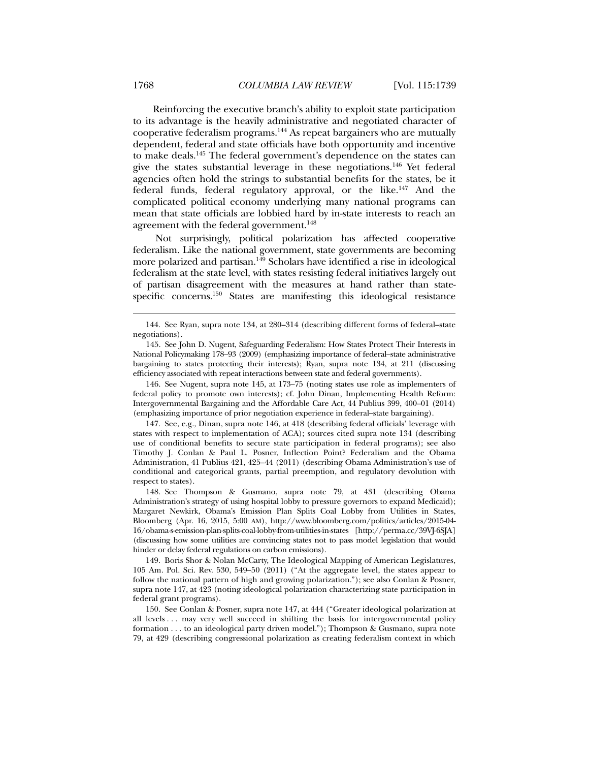Reinforcing the executive branch's ability to exploit state participation to its advantage is the heavily administrative and negotiated character of cooperative federalism programs.144 As repeat bargainers who are mutually dependent, federal and state officials have both opportunity and incentive to make deals.145 The federal government's dependence on the states can give the states substantial leverage in these negotiations.146 Yet federal agencies often hold the strings to substantial benefits for the states, be it federal funds, federal regulatory approval, or the like.147 And the complicated political economy underlying many national programs can mean that state officials are lobbied hard by in-state interests to reach an agreement with the federal government.<sup>148</sup>

 Not surprisingly, political polarization has affected cooperative federalism. Like the national government, state governments are becoming more polarized and partisan.<sup>149</sup> Scholars have identified a rise in ideological federalism at the state level, with states resisting federal initiatives largely out of partisan disagreement with the measures at hand rather than statespecific concerns.<sup>150</sup> States are manifesting this ideological resistance

 146. See Nugent, supra note 145, at 173–75 (noting states use role as implementers of federal policy to promote own interests); cf. John Dinan, Implementing Health Reform: Intergovernmental Bargaining and the Affordable Care Act, 44 Publius 399, 400–01 (2014) (emphasizing importance of prior negotiation experience in federal–state bargaining).

 147. See, e.g., Dinan, supra note 146, at 418 (describing federal officials' leverage with states with respect to implementation of ACA); sources cited supra note 134 (describing use of conditional benefits to secure state participation in federal programs); see also Timothy J. Conlan & Paul L. Posner, Inflection Point? Federalism and the Obama Administration, 41 Publius 421, 425–44 (2011) (describing Obama Administration's use of conditional and categorical grants, partial preemption, and regulatory devolution with respect to states).

 148. See Thompson & Gusmano, supra note 79, at 431 (describing Obama Administration's strategy of using hospital lobby to pressure governors to expand Medicaid); Margaret Newkirk, Obama's Emission Plan Splits Coal Lobby from Utilities in States, Bloomberg (Apr. 16, 2015, 5:00 AM), http://www.bloomberg.com/politics/articles/2015-04- 16/obama-s-emission-plan-splits-coal-lobby-from-utilities-in-states [http://perma.cc/39VJ-6SJA] (discussing how some utilities are convincing states not to pass model legislation that would hinder or delay federal regulations on carbon emissions).

 149. Boris Shor & Nolan McCarty, The Ideological Mapping of American Legislatures, 105 Am. Pol. Sci. Rev. 530, 549–50 (2011) ("At the aggregate level, the states appear to follow the national pattern of high and growing polarization."); see also Conlan & Posner, supra note 147, at 423 (noting ideological polarization characterizing state participation in federal grant programs).

 150. See Conlan & Posner, supra note 147, at 444 ("Greater ideological polarization at all levels . . . may very well succeed in shifting the basis for intergovernmental policy formation . . . to an ideological party driven model."); Thompson & Gusmano, supra note 79, at 429 (describing congressional polarization as creating federalism context in which

 <sup>144.</sup> See Ryan, supra note 134, at 280–314 (describing different forms of federal–state negotiations).

 <sup>145.</sup> See John D. Nugent, Safeguarding Federalism: How States Protect Their Interests in National Policymaking 178–93 (2009) (emphasizing importance of federal–state administrative bargaining to states protecting their interests); Ryan, supra note 134, at 211 (discussing efficiency associated with repeat interactions between state and federal governments).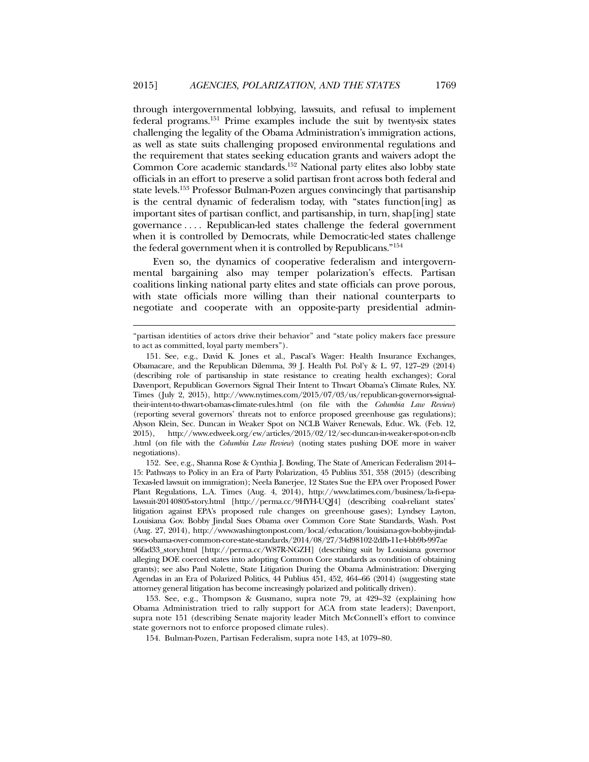through intergovernmental lobbying, lawsuits, and refusal to implement federal programs.151 Prime examples include the suit by twenty-six states challenging the legality of the Obama Administration's immigration actions, as well as state suits challenging proposed environmental regulations and the requirement that states seeking education grants and waivers adopt the Common Core academic standards.152 National party elites also lobby state officials in an effort to preserve a solid partisan front across both federal and state levels.153 Professor Bulman-Pozen argues convincingly that partisanship is the central dynamic of federalism today, with "states function[ing] as important sites of partisan conflict, and partisanship, in turn, shap[ing] state governance . . . . Republican-led states challenge the federal government when it is controlled by Democrats, while Democratic-led states challenge the federal government when it is controlled by Republicans."154

Even so, the dynamics of cooperative federalism and intergovernmental bargaining also may temper polarization's effects. Partisan coalitions linking national party elites and state officials can prove porous, with state officials more willing than their national counterparts to negotiate and cooperate with an opposite-party presidential admin-

l

 152. See, e.g., Shanna Rose & Cynthia J. Bowling, The State of American Federalism 2014– 15: Pathways to Policy in an Era of Party Polarization, 45 Publius 351, 358 (2015) (describing Texas-led lawsuit on immigration); Neela Banerjee, 12 States Sue the EPA over Proposed Power Plant Regulations, L.A. Times (Aug. 4, 2014), http://www.latimes.com/business/la-fi-epalawsuit-20140805-story.html [http://perma.cc/9HYH-UQJ4] (describing coal-reliant states' litigation against EPA's proposed rule changes on greenhouse gases); Lyndsey Layton, Louisiana Gov. Bobby Jindal Sues Obama over Common Core State Standards, Wash. Post (Aug. 27, 2014), http://www.washingtonpost.com/local/education/louisiana-gov-bobby-jindalsues-obama-over-common-core-state-standards/2014/08/27/34d98102-2dfb-11e4-bb9b-997ae 96fad33\_story.html [http://perma.cc/W87R-NGZH] (describing suit by Louisiana governor alleging DOE coerced states into adopting Common Core standards as condition of obtaining grants); see also Paul Nolette, State Litigation During the Obama Administration: Diverging Agendas in an Era of Polarized Politics, 44 Publius 451, 452, 464–66 (2014) (suggesting state attorney general litigation has become increasingly polarized and politically driven).

 153. See, e.g., Thompson & Gusmano, supra note 79, at 429–32 (explaining how Obama Administration tried to rally support for ACA from state leaders); Davenport, supra note 151 (describing Senate majority leader Mitch McConnell's effort to convince state governors not to enforce proposed climate rules).

<sup>&</sup>quot;partisan identities of actors drive their behavior" and "state policy makers face pressure to act as committed, loyal party members").

 <sup>151.</sup> See, e.g., David K. Jones et al., Pascal's Wager: Health Insurance Exchanges, Obamacare, and the Republican Dilemma, 39 J. Health Pol. Pol'y & L. 97, 127–29 (2014) (describing role of partisanship in state resistance to creating health exchanges); Coral Davenport, Republican Governors Signal Their Intent to Thwart Obama's Climate Rules, N.Y. Times (July 2, 2015), http://www.nytimes.com/2015/07/03/us/republican-governors-signaltheir-intent-to-thwart-obamas-climate-rules.html (on file with the *Columbia Law Review*) (reporting several governors' threats not to enforce proposed greenhouse gas regulations); Alyson Klein, Sec. Duncan in Weaker Spot on NCLB Waiver Renewals, Educ. Wk. (Feb. 12, 2015), http://www.edweek.org/ew/articles/2015/02/12/sec-duncan-in-weaker-spot-on-nclb .html (on file with the *Columbia Law Review*) (noting states pushing DOE more in waiver negotiations).

 <sup>154.</sup> Bulman-Pozen, Partisan Federalism, supra note 143, at 1079–80.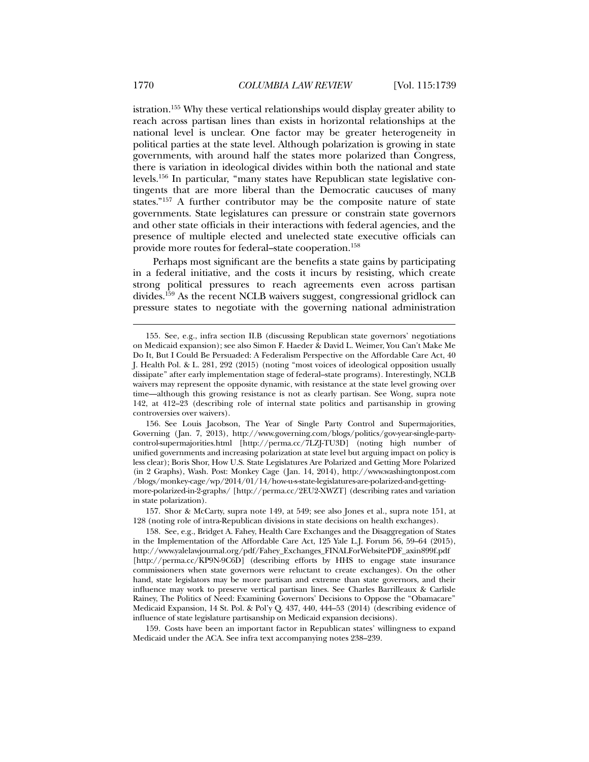istration.155 Why these vertical relationships would display greater ability to reach across partisan lines than exists in horizontal relationships at the national level is unclear. One factor may be greater heterogeneity in political parties at the state level. Although polarization is growing in state governments, with around half the states more polarized than Congress, there is variation in ideological divides within both the national and state levels.156 In particular, "many states have Republican state legislative contingents that are more liberal than the Democratic caucuses of many states."157 A further contributor may be the composite nature of state governments. State legislatures can pressure or constrain state governors and other state officials in their interactions with federal agencies, and the presence of multiple elected and unelected state executive officials can provide more routes for federal–state cooperation.158

Perhaps most significant are the benefits a state gains by participating in a federal initiative, and the costs it incurs by resisting, which create strong political pressures to reach agreements even across partisan divides.159 As the recent NCLB waivers suggest, congressional gridlock can pressure states to negotiate with the governing national administration

 157. Shor & McCarty, supra note 149, at 549; see also Jones et al., supra note 151, at 128 (noting role of intra-Republican divisions in state decisions on health exchanges).

 158. See, e.g., Bridget A. Fahey, Health Care Exchanges and the Disaggregation of States in the Implementation of the Affordable Care Act, 125 Yale L.J. Forum 56, 59–64 (2015), http://www.yalelawjournal.org/pdf/Fahey\_Exchanges\_FINALForWebsitePDF\_axin899f.pdf [http://perma.cc/KP9N-9C6D] (describing efforts by HHS to engage state insurance commissioners when state governors were reluctant to create exchanges). On the other hand, state legislators may be more partisan and extreme than state governors, and their influence may work to preserve vertical partisan lines. See Charles Barrilleaux & Carlisle Rainey, The Politics of Need: Examining Governors' Decisions to Oppose the "Obamacare" Medicaid Expansion, 14 St. Pol. & Pol'y Q. 437, 440, 444–53 (2014) (describing evidence of influence of state legislature partisanship on Medicaid expansion decisions).

 159. Costs have been an important factor in Republican states' willingness to expand Medicaid under the ACA. See infra text accompanying notes 238–239.

 <sup>155.</sup> See, e.g., infra section II.B (discussing Republican state governors' negotiations on Medicaid expansion); see also Simon F. Haeder & David L. Weimer, You Can't Make Me Do It, But I Could Be Persuaded: A Federalism Perspective on the Affordable Care Act, 40 J. Health Pol. & L. 281, 292 (2015) (noting "most voices of ideological opposition usually dissipate" after early implementation stage of federal–state programs). Interestingly, NCLB waivers may represent the opposite dynamic, with resistance at the state level growing over time—although this growing resistance is not as clearly partisan. See Wong, supra note 142, at 412–23 (describing role of internal state politics and partisanship in growing controversies over waivers).

 <sup>156.</sup> See Louis Jacobson, The Year of Single Party Control and Supermajorities, Governing (Jan. 7, 2013), http://www.governing.com/blogs/politics/gov-year-single-partycontrol-supermajorities.html [http://perma.cc/7LZJ-TU3D] (noting high number of unified governments and increasing polarization at state level but arguing impact on policy is less clear); Boris Shor, How U.S. State Legislatures Are Polarized and Getting More Polarized (in 2 Graphs), Wash. Post: Monkey Cage (Jan. 14, 2014), http://www.washingtonpost.com /blogs/monkey-cage/wp/2014/01/14/how-u-s-state-legislatures-are-polarized-and-gettingmore-polarized-in-2-graphs/ [http://perma.cc/2EU2-XWZT] (describing rates and variation in state polarization).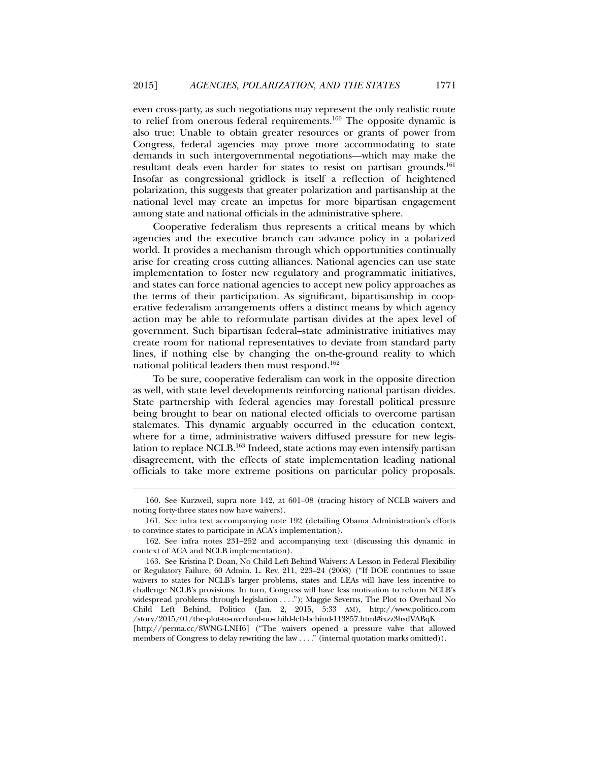even cross-party, as such negotiations may represent the only realistic route to relief from onerous federal requirements.160 The opposite dynamic is also true: Unable to obtain greater resources or grants of power from Congress, federal agencies may prove more accommodating to state demands in such intergovernmental negotiations—which may make the resultant deals even harder for states to resist on partisan grounds.<sup>161</sup> Insofar as congressional gridlock is itself a reflection of heightened polarization, this suggests that greater polarization and partisanship at the national level may create an impetus for more bipartisan engagement among state and national officials in the administrative sphere.

Cooperative federalism thus represents a critical means by which agencies and the executive branch can advance policy in a polarized world. It provides a mechanism through which opportunities continually arise for creating cross cutting alliances. National agencies can use state implementation to foster new regulatory and programmatic initiatives, and states can force national agencies to accept new policy approaches as the terms of their participation. As significant, bipartisanship in cooperative federalism arrangements offers a distinct means by which agency action may be able to reformulate partisan divides at the apex level of government. Such bipartisan federal–state administrative initiatives may create room for national representatives to deviate from standard party lines, if nothing else by changing the on-the-ground reality to which national political leaders then must respond.162

To be sure, cooperative federalism can work in the opposite direction as well, with state level developments reinforcing national partisan divides. State partnership with federal agencies may forestall political pressure being brought to bear on national elected officials to overcome partisan stalemates. This dynamic arguably occurred in the education context, where for a time, administrative waivers diffused pressure for new legislation to replace NCLB.163 Indeed, state actions may even intensify partisan disagreement, with the effects of state implementation leading national officials to take more extreme positions on particular policy proposals.

 <sup>160.</sup> See Kurzweil, supra note 142, at 601–08 (tracing history of NCLB waivers and noting forty-three states now have waivers).

 <sup>161.</sup> See infra text accompanying note 192 (detailing Obama Administration's efforts to convince states to participate in ACA's implementation).

 <sup>162.</sup> See infra notes 231–252 and accompanying text (discussing this dynamic in context of ACA and NCLB implementation).

 <sup>163.</sup> See Kristina P. Doan, No Child Left Behind Waivers: A Lesson in Federal Flexibility or Regulatory Failure, 60 Admin. L. Rev. 211, 223–24 (2008) ("If DOE continues to issue waivers to states for NCLB's larger problems, states and LEAs will have less incentive to challenge NCLB's provisions. In turn, Congress will have less motivation to reform NCLB's widespread problems through legislation . . . ."); Maggie Severns, The Plot to Overhaul No Child Left Behind, Politico (Jan. 2, 2015, 5:33 AM), http://www.politico.com /story/2015/01/the-plot-to-overhaul-no-child-left-behind-113857.html#ixzz3hsdVABqK [http://perma.cc/8WNG-LNH6] ("The waivers opened a pressure valve that allowed members of Congress to delay rewriting the law . . . ." (internal quotation marks omitted)).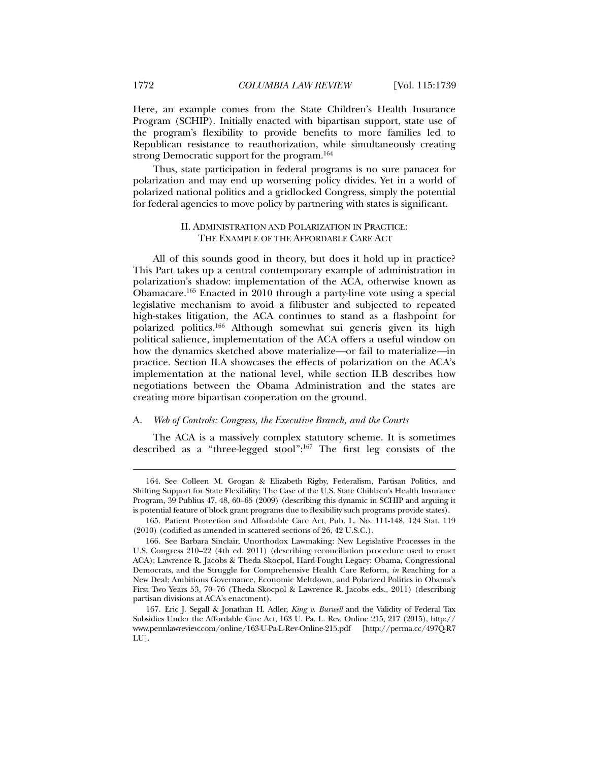Here, an example comes from the State Children's Health Insurance Program (SCHIP). Initially enacted with bipartisan support, state use of the program's flexibility to provide benefits to more families led to Republican resistance to reauthorization, while simultaneously creating strong Democratic support for the program.<sup>164</sup>

Thus, state participation in federal programs is no sure panacea for polarization and may end up worsening policy divides. Yet in a world of polarized national politics and a gridlocked Congress, simply the potential for federal agencies to move policy by partnering with states is significant.

# II. ADMINISTRATION AND POLARIZATION IN PRACTICE: THE EXAMPLE OF THE AFFORDABLE CARE ACT

All of this sounds good in theory, but does it hold up in practice? This Part takes up a central contemporary example of administration in polarization's shadow: implementation of the ACA, otherwise known as Obamacare.165 Enacted in 2010 through a party-line vote using a special legislative mechanism to avoid a filibuster and subjected to repeated high-stakes litigation, the ACA continues to stand as a flashpoint for polarized politics.166 Although somewhat sui generis given its high political salience, implementation of the ACA offers a useful window on how the dynamics sketched above materialize—or fail to materialize—in practice. Section II.A showcases the effects of polarization on the ACA's implementation at the national level, while section II.B describes how negotiations between the Obama Administration and the states are creating more bipartisan cooperation on the ground.

#### A. *Web of Controls: Congress, the Executive Branch, and the Courts*

The ACA is a massively complex statutory scheme. It is sometimes described as a "three-legged stool":167 The first leg consists of the

 <sup>164.</sup> See Colleen M. Grogan & Elizabeth Rigby, Federalism, Partisan Politics, and Shifting Support for State Flexibility: The Case of the U.S. State Children's Health Insurance Program, 39 Publius 47, 48, 60–65 (2009) (describing this dynamic in SCHIP and arguing it is potential feature of block grant programs due to flexibility such programs provide states).

 <sup>165.</sup> Patient Protection and Affordable Care Act, Pub. L. No. 111-148, 124 Stat. 119 (2010) (codified as amended in scattered sections of 26, 42 U.S.C.).

 <sup>166.</sup> See Barbara Sinclair, Unorthodox Lawmaking: New Legislative Processes in the U.S. Congress 210–22 (4th ed. 2011) (describing reconciliation procedure used to enact ACA); Lawrence R. Jacobs & Theda Skocpol, Hard-Fought Legacy: Obama, Congressional Democrats, and the Struggle for Comprehensive Health Care Reform, *in* Reaching for a New Deal: Ambitious Governance, Economic Meltdown, and Polarized Politics in Obama's First Two Years 53, 70–76 (Theda Skocpol & Lawrence R. Jacobs eds., 2011) (describing partisan divisions at ACA's enactment).

 <sup>167.</sup> Eric J. Segall & Jonathan H. Adler, *King v. Burwell* and the Validity of Federal Tax Subsidies Under the Affordable Care Act, 163 U. Pa. L. Rev. Online 215, 217 (2015), http:// www.pennlawreview.com/online/163-U-Pa-L-Rev-Online-215.pdf [http://perma.cc/497Q-R7 LU].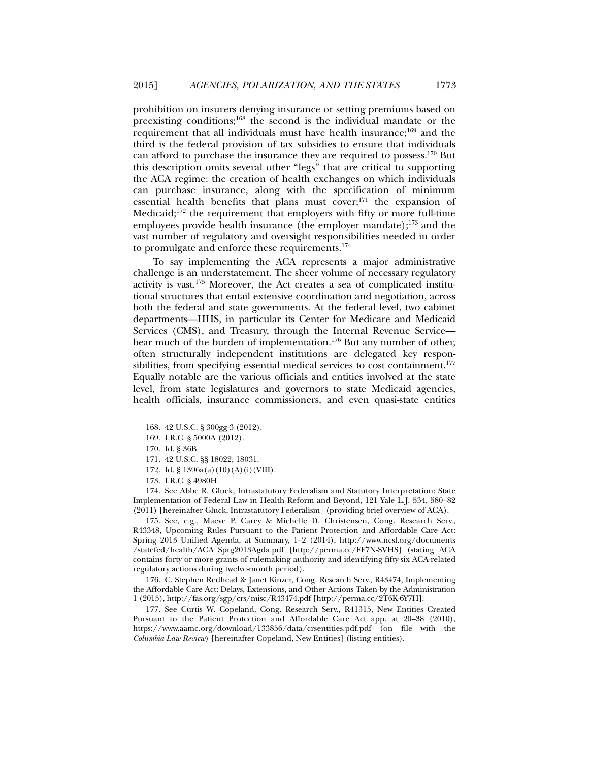prohibition on insurers denying insurance or setting premiums based on preexisting conditions;168 the second is the individual mandate or the requirement that all individuals must have health insurance;<sup>169</sup> and the third is the federal provision of tax subsidies to ensure that individuals can afford to purchase the insurance they are required to possess.170 But this description omits several other "legs" that are critical to supporting the ACA regime: the creation of health exchanges on which individuals can purchase insurance, along with the specification of minimum essential health benefits that plans must cover;<sup>171</sup> the expansion of Medicaid;<sup>172</sup> the requirement that employers with fifty or more full-time employees provide health insurance (the employer mandate);173 and the vast number of regulatory and oversight responsibilities needed in order to promulgate and enforce these requirements.174

To say implementing the ACA represents a major administrative challenge is an understatement. The sheer volume of necessary regulatory activity is vast.175 Moreover, the Act creates a sea of complicated institutional structures that entail extensive coordination and negotiation, across both the federal and state governments. At the federal level, two cabinet departments—HHS, in particular its Center for Medicare and Medicaid Services (CMS), and Treasury, through the Internal Revenue Service bear much of the burden of implementation.<sup>176</sup> But any number of other, often structurally independent institutions are delegated key responsibilities, from specifying essential medical services to cost containment.<sup>177</sup> Equally notable are the various officials and entities involved at the state level, from state legislatures and governors to state Medicaid agencies, health officials, insurance commissioners, and even quasi-state entities

l

 174. See Abbe R. Gluck, Intrastatutory Federalism and Statutory Interpretation: State Implementation of Federal Law in Health Reform and Beyond, 121 Yale L.J. 534, 580–82 (2011) [hereinafter Gluck, Intrastatutory Federalism] (providing brief overview of ACA).

 175. See, e.g., Maeve P. Carey & Michelle D. Christensen, Cong. Research Serv., R43348, Upcoming Rules Pursuant to the Patient Protection and Affordable Care Act: Spring 2013 Unified Agenda, at Summary, 1–2 (2014), http://www.ncsl.org/documents /statefed/health/ACA\_Sprg2013Agda.pdf [http://perma.cc/FF7N-SVHS] (stating ACA contains forty or more grants of rulemaking authority and identifying fifty-six ACA-related regulatory actions during twelve-month period).

 176. C. Stephen Redhead & Janet Kinzer, Cong. Research Serv., R43474, Implementing the Affordable Care Act: Delays, Extensions, and Other Actions Taken by the Administration 1 (2015), http://fas.org/sgp/crs/misc/R43474.pdf [http://perma.cc/2T6K-6Y7H].

 177. See Curtis W. Copeland, Cong. Research Serv., R41315, New Entities Created Pursuant to the Patient Protection and Affordable Care Act app. at 20–38 (2010), https://www.aamc.org/download/133856/data/crsentities.pdf.pdf (on file with the *Columbia Law Review*) [hereinafter Copeland, New Entities] (listing entities).

 <sup>168. 42</sup> U.S.C. § 300gg-3 (2012).

 <sup>169.</sup> I.R.C. § 5000A (2012).

 <sup>170.</sup> Id. § 36B.

 <sup>171. 42</sup> U.S.C. §§ 18022, 18031.

<sup>172.</sup> Id. § 1396a(a)(10)(A)(i)(VIII).

 <sup>173.</sup> I.R.C. § 4980H.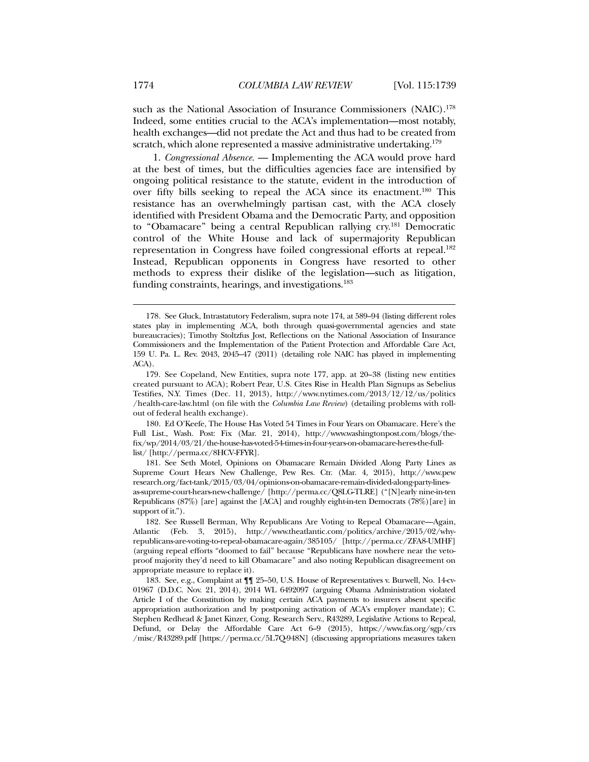such as the National Association of Insurance Commissioners (NAIC).<sup>178</sup> Indeed, some entities crucial to the ACA's implementation—most notably, health exchanges—did not predate the Act and thus had to be created from scratch, which alone represented a massive administrative undertaking.<sup>179</sup>

1. *Congressional Absence.* — Implementing the ACA would prove hard at the best of times, but the difficulties agencies face are intensified by ongoing political resistance to the statute, evident in the introduction of over fifty bills seeking to repeal the ACA since its enactment.<sup>180</sup> This resistance has an overwhelmingly partisan cast, with the ACA closely identified with President Obama and the Democratic Party, and opposition to "Obamacare" being a central Republican rallying cry.<sup>181</sup> Democratic control of the White House and lack of supermajority Republican representation in Congress have foiled congressional efforts at repeal.<sup>182</sup> Instead, Republican opponents in Congress have resorted to other methods to express their dislike of the legislation—such as litigation, funding constraints, hearings, and investigations.<sup>183</sup>

 180. Ed O'Keefe, The House Has Voted 54 Times in Four Years on Obamacare. Here's the Full List., Wash. Post: Fix (Mar. 21, 2014), http://www.washingtonpost.com/blogs/thefix/wp/2014/03/21/the-house-has-voted-54-times-in-four-years-on-obamacare-heres-the-fulllist/ [http://perma.cc/8HCV-FFYR].

 181. See Seth Motel, Opinions on Obamacare Remain Divided Along Party Lines as Supreme Court Hears New Challenge, Pew Res. Ctr. (Mar. 4, 2015), http://www.pew research.org/fact-tank/2015/03/04/opinions-on-obamacare-remain-divided-along-party-linesas-supreme-court-hears-new-challenge/ [http://perma.cc/Q8LG-TLRE] ("[N]early nine-in-ten Republicans (87%) [are] against the [ACA] and roughly eight-in-ten Democrats (78%)[are] in support of it.").

 <sup>178.</sup> See Gluck, Intrastatutory Federalism, supra note 174, at 589–94 (listing different roles states play in implementing ACA, both through quasi-governmental agencies and state bureaucracies); Timothy Stoltzfus Jost, Reflections on the National Association of Insurance Commissioners and the Implementation of the Patient Protection and Affordable Care Act, 159 U. Pa. L. Rev. 2043, 2045–47 (2011) (detailing role NAIC has played in implementing ACA).

 <sup>179.</sup> See Copeland, New Entities, supra note 177, app. at 20–38 (listing new entities created pursuant to ACA); Robert Pear, U.S. Cites Rise in Health Plan Signups as Sebelius Testifies, N.Y. Times (Dec. 11, 2013), http://www.nytimes.com/2013/12/12/us/politics /health-care-law.html (on file with the *Columbia Law Review*) (detailing problems with rollout of federal health exchange).

 <sup>182.</sup> See Russell Berman, Why Republicans Are Voting to Repeal Obamacare—Again, Atlantic (Feb. 3, 2015), http://www.theatlantic.com/politics/archive/2015/02/whyrepublicans-are-voting-to-repeal-obamacare-again/385105/ [http://perma.cc/ZFA8-UMHF] (arguing repeal efforts "doomed to fail" because "Republicans have nowhere near the vetoproof majority they'd need to kill Obamacare" and also noting Republican disagreement on appropriate measure to replace it).

 <sup>183.</sup> See, e.g., Complaint at ¶¶ 25–50, U.S. House of Representatives v. Burwell, No. 14-cv-01967 (D.D.C. Nov. 21, 2014), 2014 WL 6492097 (arguing Obama Administration violated Article I of the Constitution by making certain ACA payments to insurers absent specific appropriation authorization and by postponing activation of ACA's employer mandate); C. Stephen Redhead & Janet Kinzer, Cong. Research Serv., R43289, Legislative Actions to Repeal, Defund, or Delay the Affordable Care Act 6–9 (2015), https://www.fas.org/sgp/crs /misc/R43289.pdf [https://perma.cc/5L7Q-948N] (discussing appropriations measures taken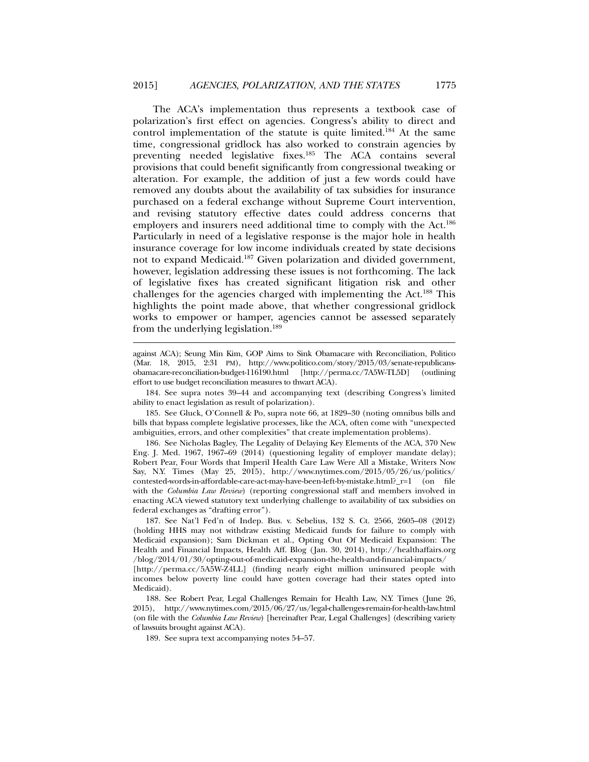The ACA's implementation thus represents a textbook case of polarization's first effect on agencies. Congress's ability to direct and control implementation of the statute is quite limited.<sup>184</sup> At the same time, congressional gridlock has also worked to constrain agencies by preventing needed legislative fixes.185 The ACA contains several provisions that could benefit significantly from congressional tweaking or alteration. For example, the addition of just a few words could have removed any doubts about the availability of tax subsidies for insurance purchased on a federal exchange without Supreme Court intervention, and revising statutory effective dates could address concerns that employers and insurers need additional time to comply with the Act.<sup>186</sup> Particularly in need of a legislative response is the major hole in health insurance coverage for low income individuals created by state decisions not to expand Medicaid.<sup>187</sup> Given polarization and divided government, however, legislation addressing these issues is not forthcoming. The lack of legislative fixes has created significant litigation risk and other challenges for the agencies charged with implementing the Act.188 This highlights the point made above, that whether congressional gridlock works to empower or hamper, agencies cannot be assessed separately from the underlying legislation.189

against ACA); Seung Min Kim, GOP Aims to Sink Obamacare with Reconciliation, Politico (Mar. 18, 2015, 2:31 PM), http://www.politico.com/story/2015/03/senate-republicansobamacare-reconciliation-budget-116190.html [http://perma.cc/7A5W-TL5D] (outlining effort to use budget reconciliation measures to thwart ACA).

 184. See supra notes 39–44 and accompanying text (describing Congress's limited ability to enact legislation as result of polarization).

 185. See Gluck, O'Connell & Po, supra note 66, at 1829–30 (noting omnibus bills and bills that bypass complete legislative processes, like the ACA, often come with "unexpected ambiguities, errors, and other complexities" that create implementation problems).

 186. See Nicholas Bagley, The Legality of Delaying Key Elements of the ACA, 370 New Eng. J. Med. 1967, 1967–69 (2014) (questioning legality of employer mandate delay); Robert Pear, Four Words that Imperil Health Care Law Were All a Mistake, Writers Now Say, N.Y. Times (May 25, 2015), http://www.nytimes.com/2015/05/26/us/politics/ contested-words-in-affordable-care-act-may-have-been-left-by-mistake.html?\_r=1 (on file with the *Columbia Law Review*) (reporting congressional staff and members involved in enacting ACA viewed statutory text underlying challenge to availability of tax subsidies on federal exchanges as "drafting error").

 187. See Nat'l Fed'n of Indep. Bus. v. Sebelius, 132 S. Ct. 2566, 2605–08 (2012) (holding HHS may not withdraw existing Medicaid funds for failure to comply with Medicaid expansion); Sam Dickman et al., Opting Out Of Medicaid Expansion: The Health and Financial Impacts, Health Aff. Blog (Jan. 30, 2014), http://healthaffairs.org /blog/2014/01/30/opting-out-of-medicaid-expansion-the-health-and-financial-impacts/ [http://perma.cc/5A5W-Z4LL] (finding nearly eight million uninsured people with incomes below poverty line could have gotten coverage had their states opted into Medicaid).

 188. See Robert Pear, Legal Challenges Remain for Health Law, N.Y. Times (June 26, 2015), http://www.nytimes.com/2015/06/27/us/legal-challenges-remain-for-health-law.html (on file with the *Columbia Law Review*) [hereinafter Pear, Legal Challenges] (describing variety of lawsuits brought against ACA).

189. See supra text accompanying notes 54–57.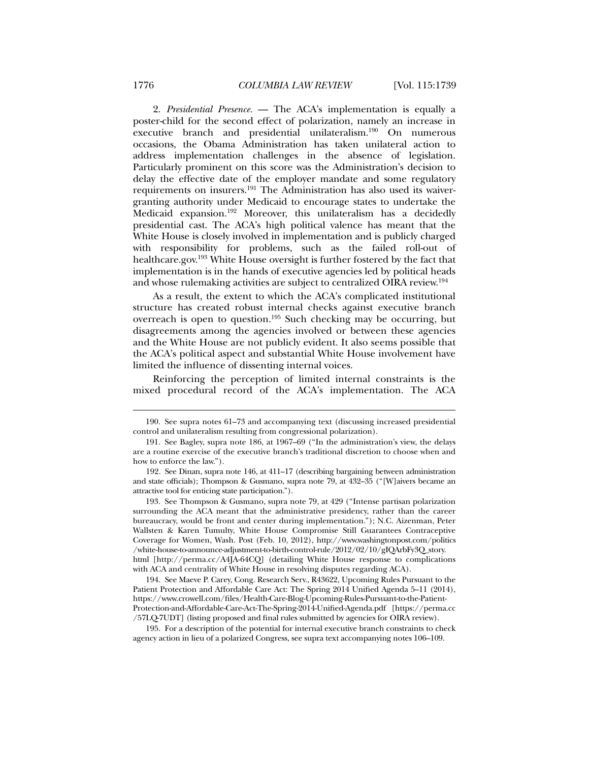2. *Presidential Presence.* — The ACA's implementation is equally a poster-child for the second effect of polarization, namely an increase in executive branch and presidential unilateralism.<sup>190</sup> On numerous occasions, the Obama Administration has taken unilateral action to address implementation challenges in the absence of legislation. Particularly prominent on this score was the Administration's decision to delay the effective date of the employer mandate and some regulatory requirements on insurers.191 The Administration has also used its waivergranting authority under Medicaid to encourage states to undertake the Medicaid expansion.192 Moreover, this unilateralism has a decidedly presidential cast. The ACA's high political valence has meant that the White House is closely involved in implementation and is publicly charged with responsibility for problems, such as the failed roll-out of

healthcare.gov.193 White House oversight is further fostered by the fact that implementation is in the hands of executive agencies led by political heads and whose rulemaking activities are subject to centralized OIRA review.194 As a result, the extent to which the ACA's complicated institutional

structure has created robust internal checks against executive branch overreach is open to question.195 Such checking may be occurring, but disagreements among the agencies involved or between these agencies and the White House are not publicly evident. It also seems possible that the ACA's political aspect and substantial White House involvement have limited the influence of dissenting internal voices.

Reinforcing the perception of limited internal constraints is the mixed procedural record of the ACA's implementation. The ACA

 195. For a description of the potential for internal executive branch constraints to check agency action in lieu of a polarized Congress, see supra text accompanying notes 106–109.

 <sup>190.</sup> See supra notes 61–73 and accompanying text (discussing increased presidential control and unilateralism resulting from congressional polarization).

 <sup>191.</sup> See Bagley, supra note 186, at 1967–69 ("In the administration's view, the delays are a routine exercise of the executive branch's traditional discretion to choose when and how to enforce the law.").

 <sup>192.</sup> See Dinan, supra note 146, at 411–17 (describing bargaining between administration and state officials); Thompson & Gusmano, supra note 79, at 432–35 ("[W]aivers became an attractive tool for enticing state participation.").

 <sup>193.</sup> See Thompson & Gusmano, supra note 79, at 429 ("Intense partisan polarization surrounding the ACA meant that the administrative presidency, rather than the career bureaucracy, would be front and center during implementation."); N.C. Aizenman, Peter Wallsten & Karen Tumulty, White House Compromise Still Guarantees Contraceptive Coverage for Women, Wash. Post (Feb. 10, 2012), http://www.washingtonpost.com/politics /white-house-to-announce-adjustment-to-birth-control-rule/2012/02/10/gIQArbFy3Q\_story. html [http://perma.cc/A4JA-64CQ] (detailing White House response to complications with ACA and centrality of White House in resolving disputes regarding ACA).

 <sup>194.</sup> See Maeve P. Carey, Cong. Research Serv., R43622, Upcoming Rules Pursuant to the Patient Protection and Affordable Care Act: The Spring 2014 Unified Agenda 5–11 (2014), https://www.crowell.com/files/Health-Care-Blog-Upcoming-Rules-Pursuant-to-the-Patient-Protection-and-Affordable-Care-Act-The-Spring-2014-Unified-Agenda.pdf [https://perma.cc /57LQ-7UDT] (listing proposed and final rules submitted by agencies for OIRA review).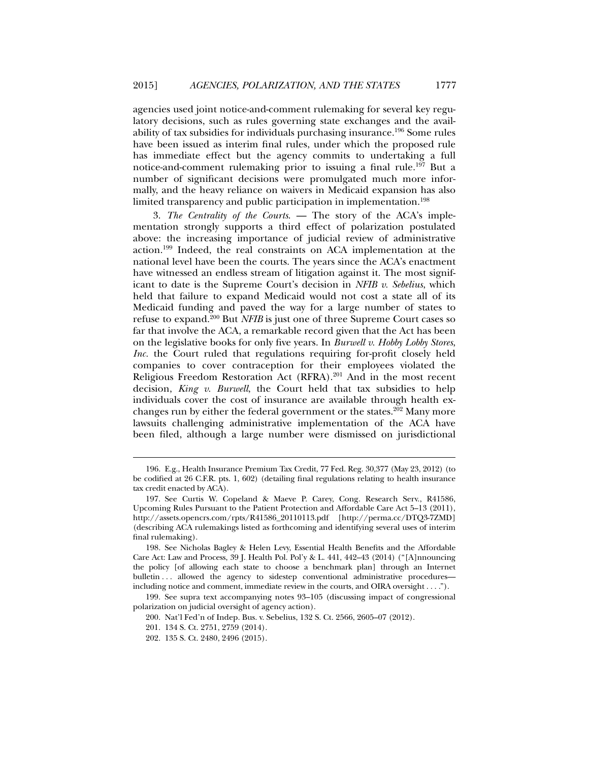agencies used joint notice-and-comment rulemaking for several key regulatory decisions, such as rules governing state exchanges and the availability of tax subsidies for individuals purchasing insurance.196 Some rules have been issued as interim final rules, under which the proposed rule has immediate effect but the agency commits to undertaking a full notice-and-comment rulemaking prior to issuing a final rule.197 But a number of significant decisions were promulgated much more informally, and the heavy reliance on waivers in Medicaid expansion has also limited transparency and public participation in implementation.<sup>198</sup>

3. *The Centrality of the Courts*. — The story of the ACA's implementation strongly supports a third effect of polarization postulated above: the increasing importance of judicial review of administrative action.199 Indeed, the real constraints on ACA implementation at the national level have been the courts. The years since the ACA's enactment have witnessed an endless stream of litigation against it. The most significant to date is the Supreme Court's decision in *NFIB v. Sebelius*, which held that failure to expand Medicaid would not cost a state all of its Medicaid funding and paved the way for a large number of states to refuse to expand.200 But *NFIB* is just one of three Supreme Court cases so far that involve the ACA, a remarkable record given that the Act has been on the legislative books for only five years. In *Burwell v. Hobby Lobby Stores*, *Inc.* the Court ruled that regulations requiring for-profit closely held companies to cover contraception for their employees violated the Religious Freedom Restoration Act (RFRA).201 And in the most recent decision, *King v. Burwell*, the Court held that tax subsidies to help individuals cover the cost of insurance are available through health exchanges run by either the federal government or the states.<sup>202</sup> Many more lawsuits challenging administrative implementation of the ACA have been filed, although a large number were dismissed on jurisdictional

 199. See supra text accompanying notes 93–105 (discussing impact of congressional polarization on judicial oversight of agency action).

 <sup>196.</sup> E.g., Health Insurance Premium Tax Credit, 77 Fed. Reg. 30,377 (May 23, 2012) (to be codified at 26 C.F.R. pts. 1, 602) (detailing final regulations relating to health insurance tax credit enacted by ACA).

 <sup>197.</sup> See Curtis W. Copeland & Maeve P. Carey, Cong. Research Serv., R41586, Upcoming Rules Pursuant to the Patient Protection and Affordable Care Act 5–13 (2011), http://assets.opencrs.com/rpts/R41586\_20110113.pdf [http://perma.cc/DTQ3-7ZMD] (describing ACA rulemakings listed as forthcoming and identifying several uses of interim final rulemaking).

 <sup>198.</sup> See Nicholas Bagley & Helen Levy, Essential Health Benefits and the Affordable Care Act: Law and Process, 39 J. Health Pol. Pol'y & L. 441, 442–43 (2014) ("[A]nnouncing the policy [of allowing each state to choose a benchmark plan] through an Internet bulletin ... allowed the agency to sidestep conventional administrative procedures including notice and comment, immediate review in the courts, and OIRA oversight . . . .").

 <sup>200.</sup> Nat'l Fed'n of Indep. Bus. v. Sebelius, 132 S. Ct. 2566, 2605–07 (2012).

 <sup>201. 134</sup> S. Ct. 2751, 2759 (2014).

 <sup>202. 135</sup> S. Ct. 2480, 2496 (2015).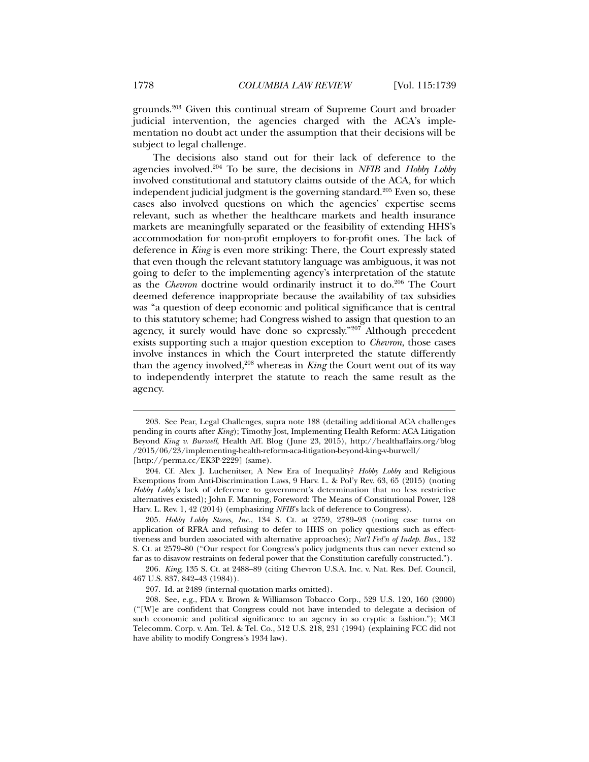grounds.203 Given this continual stream of Supreme Court and broader judicial intervention, the agencies charged with the ACA's implementation no doubt act under the assumption that their decisions will be subject to legal challenge.

The decisions also stand out for their lack of deference to the agencies involved.204 To be sure, the decisions in *NFIB* and *Hobby Lobby*  involved constitutional and statutory claims outside of the ACA, for which independent judicial judgment is the governing standard.<sup>205</sup> Even so, these cases also involved questions on which the agencies' expertise seems relevant, such as whether the healthcare markets and health insurance markets are meaningfully separated or the feasibility of extending HHS's accommodation for non-profit employers to for-profit ones. The lack of deference in *King* is even more striking: There, the Court expressly stated that even though the relevant statutory language was ambiguous, it was not going to defer to the implementing agency's interpretation of the statute as the *Chevron* doctrine would ordinarily instruct it to do.<sup>206</sup> The Court deemed deference inappropriate because the availability of tax subsidies was "a question of deep economic and political significance that is central to this statutory scheme; had Congress wished to assign that question to an agency, it surely would have done so expressly."207 Although precedent exists supporting such a major question exception to *Chevron*, those cases involve instances in which the Court interpreted the statute differently than the agency involved,<sup>208</sup> whereas in *King* the Court went out of its way to independently interpret the statute to reach the same result as the agency.

204. Cf. Alex J. Luchenitser, A New Era of Inequality? *Hobby Lobby* and Religious

206*. King*, 135 S. Ct. at 2488–89 (citing Chevron U.S.A. Inc. v. Nat. Res. Def. Council, 467 U.S. 837, 842–43 (1984)).

 <sup>203.</sup> See Pear, Legal Challenges, supra note 188 (detailing additional ACA challenges pending in courts after *King*); Timothy Jost, Implementing Health Reform: ACA Litigation Beyond *King v. Burwell*, Health Aff. Blog (June 23, 2015), http://healthaffairs.org/blog /2015/06/23/implementing-health-reform-aca-litigation-beyond-king-v-burwell/ [http://perma.cc/EK3P-2229] (same).

Exemptions from Anti-Discrimination Laws, 9 Harv. L. & Pol'y Rev. 63, 65 (2015) (noting *Hobby Lobby*'s lack of deference to government's determination that no less restrictive alternatives existed); John F. Manning, Foreword: The Means of Constitutional Power, 128 Harv. L. Rev. 1, 42 (2014) (emphasizing *NFIB*'s lack of deference to Congress).

<sup>205</sup>*. Hobby Lobby Stores, Inc.*, 134 S. Ct. at 2759, 2789–93 (noting case turns on application of RFRA and refusing to defer to HHS on policy questions such as effecttiveness and burden associated with alternative approaches); *Nat'l Fed'n of Indep. Bus.*, 132 S. Ct. at 2579–80 ("Our respect for Congress's policy judgments thus can never extend so far as to disavow restraints on federal power that the Constitution carefully constructed.").

 <sup>207.</sup> Id. at 2489 (internal quotation marks omitted).

 <sup>208.</sup> See, e.g., FDA v. Brown & Williamson Tobacco Corp., 529 U.S. 120, 160 (2000) ("[W]e are confident that Congress could not have intended to delegate a decision of such economic and political significance to an agency in so cryptic a fashion."); MCI Telecomm. Corp. v. Am. Tel. & Tel. Co., 512 U.S. 218, 231 (1994) (explaining FCC did not have ability to modify Congress's 1934 law).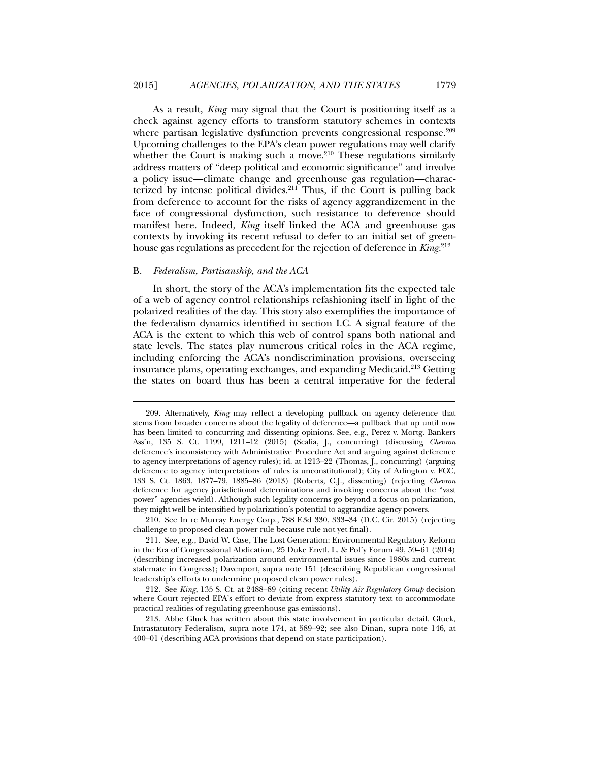As a result, *King* may signal that the Court is positioning itself as a check against agency efforts to transform statutory schemes in contexts where partisan legislative dysfunction prevents congressional response.<sup>209</sup> Upcoming challenges to the EPA's clean power regulations may well clarify whether the Court is making such a move.<sup>210</sup> These regulations similarly address matters of "deep political and economic significance" and involve a policy issue—climate change and greenhouse gas regulation—characterized by intense political divides. $211$  Thus, if the Court is pulling back from deference to account for the risks of agency aggrandizement in the face of congressional dysfunction, such resistance to deference should manifest here. Indeed, *King* itself linked the ACA and greenhouse gas contexts by invoking its recent refusal to defer to an initial set of greenhouse gas regulations as precedent for the rejection of deference in *King.*<sup>212</sup>

#### B. *Federalism, Partisanship, and the ACA*

l

In short, the story of the ACA's implementation fits the expected tale of a web of agency control relationships refashioning itself in light of the polarized realities of the day. This story also exemplifies the importance of the federalism dynamics identified in section I.C. A signal feature of the ACA is the extent to which this web of control spans both national and state levels. The states play numerous critical roles in the ACA regime, including enforcing the ACA's nondiscrimination provisions, overseeing insurance plans, operating exchanges, and expanding Medicaid.213 Getting the states on board thus has been a central imperative for the federal

 210. See In re Murray Energy Corp., 788 F.3d 330, 333–34 (D.C. Cir. 2015) (rejecting challenge to proposed clean power rule because rule not yet final).

 <sup>209.</sup> Alternatively, *King* may reflect a developing pullback on agency deference that stems from broader concerns about the legality of deference—a pullback that up until now has been limited to concurring and dissenting opinions. See, e.g., Perez v. Mortg. Bankers Ass'n, 135 S. Ct. 1199, 1211–12 (2015) (Scalia, J., concurring) (discussing *Chevron* deference's inconsistency with Administrative Procedure Act and arguing against deference to agency interpretations of agency rules); id. at 1213–22 (Thomas, J., concurring) (arguing deference to agency interpretations of rules is unconstitutional); City of Arlington v. FCC, 133 S. Ct. 1863, 1877–79, 1885–86 (2013) (Roberts, C.J., dissenting) (rejecting *Chevron* deference for agency jurisdictional determinations and invoking concerns about the "vast power" agencies wield). Although such legality concerns go beyond a focus on polarization, they might well be intensified by polarization's potential to aggrandize agency powers.

 <sup>211.</sup> See, e.g., David W. Case, The Lost Generation: Environmental Regulatory Reform in the Era of Congressional Abdication, 25 Duke Envtl. L. & Pol'y Forum 49, 59–61 (2014) (describing increased polarization around environmental issues since 1980s and current stalemate in Congress); Davenport, supra note 151 (describing Republican congressional leadership's efforts to undermine proposed clean power rules).

 <sup>212.</sup> See *King*, 135 S. Ct. at 2488–89 (citing recent *Utility Air Regulatory Group* decision where Court rejected EPA's effort to deviate from express statutory text to accommodate practical realities of regulating greenhouse gas emissions).

 <sup>213.</sup> Abbe Gluck has written about this state involvement in particular detail. Gluck, Intrastatutory Federalism, supra note 174, at 589–92; see also Dinan, supra note 146, at 400–01 (describing ACA provisions that depend on state participation).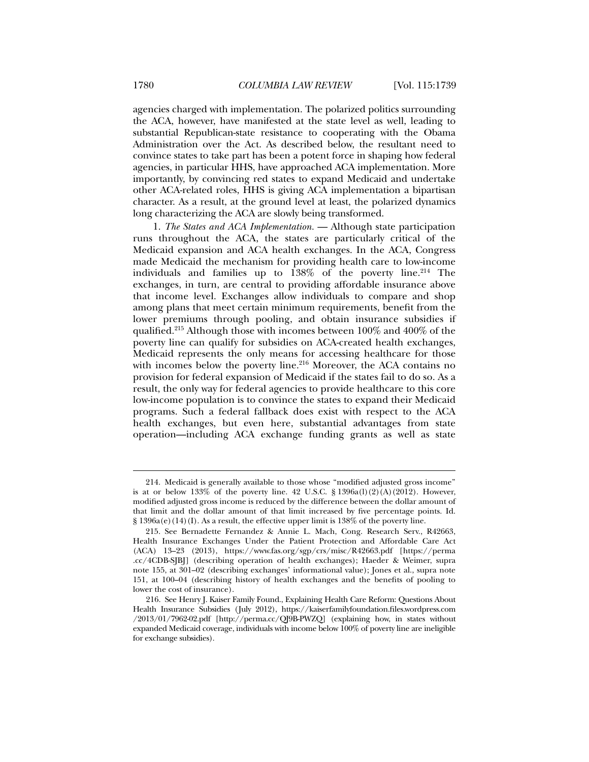agencies charged with implementation. The polarized politics surrounding the ACA, however, have manifested at the state level as well, leading to substantial Republican-state resistance to cooperating with the Obama Administration over the Act. As described below, the resultant need to convince states to take part has been a potent force in shaping how federal agencies, in particular HHS, have approached ACA implementation. More importantly, by convincing red states to expand Medicaid and undertake other ACA-related roles, HHS is giving ACA implementation a bipartisan character. As a result, at the ground level at least, the polarized dynamics long characterizing the ACA are slowly being transformed.

1. *The States and ACA Implementation.* — Although state participation runs throughout the ACA, the states are particularly critical of the Medicaid expansion and ACA health exchanges. In the ACA, Congress made Medicaid the mechanism for providing health care to low-income individuals and families up to  $138\%$  of the poverty line.<sup>214</sup> The exchanges, in turn, are central to providing affordable insurance above that income level. Exchanges allow individuals to compare and shop among plans that meet certain minimum requirements, benefit from the lower premiums through pooling, and obtain insurance subsidies if qualified.215 Although those with incomes between 100% and 400% of the poverty line can qualify for subsidies on ACA-created health exchanges, Medicaid represents the only means for accessing healthcare for those with incomes below the poverty line.<sup>216</sup> Moreover, the ACA contains no provision for federal expansion of Medicaid if the states fail to do so. As a result, the only way for federal agencies to provide healthcare to this core low-income population is to convince the states to expand their Medicaid programs. Such a federal fallback does exist with respect to the ACA health exchanges, but even here, substantial advantages from state operation—including ACA exchange funding grants as well as state

 <sup>214.</sup> Medicaid is generally available to those whose "modified adjusted gross income" is at or below  $133\%$  of the poverty line. 42 U.S.C. §  $1396a(1)(2)(A)(2012)$ . However, modified adjusted gross income is reduced by the difference between the dollar amount of that limit and the dollar amount of that limit increased by five percentage points. Id.  $\S 1396a(e)(14)(I)$ . As a result, the effective upper limit is  $138\%$  of the poverty line.

 <sup>215.</sup> See Bernadette Fernandez & Annie L. Mach, Cong. Research Serv., R42663, Health Insurance Exchanges Under the Patient Protection and Affordable Care Act (ACA) 13–23 (2013), https://www.fas.org/sgp/crs/misc/R42663.pdf [https://perma .cc/4CDB-SJBJ] (describing operation of health exchanges); Haeder & Weimer, supra note 155, at 301–02 (describing exchanges' informational value); Jones et al., supra note 151, at 100–04 (describing history of health exchanges and the benefits of pooling to lower the cost of insurance).

 <sup>216.</sup> See Henry J. Kaiser Family Found., Explaining Health Care Reform: Questions About Health Insurance Subsidies (July 2012), https://kaiserfamilyfoundation.files.wordpress.com /2013/01/7962-02.pdf [http://perma.cc/QJ9B-PWZQ] (explaining how, in states without expanded Medicaid coverage, individuals with income below 100% of poverty line are ineligible for exchange subsidies).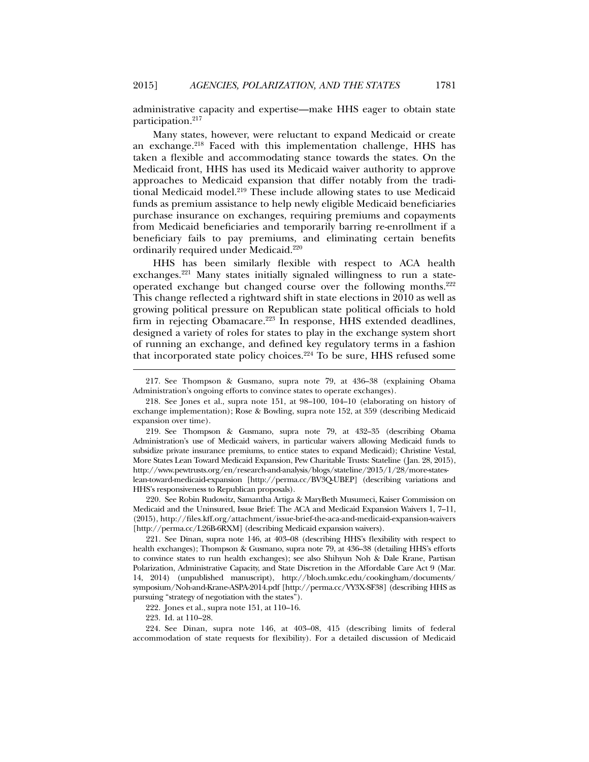administrative capacity and expertise—make HHS eager to obtain state participation.217

Many states, however, were reluctant to expand Medicaid or create an exchange.<sup>218</sup> Faced with this implementation challenge, HHS has taken a flexible and accommodating stance towards the states. On the Medicaid front, HHS has used its Medicaid waiver authority to approve approaches to Medicaid expansion that differ notably from the traditional Medicaid model.<sup>219</sup> These include allowing states to use Medicaid funds as premium assistance to help newly eligible Medicaid beneficiaries purchase insurance on exchanges, requiring premiums and copayments from Medicaid beneficiaries and temporarily barring re-enrollment if a beneficiary fails to pay premiums, and eliminating certain benefits ordinarily required under Medicaid.220

HHS has been similarly flexible with respect to ACA health exchanges.221 Many states initially signaled willingness to run a stateoperated exchange but changed course over the following months.222 This change reflected a rightward shift in state elections in 2010 as well as growing political pressure on Republican state political officials to hold firm in rejecting Obamacare.<sup>223</sup> In response, HHS extended deadlines, designed a variety of roles for states to play in the exchange system short of running an exchange, and defined key regulatory terms in a fashion that incorporated state policy choices.<sup>224</sup> To be sure, HHS refused some

 220. See Robin Rudowitz, Samantha Artiga & MaryBeth Musumeci, Kaiser Commission on Medicaid and the Uninsured, Issue Brief: The ACA and Medicaid Expansion Waivers 1, 7–11, (2015), http://files.kff.org/attachment/issue-brief-the-aca-and-medicaid-expansion-waivers [http://perma.cc/L26B-6RXM] (describing Medicaid expansion waivers).

 221. See Dinan, supra note 146, at 403–08 (describing HHS's flexibility with respect to health exchanges); Thompson & Gusmano, supra note 79, at 436–38 (detailing HHS's efforts to convince states to run health exchanges); see also Shihyun Noh & Dale Krane, Partisan Polarization, Administrative Capacity, and State Discretion in the Affordable Care Act 9 (Mar. 14, 2014) (unpublished manuscript), http://bloch.umkc.edu/cookingham/documents/ symposium/Noh-and-Krane-ASPA-2014.pdf [http://perma.cc/VY3X-SF38] (describing HHS as pursuing "strategy of negotiation with the states").

222. Jones et al., supra note 151, at 110–16.

223. Id. at 110–28.

l

 224. See Dinan, supra note 146, at 403–08, 415 (describing limits of federal accommodation of state requests for flexibility). For a detailed discussion of Medicaid

 <sup>217.</sup> See Thompson & Gusmano, supra note 79, at 436–38 (explaining Obama Administration's ongoing efforts to convince states to operate exchanges).

 <sup>218.</sup> See Jones et al., supra note 151, at 98–100, 104–10 (elaborating on history of exchange implementation); Rose & Bowling, supra note 152, at 359 (describing Medicaid expansion over time).

 <sup>219.</sup> See Thompson & Gusmano, supra note 79, at 432–35 (describing Obama Administration's use of Medicaid waivers, in particular waivers allowing Medicaid funds to subsidize private insurance premiums, to entice states to expand Medicaid); Christine Vestal, More States Lean Toward Medicaid Expansion, Pew Charitable Trusts: Stateline (Jan. 28, 2015), http://www.pewtrusts.org/en/research-and-analysis/blogs/stateline/2015/1/28/more-stateslean-toward-medicaid-expansion [http://perma.cc/BV3Q-UBEP] (describing variations and HHS's responsiveness to Republican proposals).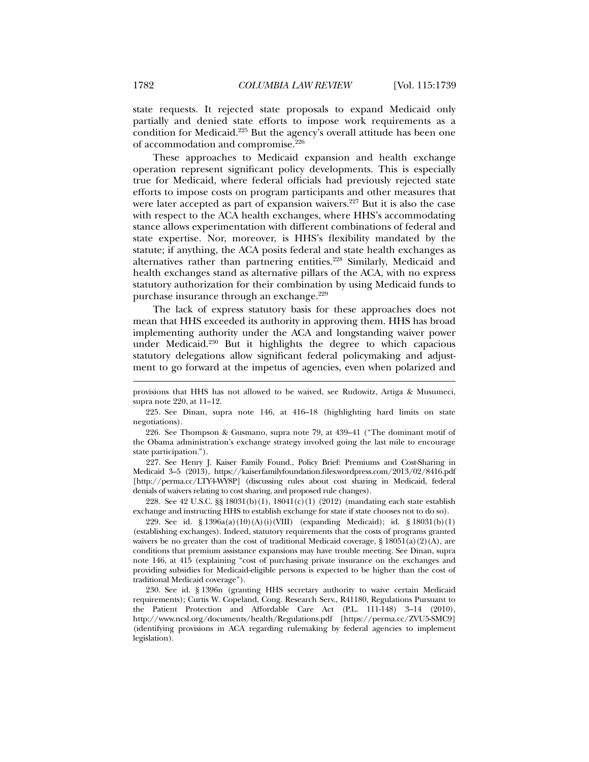state requests. It rejected state proposals to expand Medicaid only partially and denied state efforts to impose work requirements as a condition for Medicaid.225 But the agency's overall attitude has been one of accommodation and compromise.226

These approaches to Medicaid expansion and health exchange operation represent significant policy developments. This is especially true for Medicaid, where federal officials had previously rejected state efforts to impose costs on program participants and other measures that were later accepted as part of expansion waivers.<sup>227</sup> But it is also the case with respect to the ACA health exchanges, where HHS's accommodating stance allows experimentation with different combinations of federal and state expertise. Nor, moreover, is HHS's flexibility mandated by the statute; if anything, the ACA posits federal and state health exchanges as alternatives rather than partnering entities.<sup>228</sup> Similarly, Medicaid and health exchanges stand as alternative pillars of the ACA, with no express statutory authorization for their combination by using Medicaid funds to purchase insurance through an exchange.<sup>229</sup>

The lack of express statutory basis for these approaches does not mean that HHS exceeded its authority in approving them. HHS has broad implementing authority under the ACA and longstanding waiver power under Medicaid.230 But it highlights the degree to which capacious statutory delegations allow significant federal policymaking and adjustment to go forward at the impetus of agencies, even when polarized and

 226. See Thompson & Gusmano, supra note 79, at 439–41 ("The dominant motif of the Obama administration's exchange strategy involved going the last mile to encourage state participation.").

 227. See Henry J. Kaiser Family Found., Policy Brief: Premiums and Cost-Sharing in Medicaid 3–5 (2013), https://kaiserfamilyfoundation.files.wordpress.com/2013/02/8416.pdf [http://perma.cc/LTY4-WY8P] (discussing rules about cost sharing in Medicaid, federal denials of waivers relating to cost sharing, and proposed rule changes).

 228. See 42 U.S.C. §§ 18031(b)(1), 18041(c)(1) (2012) (mandating each state establish exchange and instructing HHS to establish exchange for state if state chooses not to do so).

 229. See id. § 1396a(a)(10)(A)(i)(VIII) (expanding Medicaid); id. § 18031(b)(1) (establishing exchanges). Indeed, statutory requirements that the costs of programs granted waivers be no greater than the cost of traditional Medicaid coverage,  $\S 18051(a)(2)(A)$ , are conditions that premium assistance expansions may have trouble meeting. See Dinan, supra note 146, at 415 (explaining "cost of purchasing private insurance on the exchanges and providing subsidies for Medicaid-eligible persons is expected to be higher than the cost of traditional Medicaid coverage").

 230. See id. § 1396n (granting HHS secretary authority to waive certain Medicaid requirements); Curtis W. Copeland, Cong. Research Serv., R41180, Regulations Pursuant to the Patient Protection and Affordable Care Act (P.L. 111-148) 3–14 (2010), http://www.ncsl.org/documents/health/Regulations.pdf [https://perma.cc/ZVU5-SMC9] (identifying provisions in ACA regarding rulemaking by federal agencies to implement legislation).

provisions that HHS has not allowed to be waived, see Rudowitz, Artiga & Musumeci, supra note 220, at 11–12.

 <sup>225.</sup> See Dinan, supra note 146, at 416–18 (highlighting hard limits on state negotiations).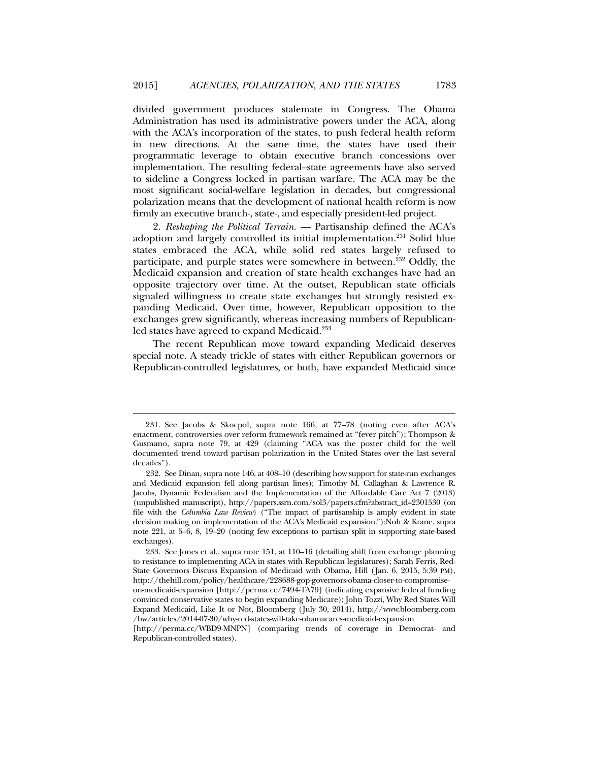divided government produces stalemate in Congress. The Obama Administration has used its administrative powers under the ACA, along with the ACA's incorporation of the states, to push federal health reform in new directions. At the same time, the states have used their programmatic leverage to obtain executive branch concessions over implementation. The resulting federal–state agreements have also served to sideline a Congress locked in partisan warfare. The ACA may be the most significant social-welfare legislation in decades, but congressional polarization means that the development of national health reform is now firmly an executive branch-, state-, and especially president-led project.

2. *Reshaping the Political Terrain.* — Partisanship defined the ACA's adoption and largely controlled its initial implementation.231 Solid blue states embraced the ACA, while solid red states largely refused to participate, and purple states were somewhere in between.<sup>232</sup> Oddly, the Medicaid expansion and creation of state health exchanges have had an opposite trajectory over time. At the outset, Republican state officials signaled willingness to create state exchanges but strongly resisted expanding Medicaid. Over time, however, Republican opposition to the exchanges grew significantly, whereas increasing numbers of Republicanled states have agreed to expand Medicaid.<sup>233</sup>

The recent Republican move toward expanding Medicaid deserves special note. A steady trickle of states with either Republican governors or Republican-controlled legislatures, or both, have expanded Medicaid since

 <sup>231.</sup> See Jacobs & Skocpol, supra note 166, at 77–78 (noting even after ACA's enactment, controversies over reform framework remained at "fever pitch"); Thompson & Gusmano, supra note 79, at 429 (claiming "ACA was the poster child for the well documented trend toward partisan polarization in the United States over the last several decades").

 <sup>232.</sup> See Dinan, supra note 146, at 408–10 (describing how support for state-run exchanges and Medicaid expansion fell along partisan lines); Timothy M. Callaghan & Lawrence R. Jacobs, Dynamic Federalism and the Implementation of the Affordable Care Act 7 (2013) (unpublished manuscript), http://papers.ssrn.com/sol3/papers.cfm?abstract\_id=2301530 (on file with the *Columbia Law Review*) ("The impact of partisanship is amply evident in state decision making on implementation of the ACA's Medicaid expansion.");Noh & Krane, supra note 221, at 5–6, 8, 19–20 (noting few exceptions to partisan split in supporting state-based exchanges).

 <sup>233.</sup> See Jones et al., supra note 151, at 110–16 (detailing shift from exchange planning to resistance to implementing ACA in states with Republican legislatures); Sarah Ferris, Red-State Governors Discuss Expansion of Medicaid with Obama, Hill (Jan. 6, 2015, 5:39 PM), http://thehill.com/policy/healthcare/228688-gop-governors-obama-closer-to-compromiseon-medicaid-expansion [http://perma.cc/7494-TA79] (indicating expansive federal funding convinced conservative states to begin expanding Medicare); John Tozzi, Why Red States Will Expand Medicaid, Like It or Not, Bloomberg (July 30, 2014), http://www.bloomberg.com

<sup>/</sup>bw/articles/2014-07-30/why-red-states-will-take-obamacares-medicaid-expansion

<sup>[</sup>http://perma.cc/WBD9-MNPN] (comparing trends of coverage in Democrat- and Republican-controlled states).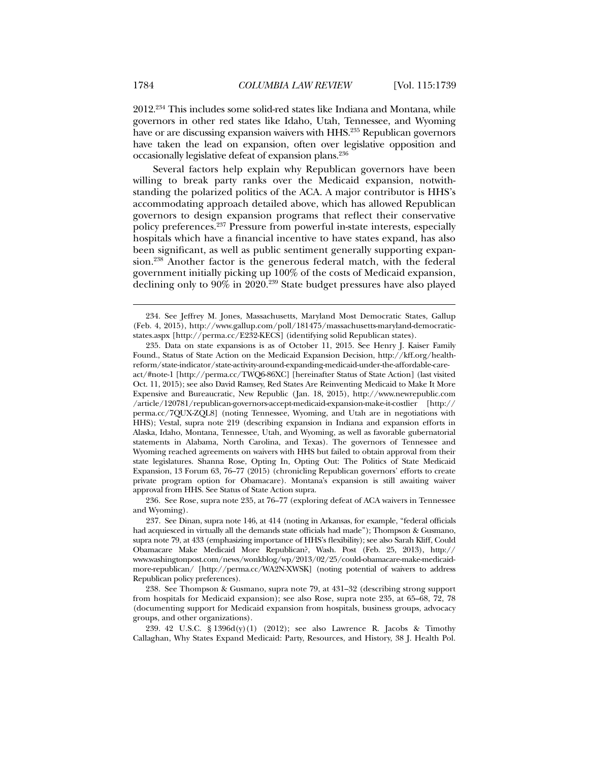2012.234 This includes some solid-red states like Indiana and Montana, while governors in other red states like Idaho, Utah, Tennessee, and Wyoming have or are discussing expansion waivers with HHS.<sup>235</sup> Republican governors have taken the lead on expansion, often over legislative opposition and occasionally legislative defeat of expansion plans.236

Several factors help explain why Republican governors have been willing to break party ranks over the Medicaid expansion, notwithstanding the polarized politics of the ACA. A major contributor is HHS's accommodating approach detailed above, which has allowed Republican governors to design expansion programs that reflect their conservative policy preferences.237 Pressure from powerful in-state interests, especially hospitals which have a financial incentive to have states expand, has also been significant, as well as public sentiment generally supporting expansion.238 Another factor is the generous federal match, with the federal government initially picking up 100% of the costs of Medicaid expansion, declining only to 90% in 2020.239 State budget pressures have also played

 236. See Rose, supra note 235, at 76–77 (exploring defeat of ACA waivers in Tennessee and Wyoming).

 237. See Dinan, supra note 146, at 414 (noting in Arkansas, for example, "federal officials had acquiesced in virtually all the demands state officials had made"); Thompson & Gusmano, supra note 79, at 433 (emphasizing importance of HHS's flexibility); see also Sarah Kliff, Could Obamacare Make Medicaid More Republican?, Wash. Post (Feb. 25, 2013), http:// www.washingtonpost.com/news/wonkblog/wp/2013/02/25/could-obamacare-make-medicaidmore-republican/ [http://perma.cc/WA2N-XWSK] (noting potential of waivers to address Republican policy preferences).

 239. 42 U.S.C. § 1396d(y)(1) (2012); see also Lawrence R. Jacobs & Timothy Callaghan, Why States Expand Medicaid: Party, Resources, and History, 38 J. Health Pol.

 <sup>234.</sup> See Jeffrey M. Jones, Massachusetts, Maryland Most Democratic States, Gallup (Feb. 4, 2015), http://www.gallup.com/poll/181475/massachusetts-maryland-democraticstates.aspx [http://perma.cc/E232-KECS] (identifying solid Republican states).

 <sup>235.</sup> Data on state expansions is as of October 11, 2015. See Henry J. Kaiser Family Found., Status of State Action on the Medicaid Expansion Decision, http://kff.org/healthreform/state-indicator/state-activity-around-expanding-medicaid-under-the-affordable-careact/#note-1 [http://perma.cc/TWQ6-86XC] [hereinafter Status of State Action] (last visited Oct. 11, 2015); see also David Ramsey, Red States Are Reinventing Medicaid to Make It More Expensive and Bureaucratic, New Republic (Jan. 18, 2015), http://www.newrepublic.com /article/120781/republican-governors-accept-medicaid-expansion-make-it-costlier [http:// perma.cc/7QUX-ZQL8] (noting Tennessee, Wyoming, and Utah are in negotiations with HHS); Vestal, supra note 219 (describing expansion in Indiana and expansion efforts in Alaska, Idaho, Montana, Tennessee, Utah, and Wyoming, as well as favorable gubernatorial statements in Alabama, North Carolina, and Texas). The governors of Tennessee and Wyoming reached agreements on waivers with HHS but failed to obtain approval from their state legislatures. Shanna Rose, Opting In, Opting Out: The Politics of State Medicaid Expansion, 13 Forum 63, 76–77 (2015) (chronicling Republican governors' efforts to create private program option for Obamacare). Montana's expansion is still awaiting waiver approval from HHS. See Status of State Action supra.

 <sup>238.</sup> See Thompson & Gusmano, supra note 79, at 431–32 (describing strong support from hospitals for Medicaid expansion); see also Rose, supra note 235, at 65–68, 72, 78 (documenting support for Medicaid expansion from hospitals, business groups, advocacy groups, and other organizations).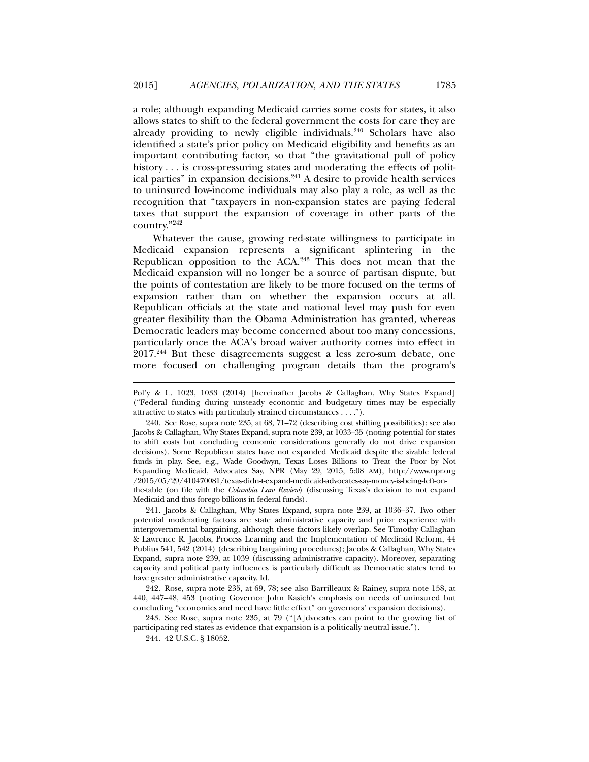a role; although expanding Medicaid carries some costs for states, it also allows states to shift to the federal government the costs for care they are already providing to newly eligible individuals.<sup>240</sup> Scholars have also identified a state's prior policy on Medicaid eligibility and benefits as an important contributing factor, so that "the gravitational pull of policy history  $\dots$  is cross-pressuring states and moderating the effects of political parties" in expansion decisions.241 A desire to provide health services to uninsured low-income individuals may also play a role, as well as the recognition that "taxpayers in non-expansion states are paying federal taxes that support the expansion of coverage in other parts of the country."242

Whatever the cause, growing red-state willingness to participate in Medicaid expansion represents a significant splintering in the Republican opposition to the ACA.<sup>243</sup> This does not mean that the Medicaid expansion will no longer be a source of partisan dispute, but the points of contestation are likely to be more focused on the terms of expansion rather than on whether the expansion occurs at all. Republican officials at the state and national level may push for even greater flexibility than the Obama Administration has granted, whereas Democratic leaders may become concerned about too many concessions, particularly once the ACA's broad waiver authority comes into effect in 2017.244 But these disagreements suggest a less zero-sum debate, one more focused on challenging program details than the program's

 241. Jacobs & Callaghan, Why States Expand, supra note 239, at 1036–37. Two other potential moderating factors are state administrative capacity and prior experience with intergovernmental bargaining, although these factors likely overlap. See Timothy Callaghan & Lawrence R. Jacobs, Process Learning and the Implementation of Medicaid Reform, 44 Publius 541, 542 (2014) (describing bargaining procedures); Jacobs & Callaghan, Why States Expand, supra note 239, at 1039 (discussing administrative capacity). Moreover, separating capacity and political party influences is particularly difficult as Democratic states tend to have greater administrative capacity. Id.

 242. Rose, supra note 235, at 69, 78; see also Barrilleaux & Rainey, supra note 158, at 440, 447–48, 453 (noting Governor John Kasich's emphasis on needs of uninsured but concluding "economics and need have little effect" on governors' expansion decisions).

 243. See Rose, supra note 235, at 79 ("[A]dvocates can point to the growing list of participating red states as evidence that expansion is a politically neutral issue.").

244. 42 U.S.C. § 18052.

Pol'y & L. 1023, 1033 (2014) [hereinafter Jacobs & Callaghan, Why States Expand] ("Federal funding during unsteady economic and budgetary times may be especially attractive to states with particularly strained circumstances . . . .").

 <sup>240.</sup> See Rose, supra note 235, at 68, 71–72 (describing cost shifting possibilities); see also Jacobs & Callaghan, Why States Expand, supra note 239, at 1033–35 (noting potential for states to shift costs but concluding economic considerations generally do not drive expansion decisions). Some Republican states have not expanded Medicaid despite the sizable federal funds in play. See, e.g., Wade Goodwyn, Texas Loses Billions to Treat the Poor by Not Expanding Medicaid, Advocates Say, NPR (May 29, 2015, 5:08 AM), http://www.npr.org /2015/05/29/410470081/texas-didn-t-expand-medicaid-advocates-say-money-is-being-left-onthe-table (on file with the *Columbia Law Review*) (discussing Texas's decision to not expand Medicaid and thus forego billions in federal funds).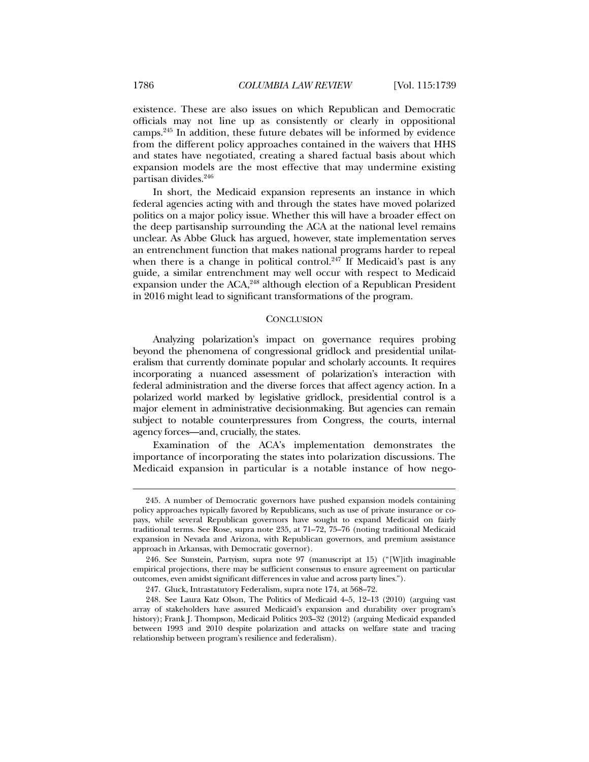existence. These are also issues on which Republican and Democratic officials may not line up as consistently or clearly in oppositional camps.245 In addition, these future debates will be informed by evidence from the different policy approaches contained in the waivers that HHS and states have negotiated, creating a shared factual basis about which expansion models are the most effective that may undermine existing partisan divides.246

In short, the Medicaid expansion represents an instance in which federal agencies acting with and through the states have moved polarized politics on a major policy issue. Whether this will have a broader effect on the deep partisanship surrounding the ACA at the national level remains unclear. As Abbe Gluck has argued, however, state implementation serves an entrenchment function that makes national programs harder to repeal when there is a change in political control.<sup>247</sup> If Medicaid's past is any guide, a similar entrenchment may well occur with respect to Medicaid expansion under the ACA,<sup>248</sup> although election of a Republican President in 2016 might lead to significant transformations of the program.

### **CONCLUSION**

Analyzing polarization's impact on governance requires probing beyond the phenomena of congressional gridlock and presidential unilateralism that currently dominate popular and scholarly accounts. It requires incorporating a nuanced assessment of polarization's interaction with federal administration and the diverse forces that affect agency action. In a polarized world marked by legislative gridlock, presidential control is a major element in administrative decisionmaking. But agencies can remain subject to notable counterpressures from Congress, the courts, internal agency forces—and, crucially, the states.

Examination of the ACA's implementation demonstrates the importance of incorporating the states into polarization discussions. The Medicaid expansion in particular is a notable instance of how nego-

 <sup>245.</sup> A number of Democratic governors have pushed expansion models containing policy approaches typically favored by Republicans, such as use of private insurance or copays, while several Republican governors have sought to expand Medicaid on fairly traditional terms. See Rose, supra note 235, at 71–72, 75–76 (noting traditional Medicaid expansion in Nevada and Arizona, with Republican governors, and premium assistance approach in Arkansas, with Democratic governor).

 <sup>246.</sup> See Sunstein, Partyism, supra note 97 (manuscript at 15) ("[W]ith imaginable empirical projections, there may be sufficient consensus to ensure agreement on particular outcomes, even amidst significant differences in value and across party lines.").

 <sup>247.</sup> Gluck, Intrastatutory Federalism, supra note 174, at 568–72.

 <sup>248.</sup> See Laura Katz Olson, The Politics of Medicaid 4–5, 12–13 (2010) (arguing vast array of stakeholders have assured Medicaid's expansion and durability over program's history); Frank J. Thompson, Medicaid Politics 203–32 (2012) (arguing Medicaid expanded between 1993 and 2010 despite polarization and attacks on welfare state and tracing relationship between program's resilience and federalism).